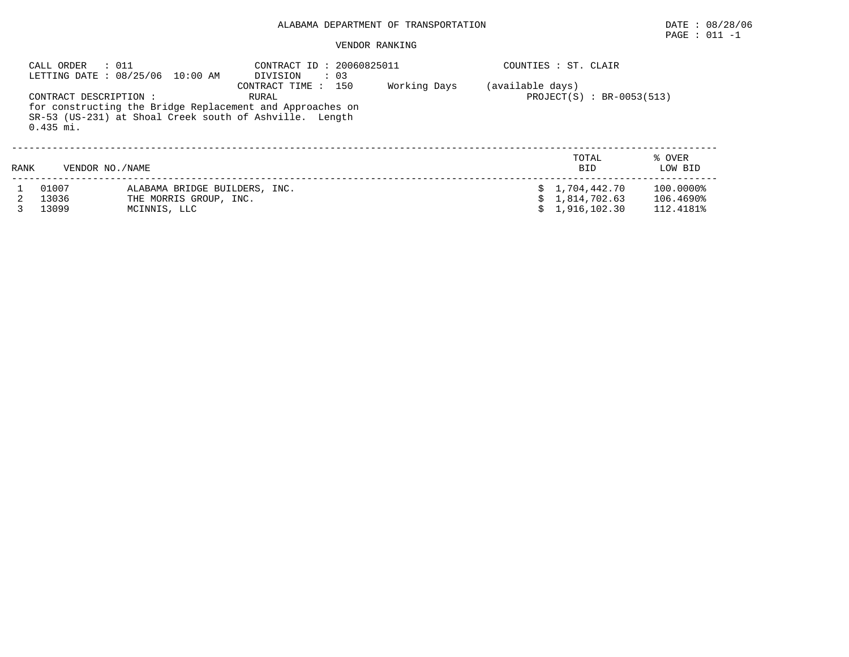### VENDOR RANKING

|      | CALL ORDER<br>: 011                   | LETTING DATE: 08/25/06 10:00 AM                                         | CONTRACT ID: 20060825011<br>DIVISION<br>$\therefore$ 03                                                                                              |              |                  | COUNTIES : ST. CLAIR                         |                                     |
|------|---------------------------------------|-------------------------------------------------------------------------|------------------------------------------------------------------------------------------------------------------------------------------------------|--------------|------------------|----------------------------------------------|-------------------------------------|
|      | CONTRACT DESCRIPTION :<br>$0.435$ mi. |                                                                         | CONTRACT TIME : 150<br>RURAL<br>for constructing the Bridge Replacement and Approaches on<br>SR-53 (US-231) at Shoal Creek south of Ashville. Length | Working Days | (available days) | $PROJECT(S) : BR-0053(513)$                  |                                     |
| RANK | VENDOR NO./NAME                       |                                                                         |                                                                                                                                                      |              |                  | TOTAL<br><b>BID</b>                          | % OVER<br>LOW BID                   |
|      | 01007<br>13036<br>13099               | ALABAMA BRIDGE BUILDERS, INC.<br>THE MORRIS GROUP, INC.<br>MCINNIS, LLC |                                                                                                                                                      |              | s                | 1,704,442.70<br>1,814,702.63<br>1,916,102.30 | 100.0000%<br>106.4690%<br>112.4181% |

 $\texttt{PAGE}$  : 011 -1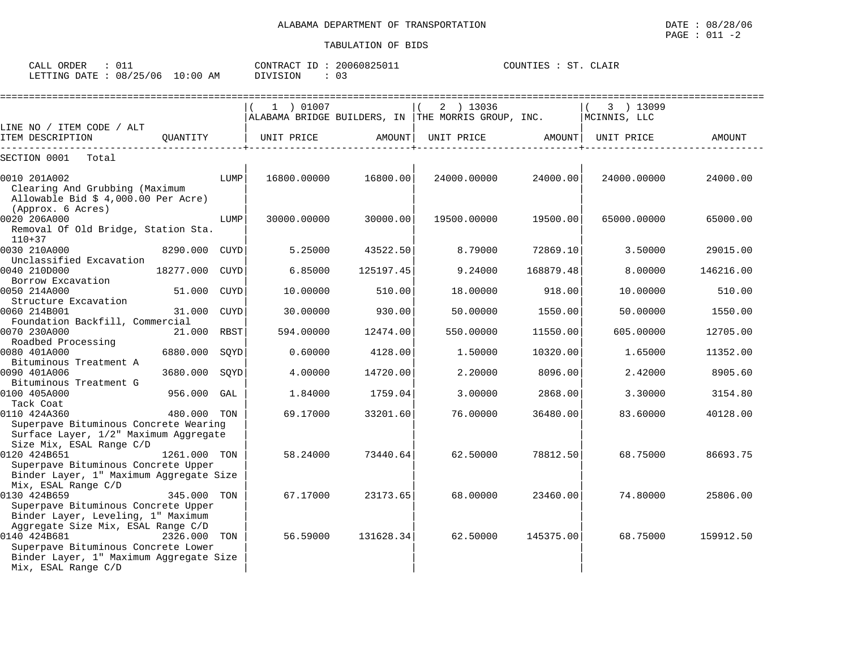| ORDER<br>CALL                   | CONTRACT ID: 20060825011 | COUNTIES :<br><b>ST</b><br>CLAIR |
|---------------------------------|--------------------------|----------------------------------|
| LETTING DATE: 08/25/06 10:00 AM | ⌒ -<br>DIVISION<br>υ÷    |                                  |

|                                                                                |              |             | 1 ) 01007   |           | 2 ) 13036<br>ALABAMA BRIDGE BUILDERS, IN THE MORRIS GROUP, INC. |           | 3 ) 13099<br>MCINNIS, LLC |           |
|--------------------------------------------------------------------------------|--------------|-------------|-------------|-----------|-----------------------------------------------------------------|-----------|---------------------------|-----------|
| LINE NO / ITEM CODE / ALT                                                      |              |             |             |           |                                                                 |           |                           |           |
| ITEM DESCRIPTION<br>_______________                                            | OUANTITY     |             | UNIT PRICE  | AMOUNT    | UNIT PRICE                                                      | AMOUNT    | UNIT PRICE                | AMOUNT    |
| SECTION 0001<br>Total                                                          |              |             |             |           |                                                                 |           |                           |           |
| 0010 201A002<br>Clearing And Grubbing (Maximum                                 |              | LUMP        | 16800.00000 | 16800.00  | 24000.00000                                                     | 24000.00  | 24000.00000               | 24000.00  |
| Allowable Bid $$4,000.00$ Per Acre)<br>(Approx. 6 Acres)                       |              |             |             |           |                                                                 |           |                           |           |
| 0020 206A000                                                                   |              | LUMP        | 30000.00000 | 30000.00  | 19500.00000                                                     | 19500.00  | 65000.00000               | 65000.00  |
| Removal Of Old Bridge, Station Sta.<br>$110 + 37$                              |              |             |             |           |                                                                 |           |                           |           |
| 0030 210A000<br>Unclassified Excavation                                        | 8290.000     | CUYD        | 5.25000     | 43522.50  | 8.79000                                                         | 72869.10  | 3.50000                   | 29015.00  |
| 0040 210D000<br>Borrow Excavation                                              | 18277.000    | <b>CUYD</b> | 6.85000     | 125197.45 | 9.24000                                                         | 168879.48 | 8.00000                   | 146216.00 |
| 0050 214A000                                                                   | 51.000       | CUYD        | 10.00000    | 510.00    | 18,00000                                                        | 918.00    | 10,00000                  | 510.00    |
| Structure Excavation<br>0060 214B001                                           | 31,000       | CUYD        | 30.00000    | 930.00    | 50.00000                                                        | 1550.00   | 50.00000                  | 1550.00   |
| Foundation Backfill, Commercial<br>0070 230A000                                | 21.000 RBST  |             | 594.00000   | 12474.00  | 550.00000                                                       | 11550.00  | 605.00000                 | 12705.00  |
| Roadbed Processing<br>0080 401A000                                             | 6880.000     | SQYD        | 0.60000     | 4128.00   | 1.50000                                                         | 10320.00  | 1.65000                   | 11352.00  |
| Bituminous Treatment A<br>0090 401A006                                         | 3680.000     | SQYD        | 4.00000     | 14720.00  | 2.20000                                                         | 8096.00   | 2.42000                   | 8905.60   |
| Bituminous Treatment G<br>0100 405A000                                         | 956.000      | GAL         | 1.84000     | 1759.04   | 3.00000                                                         | 2868.00   | 3.30000                   | 3154.80   |
| Tack Coat<br>0110 424A360                                                      | 480.000 TON  |             | 69.17000    | 33201.60  | 76.00000                                                        | 36480.00  | 83.60000                  | 40128.00  |
| Superpave Bituminous Concrete Wearing<br>Surface Layer, 1/2" Maximum Aggregate |              |             |             |           |                                                                 |           |                           |           |
| Size Mix, ESAL Range C/D<br>0120 424B651                                       | 1261.000 TON |             | 58.24000    | 73440.64  | 62.50000                                                        | 78812.50  | 68.75000                  | 86693.75  |
| Superpave Bituminous Concrete Upper<br>Binder Layer, 1" Maximum Aggregate Size |              |             |             |           |                                                                 |           |                           |           |
| Mix, ESAL Range C/D<br>0130 424B659<br>Superpave Bituminous Concrete Upper     | 345.000 TON  |             | 67.17000    | 23173.65  | 68,00000                                                        | 23460.00  | 74.80000                  | 25806.00  |
| Binder Layer, Leveling, 1" Maximum<br>Aggregate Size Mix, ESAL Range C/D       |              |             |             |           |                                                                 |           |                           |           |
| 0140 424B681<br>Superpave Bituminous Concrete Lower                            | 2326.000 TON |             | 56.59000    | 131628.34 | 62.50000                                                        | 145375.00 | 68.75000                  | 159912.50 |
| Binder Layer, 1" Maximum Aggregate Size<br>Mix, ESAL Range C/D                 |              |             |             |           |                                                                 |           |                           |           |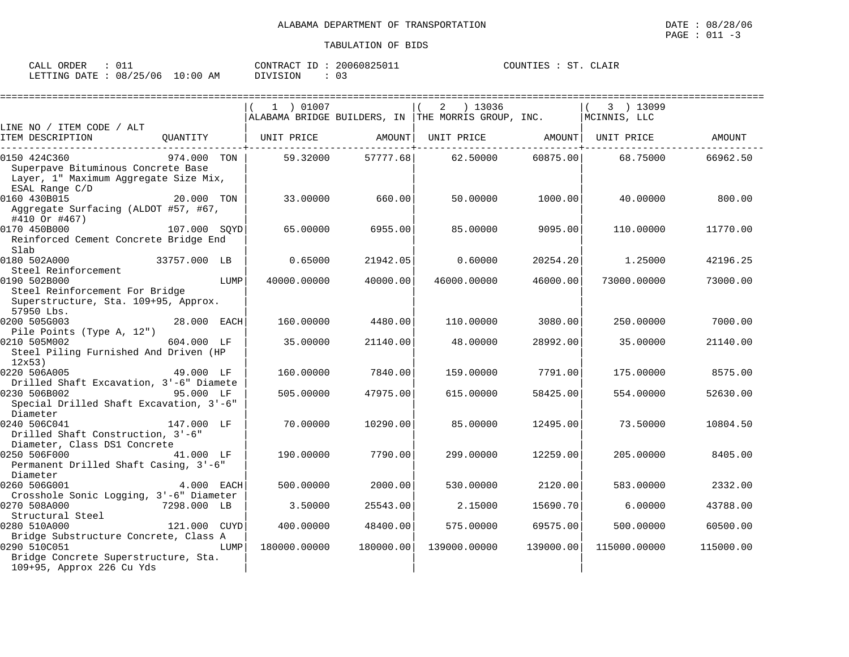| ORDER<br>CALL                   | CONTRACT ID | 20060825011 | ST<br>COUNTIES : | CLAIR |
|---------------------------------|-------------|-------------|------------------|-------|
| LETTING DATE: 08/25/06 10:00 AM | DIVISION    | 03          |                  |       |

|                                                                                                                            |              |      | 1 ) 01007    |           | 2<br>) 13036                                       |           | 3 ) 13099    |           |
|----------------------------------------------------------------------------------------------------------------------------|--------------|------|--------------|-----------|----------------------------------------------------|-----------|--------------|-----------|
|                                                                                                                            |              |      |              |           | ALABAMA BRIDGE BUILDERS, IN THE MORRIS GROUP, INC. |           | MCINNIS, LLC |           |
| LINE NO / ITEM CODE / ALT<br>ITEM DESCRIPTION                                                                              | QUANTITY     |      | UNIT PRICE   | AMOUNT    | UNIT PRICE AMOUNT                                  |           | UNIT PRICE   | AMOUNT    |
| 0150 424C360<br>Superpave Bituminous Concrete Base<br>Layer, 1" Maximum Aggregate Size Mix,<br>ESAL Range C/D              | 974.000 TON  |      | 59.32000     | 57777.68  | 62.50000                                           | 60875.00  | 68.75000     | 66962.50  |
| 0160 430B015<br>Aggregate Surfacing (ALDOT #57, #67,<br>#410 Or #467)                                                      | 20.000 TON   |      | 33.00000     | 660.00    | 50.00000                                           | 1000.00   | 40.00000     | 800.00    |
| 0170 450B000<br>Reinforced Cement Concrete Bridge End<br>Slab                                                              | 107.000 SOYD |      | 65.00000     | 6955.00   | 85.00000                                           | 9095.00   | 110.00000    | 11770.00  |
| 0180 502A000<br>Steel Reinforcement                                                                                        | 33757.000 LB |      | 0.65000      | 21942.05  | 0.60000                                            | 20254.20  | 1.25000      | 42196.25  |
| 0190 502B000<br>Steel Reinforcement For Bridge<br>Superstructure, Sta. 109+95, Approx.<br>57950 Lbs.                       |              | LUMP | 40000.00000  | 40000.00  | 46000.00000                                        | 46000.00  | 73000.00000  | 73000.00  |
| 0200 505G003                                                                                                               | 28.000 EACH  |      | 160.00000    | 4480.00   | 110.00000                                          | 3080.00   | 250.00000    | 7000.00   |
| Pile Points (Type A, 12")<br>0210 505M002<br>Steel Piling Furnished And Driven (HP<br>12x53)                               | 604.000 LF   |      | 35.00000     | 21140.00  | 48.00000                                           | 28992.00  | 35,00000     | 21140.00  |
| 0220 506A005<br>Drilled Shaft Excavation, 3'-6" Diamete                                                                    | 49.000 LF    |      | 160.00000    | 7840.00   | 159.00000                                          | 7791.00   | 175,00000    | 8575.00   |
| 0230 506B002<br>Special Drilled Shaft Excavation, 3'-6"<br>Diameter                                                        | 95.000 LF    |      | 505.00000    | 47975.00  | 615,00000                                          | 58425.00  | 554.00000    | 52630.00  |
| 0240 506C041<br>Drilled Shaft Construction, 3'-6"<br>Diameter, Class DS1 Concrete                                          | 147.000 LF   |      | 70.00000     | 10290.00  | 85.00000                                           | 12495.00  | 73.50000     | 10804.50  |
| 0250 506F000<br>Permanent Drilled Shaft Casing, 3'-6"<br>Diameter                                                          | 41.000 LF    |      | 190.00000    | 7790.00   | 299,00000                                          | 12259.00  | 205.00000    | 8405.00   |
| 0260 506G001<br>Crosshole Sonic Logging, 3'-6" Diameter                                                                    | 4.000 EACH   |      | 500.00000    | 2000.00   | 530.00000                                          | 2120.00   | 583.00000    | 2332.00   |
| 0270 508A000<br>Structural Steel                                                                                           | 7298.000 LB  |      | 3.50000      | 25543.00  | 2.15000                                            | 15690.70  | 6,00000      | 43788.00  |
| 0280 510A000                                                                                                               | 121.000 CUYD |      | 400.00000    | 48400.00  | 575.00000                                          | 69575.00  | 500.00000    | 60500.00  |
| Bridge Substructure Concrete, Class A<br>0290 510C051<br>Bridge Concrete Superstructure, Sta.<br>109+95, Approx 226 Cu Yds |              | LUMP | 180000.00000 | 180000.00 | 139000.00000                                       | 139000.00 | 115000.00000 | 115000.00 |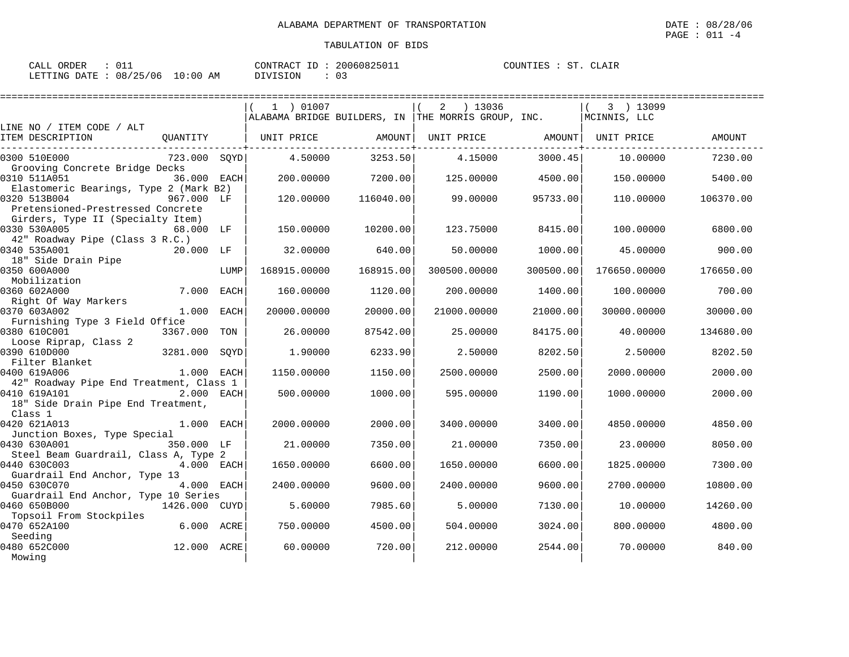| ORDER<br>CALL          |             | CONTRACT<br>ID  | 20060825011 | COUNTIES<br>CLAIR<br>ST |
|------------------------|-------------|-----------------|-------------|-------------------------|
| LETTING DATE: 08/25/06 | 10:00<br>ΑM | <b>DIVISION</b> |             |                         |

|                                                                                                      | 1 ) 01007         |           | $2 \t) 13036$<br>$\mid$ ALABAMA BRIDGE BUILDERS, IN $\mid$ THE MORRIS GROUP, INC. |           | 3 ) 13099<br>MCINNIS, LLC |           |
|------------------------------------------------------------------------------------------------------|-------------------|-----------|-----------------------------------------------------------------------------------|-----------|---------------------------|-----------|
| LINE NO / ITEM CODE / ALT                                                                            |                   |           |                                                                                   |           |                           |           |
| ITEM DESCRIPTION<br>QUANTITY                                                                         | UNIT PRICE AMOUNT |           | UNIT PRICE                                                                        | AMOUNT    | UNIT PRICE                | AMOUNT    |
| 723.000 SQYD<br>0300 510E000<br>Grooving Concrete Bridge Decks                                       | 4.50000           | 3253.50   | 4.15000                                                                           | 3000.45   | 10.00000                  | 7230.00   |
| 0310 511A051<br>36.000 EACH<br>Elastomeric Bearings, Type 2 (Mark B2)                                | 200,00000         | 7200.00   | 125.00000                                                                         | 4500.00   | 150.00000                 | 5400.00   |
| 0320 513B004<br>967.000 LF<br>Pretensioned-Prestressed Concrete                                      | 120.00000         | 116040.00 | 99.00000                                                                          | 95733.00  | 110.00000                 | 106370.00 |
| Girders, Type II (Specialty Item)<br>0330 530A005<br>68.000 LF<br>42" Roadway Pipe (Class 3 R.C.)    | 150.00000         | 10200.00  | 123.75000                                                                         | 8415.00   | 100.00000                 | 6800.00   |
| 0340 535A001<br>20.000 LF<br>18" Side Drain Pipe                                                     | 32.00000          | 640.00    | 50.00000                                                                          | 1000.00   | 45.00000                  | 900.00    |
| 0350 600A000<br>LUMP<br>Mobilization                                                                 | 168915.00000      | 168915.00 | 300500.00000                                                                      | 300500.00 | 176650.00000              | 176650.00 |
| 7.000 EACH<br>0360 602A000                                                                           | 160.00000         | 1120.00   | 200,00000                                                                         | 1400.00   | 100.00000                 | 700.00    |
| Right Of Way Markers<br>0370 603A002<br>1.000 EACH                                                   | 20000.00000       | 20000.00  | 21000.00000                                                                       | 21000.00  | 30000.00000               | 30000.00  |
| Furnishing Type 3 Field Office<br>0380 610C001<br>3367.000 TON                                       | 26,00000          | 87542.00  | 25.00000                                                                          | 84175.00  | 40.00000                  | 134680.00 |
| Loose Riprap, Class 2                                                                                |                   |           |                                                                                   |           |                           |           |
| 0390 610D000<br>3281.000 SQYD<br>Filter Blanket                                                      | 1,90000           | 6233.90   | 2.50000                                                                           | 8202.50   | 2.50000                   | 8202.50   |
| 0400 619A006<br>1.000 EACH<br>42" Roadway Pipe End Treatment, Class 1                                | 1150.00000        | 1150.00   | 2500.00000                                                                        | 2500.00   | 2000.00000                | 2000.00   |
| 0410 619A101<br>$2.000$ EACH<br>18" Side Drain Pipe End Treatment,<br>Class 1                        | 500.00000         | 1000.00   | 595.00000                                                                         | 1190.00   | 1000.00000                | 2000.00   |
| 0420 621A013<br>$1.000$ EACH<br>Junction Boxes, Type Special                                         | 2000,00000        | 2000.00   | 3400,00000                                                                        | 3400.00   | 4850.00000                | 4850.00   |
| 0430 630A001<br>350.000 LF                                                                           | 21,00000          | 7350.00   | 21.00000                                                                          | 7350.00   | 23.00000                  | 8050.00   |
| Steel Beam Guardrail, Class A, Type 2<br>0440 630C003<br>4.000 EACH<br>Guardrail End Anchor, Type 13 | 1650.00000        | 6600.00   | 1650.00000                                                                        | 6600.00   | 1825.00000                | 7300.00   |
| 0450 630C070<br>4.000 EACH<br>Guardrail End Anchor, Type 10 Series                                   | 2400,00000        | 9600.00   | 2400.00000                                                                        | 9600.00   | 2700.00000                | 10800.00  |
| 0460 650B000<br>1426.000 CUYD<br>Topsoil From Stockpiles                                             | 5.60000           | 7985.60   | 5.00000                                                                           | 7130.00   | 10.00000                  | 14260.00  |
| 0470 652A100<br>6.000 ACRE                                                                           | 750.00000         | 4500.00   | 504.00000                                                                         | 3024.00   | 800.00000                 | 4800.00   |
| Seeding<br>0480 652C000<br>12.000 ACRE<br>Mowing                                                     | 60.00000          | 720.00    | 212,00000                                                                         | 2544.00   | 70.00000                  | 840.00    |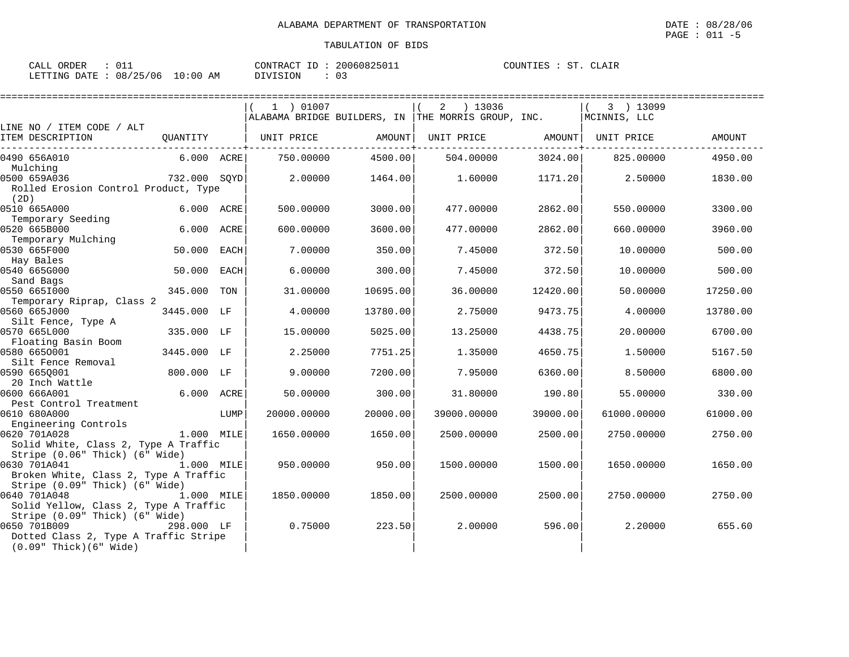| ORDER<br>CALL                   | CONTRACT ID: 20060825011 | COUNTIES :<br><b>ST</b><br>CLAIR |
|---------------------------------|--------------------------|----------------------------------|
| LETTING DATE: 08/25/06 10:00 AM | ⌒ -<br>DIVISION<br>υ÷    |                                  |

|                                                                                         |                          |             |             | =============================== |                                                                  |               |                           |               |
|-----------------------------------------------------------------------------------------|--------------------------|-------------|-------------|---------------------------------|------------------------------------------------------------------|---------------|---------------------------|---------------|
|                                                                                         |                          |             | 1 ) 01007   |                                 | 13036<br>2<br>ALABAMA BRIDGE BUILDERS, IN THE MORRIS GROUP, INC. |               | 3 ) 13099<br>MCINNIS, LLC |               |
| LINE NO / ITEM CODE / ALT<br>ITEM DESCRIPTION                                           | OUANTITY<br>------------ |             | UNIT PRICE  | AMOUNT                          | UNIT PRICE                                                       | <b>AMOUNT</b> | UNIT PRICE                | <b>AMOUNT</b> |
| 0490 656A010                                                                            | 6.000 ACRE               |             | 750.00000   | 4500.00                         | 504.00000                                                        | 3024.00       | 825,00000                 | 4950.00       |
| Mulching<br>0500 659A036<br>Rolled Erosion Control Product, Type                        | 732.000 SQYD             |             | 2.00000     | 1464.00                         | 1,60000                                                          | 1171.20       | 2.50000                   | 1830.00       |
| (2D)<br>0510 665A000<br>Temporary Seeding                                               | 6.000 ACRE               |             | 500.00000   | 3000.00                         | 477.00000                                                        | 2862.00       | 550.00000                 | 3300.00       |
| 0520 665B000<br>Temporary Mulching                                                      | 6.000                    | ACRE        | 600,00000   | 3600.00                         | 477.00000                                                        | 2862.00       | 660.00000                 | 3960.00       |
| 0530 665F000<br>Hay Bales                                                               | 50.000                   | <b>EACH</b> | 7.00000     | 350.00                          | 7.45000                                                          | 372.50        | 10.00000                  | 500.00        |
| 0540 665G000                                                                            | 50.000                   | <b>EACH</b> | 6.00000     | 300.00                          | 7.45000                                                          | 372.50        | 10,00000                  | 500.00        |
| Sand Bags<br>0550 6651000<br>Temporary Riprap, Class 2                                  | 345.000                  | TON         | 31.00000    | 10695.00                        | 36.00000                                                         | 12420.00      | 50.00000                  | 17250.00      |
| 0560 665J000<br>Silt Fence, Type A                                                      | 3445.000                 | LF          | 4.00000     | 13780.00                        | 2.75000                                                          | 9473.75       | 4.00000                   | 13780.00      |
| 0570 665L000<br>Floating Basin Boom                                                     | 335.000 LF               |             | 15,00000    | 5025.00                         | 13.25000                                                         | 4438.75       | 20.00000                  | 6700.00       |
| 0580 6650001<br>Silt Fence Removal                                                      | 3445.000 LF              |             | 2.25000     | 7751.25                         | 1.35000                                                          | 4650.75       | 1.50000                   | 5167.50       |
| 0590 6650001<br>20 Inch Wattle                                                          | 800.000                  | LF          | 9.00000     | 7200.00                         | 7.95000                                                          | 6360.00       | 8.50000                   | 6800.00       |
| 0600 666A001<br>Pest Control Treatment                                                  | 6.000 ACRE               |             | 50.00000    | 300.00                          | 31.80000                                                         | 190.80        | 55.00000                  | 330.00        |
| 0610 680A000<br>Engineering Controls                                                    |                          | LUMP        | 20000.00000 | 20000.00                        | 39000.00000                                                      | 39000.00      | 61000.00000               | 61000.00      |
| 0620 701A028<br>Solid White, Class 2, Type A Traffic<br>Stripe (0.06" Thick) (6" Wide)  | 1.000 MILE               |             | 1650.00000  | 1650.00                         | 2500.00000                                                       | 2500.00       | 2750.00000                | 2750.00       |
| 0630 701A041<br>Broken White, Class 2, Type A Traffic<br>Stripe (0.09" Thick) (6" Wide) | 1.000 MILE               |             | 950.00000   | 950.00                          | 1500.00000                                                       | 1500.00       | 1650.00000                | 1650.00       |
| 0640 701A048<br>Solid Yellow, Class 2, Type A Traffic<br>Stripe (0.09" Thick) (6" Wide) | 1.000 MILE               |             | 1850.00000  | 1850.00                         | 2500.00000                                                       | 2500.00       | 2750.00000                | 2750.00       |
| 0650 701B009<br>Dotted Class 2, Type A Traffic Stripe<br>$(0.09"$ Thick $)(6"$ Wide     | 298.000 LF               |             | 0.75000     | 223.50                          | 2.00000                                                          | 596.00        | 2.20000                   | 655.60        |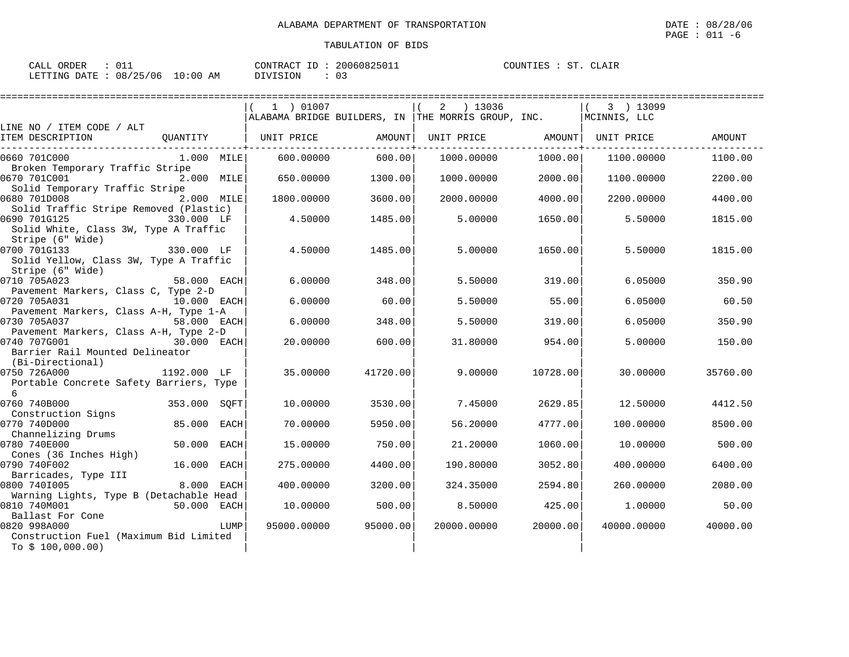| ORDER<br>CALL          |             | CONTRACT<br>ID  | 20060825011 | COUNTIES<br>CLAIR<br>ST |
|------------------------|-------------|-----------------|-------------|-------------------------|
| LETTING DATE: 08/25/06 | 10:00<br>ΑM | <b>DIVISION</b> |             |                         |

|                                         |              |             |                       | =========================== | ======================                                 |          |              |               |
|-----------------------------------------|--------------|-------------|-----------------------|-----------------------------|--------------------------------------------------------|----------|--------------|---------------|
|                                         |              |             | 1 ) 01007             |                             | 2 ) 13036                                              |          | 3 ) 13099    |               |
|                                         |              |             |                       |                             | ALABAMA BRIDGE BUILDERS, IN $ $ THE MORRIS GROUP, INC. |          | MCINNIS, LLC |               |
| LINE NO / ITEM CODE / ALT               |              |             |                       |                             |                                                        |          |              |               |
| ITEM DESCRIPTION                        |              |             | OUANTITY   UNIT PRICE | AMOUNT                      | UNIT PRICE                                             | AMOUNT   | UNIT PRICE   | <b>AMOUNT</b> |
| 0660 701C000                            | 1.000 MILE   |             | 600.00000             | 600.00                      | 1000.00000                                             | 1000.00  | 1100.00000   | 1100.00       |
| Broken Temporary Traffic Stripe         |              |             |                       |                             |                                                        |          |              |               |
| 0670 701C001                            | 2.000 MILE   |             | 650.00000             | 1300.00                     | 1000.00000                                             | 2000.00  | 1100.00000   | 2200.00       |
| Solid Temporary Traffic Stripe          |              |             |                       |                             |                                                        |          |              |               |
| 0680 701D008                            | 2.000 MILE   |             | 1800.00000            | 3600.00                     | 2000.00000                                             | 4000.00  | 2200.00000   | 4400.00       |
| Solid Traffic Stripe Removed (Plastic)  |              |             |                       |                             |                                                        |          |              |               |
| 0690 701G125                            | 330.000 LF   |             | 4.50000               | 1485.00                     | 5.00000                                                | 1650.00  | 5.50000      | 1815.00       |
| Solid White, Class 3W, Type A Traffic   |              |             |                       |                             |                                                        |          |              |               |
| Stripe (6" Wide)                        |              |             |                       |                             |                                                        |          |              |               |
| 0700 701G133                            | 330.000 LF   |             | 4.50000               | 1485.00                     | 5.00000                                                | 1650.00  | 5.50000      | 1815.00       |
| Solid Yellow, Class 3W, Type A Traffic  |              |             |                       |                             |                                                        |          |              |               |
| Stripe (6" Wide)                        |              |             |                       |                             |                                                        |          |              |               |
| 0710 705A023                            | 58.000 EACH  |             | 6.00000               | 348.00                      | 5.50000                                                | 319.00   | 6.05000      | 350.90        |
| Pavement Markers, Class C, Type 2-D     |              |             |                       |                             |                                                        |          |              |               |
| 0720 705A031                            | 10.000 EACH  |             | 6.00000               | 60.00                       | 5.50000                                                | 55.00    | 6.05000      | 60.50         |
| Pavement Markers, Class A-H, Type 1-A   |              |             |                       |                             |                                                        |          |              |               |
| 0730 705A037                            | 58.000 EACH  |             | 6.00000               | 348.00                      | 5.50000                                                | 319.00   | 6.05000      | 350.90        |
| Pavement Markers, Class A-H, Type 2-D   |              |             |                       |                             |                                                        |          |              |               |
| 0740 707G001                            | 30.000 EACH  |             | 20.00000              | 600.00                      | 31,80000                                               | 954.00   | 5.00000      | 150.00        |
| Barrier Rail Mounted Delineator         |              |             |                       |                             |                                                        |          |              |               |
| (Bi-Directional)                        |              |             |                       |                             |                                                        |          |              |               |
| 0750 726A000                            | 1192.000 LF  |             | 35,00000              | 41720.00                    | 9,00000                                                | 10728.00 | 30,00000     | 35760.00      |
| Portable Concrete Safety Barriers, Type |              |             |                       |                             |                                                        |          |              |               |
| 6                                       |              |             |                       |                             |                                                        |          |              |               |
| 0760 740B000                            | 353.000 SQFT |             | 10.00000              | 3530.00                     | 7.45000                                                | 2629.85  | 12.50000     | 4412.50       |
| Construction Signs                      |              |             |                       |                             |                                                        |          |              |               |
| 0770 740D000                            | 85.000       | <b>EACH</b> | 70.00000              | 5950.00                     | 56.20000                                               | 4777.00  | 100.00000    | 8500.00       |
| Channelizing Drums                      |              |             |                       |                             |                                                        |          |              |               |
| 0780 740E000                            | 50.000       | EACH        | 15,00000              | 750.00                      | 21,20000                                               | 1060.00  | 10.00000     | 500.00        |
| Cones (36 Inches High)                  |              |             |                       |                             |                                                        |          |              |               |
| 0790 740F002                            | 16.000       | EACH        | 275,00000             | 4400.00                     | 190.80000                                              | 3052.80  | 400.00000    | 6400.00       |
| Barricades, Type III                    |              |             |                       |                             |                                                        |          |              |               |
| 0800 7401005                            | 8.000        | <b>EACH</b> | 400.00000             | 3200.00                     | 324.35000                                              | 2594.80  | 260.00000    | 2080.00       |
| Warning Lights, Type B (Detachable Head |              |             |                       |                             |                                                        |          |              |               |
| 0810 740M001                            | 50.000 EACH  |             | 10.00000              | 500.00                      | 8.50000                                                | 425.00   | 1,00000      | 50.00         |
| Ballast For Cone                        |              |             |                       |                             |                                                        |          |              |               |
| 0820 998A000                            |              | LUMP        | 95000.00000           | 95000.00                    | 20000.00000                                            | 20000.00 | 40000.00000  | 40000.00      |
| Construction Fuel (Maximum Bid Limited  |              |             |                       |                             |                                                        |          |              |               |
| To $$100,000.00)$                       |              |             |                       |                             |                                                        |          |              |               |
|                                         |              |             |                       |                             |                                                        |          |              |               |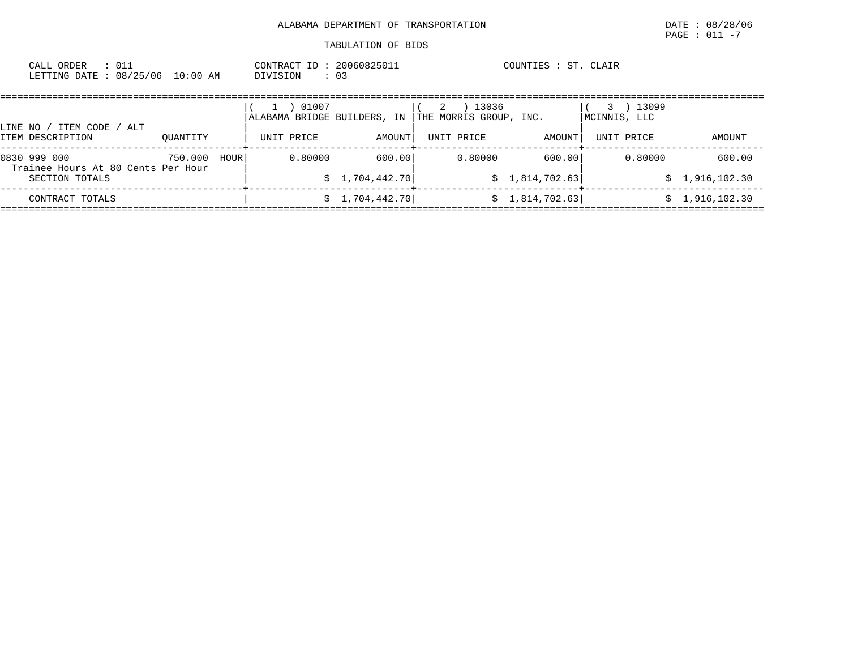| ORDER<br>CALL<br>DATE<br>LETTING | 01.<br>08/25/06 | $10:00$ AM | CONTRACT<br>DIVISION | ᅩ | 20060825011<br>: 03 |  | ST.<br>COUNTIES | CLAIR |  |  |
|----------------------------------|-----------------|------------|----------------------|---|---------------------|--|-----------------|-------|--|--|
|                                  |                 |            |                      |   |                     |  |                 |       |  |  |

|                                                    |          |      | 01007<br>ALABAMA BRIDGE BUILDERS, IN |                 | 13036<br>2<br>THE MORRIS GROUP, INC. |                 | 13099<br>MCINNIS, LLC |                |
|----------------------------------------------------|----------|------|--------------------------------------|-----------------|--------------------------------------|-----------------|-----------------------|----------------|
| ITEM CODE<br>LINE NO /<br>ALT<br>ITEM DESCRIPTION  | OUANTITY |      | UNIT PRICE                           | AMOUNT          | UNIT PRICE                           | AMOUNT          | UNIT PRICE            | AMOUNT         |
| 0830 999 000<br>Trainee Hours At 80 Cents Per Hour | 750.000  | HOUR | 0.80000                              | 600.00          | 0.80000                              | 600.00          | 0.80000               | 600.00         |
| SECTION TOTALS                                     |          |      |                                      | \$1,704,442.70] |                                      | \$1,814,702.63] |                       | \$1,916,102.30 |
| CONTRACT TOTALS                                    |          |      |                                      | \$1,704,442.70] |                                      | \$1,814,702.63] |                       | 1,916,102.30   |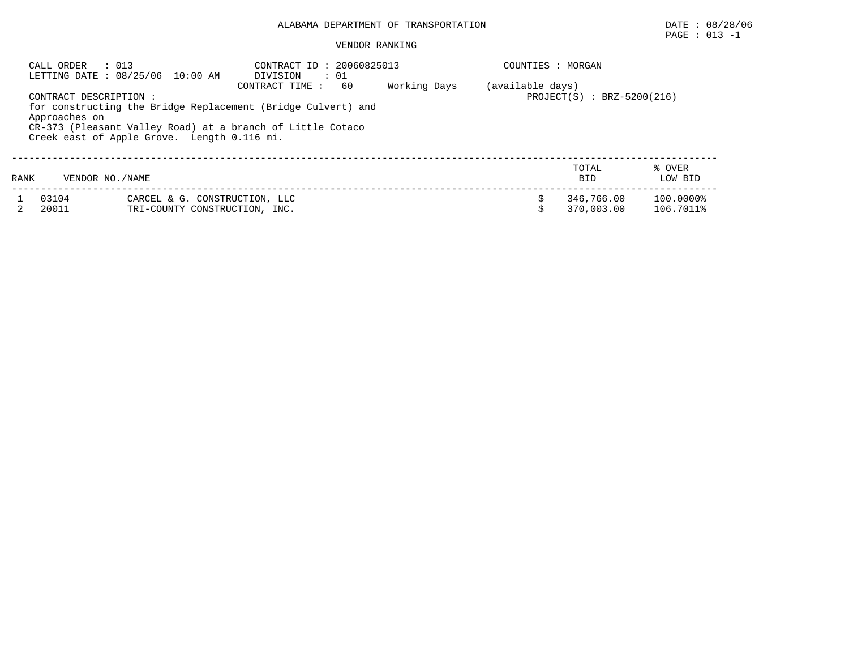## $\texttt{PAGE}$  : 013 -1

#### VENDOR RANKING

|                                                                                                                                                                                                                                                              | $\therefore$ 013<br>CALL ORDER | LETTING DATE : 08/25/06 10:00 AM                               | CONTRACT ID: 20060825013<br>$\cdot$ 01<br>DIVISION |  |    | COUNTIES : MORGAN                                |                        |  |  |  |
|--------------------------------------------------------------------------------------------------------------------------------------------------------------------------------------------------------------------------------------------------------------|--------------------------------|----------------------------------------------------------------|----------------------------------------------------|--|----|--------------------------------------------------|------------------------|--|--|--|
| 60<br>Working Days<br>CONTRACT TIME:<br>CONTRACT DESCRIPTION :<br>for constructing the Bridge Replacement (Bridge Culvert) and<br>Approaches on<br>CR-373 (Pleasant Valley Road) at a branch of Little Cotaco<br>Creek east of Apple Grove. Length 0.116 mi. |                                |                                                                |                                                    |  |    | (available days)<br>$PROJECT(S) : BRZ-5200(216)$ |                        |  |  |  |
| RANK                                                                                                                                                                                                                                                         | VENDOR NO. / NAME              |                                                                |                                                    |  |    | TOTAL<br><b>BID</b>                              | % OVER<br>LOW BID      |  |  |  |
|                                                                                                                                                                                                                                                              | 03104<br>20011                 | CARCEL & G. CONSTRUCTION, LLC<br>TRI-COUNTY CONSTRUCTION, INC. |                                                    |  | Ś. | 346,766.00<br>370,003.00                         | 100.0000%<br>106.7011% |  |  |  |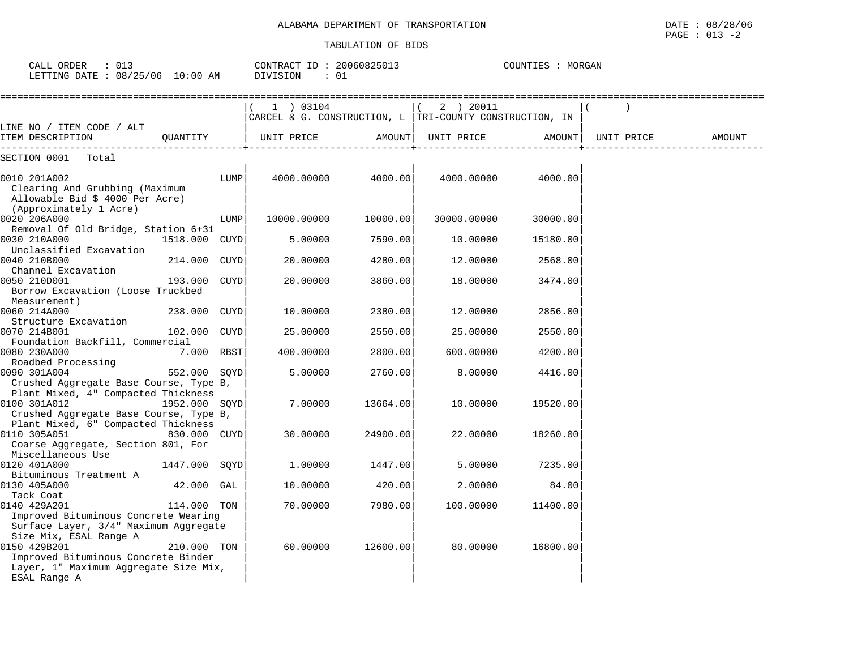| CALL ORDER<br>: 013<br>LETTING DATE : 08/25/06 10:00 AM                                                                                |               |      | CONTRACT ID: 20060825013<br>DIVISION<br>: 01                           |          |             | COUNTIES : MORGAN |            |        |
|----------------------------------------------------------------------------------------------------------------------------------------|---------------|------|------------------------------------------------------------------------|----------|-------------|-------------------|------------|--------|
|                                                                                                                                        |               |      | (1) 03104<br>CARCEL & G. CONSTRUCTION, L   TRI-COUNTY CONSTRUCTION, IN |          | 2 ) 20011   |                   |            |        |
| LINE NO / ITEM CODE / ALT<br>ITEM DESCRIPTION                                                                                          | OUANTITY      |      | UNIT PRICE                                                             | AMOUNT   | UNIT PRICE  | AMOUNT            | UNIT PRICE | AMOUNT |
| SECTION 0001 Total                                                                                                                     |               |      |                                                                        |          |             |                   |            |        |
| 0010 201A002<br>Clearing And Grubbing (Maximum<br>Allowable Bid $$4000$ Per Acre)                                                      |               | LUMP | 4000.00000                                                             | 4000.00  | 4000.00000  | 4000.00           |            |        |
| (Approximately 1 Acre)<br>0020 206A000                                                                                                 |               | LUMP | 10000.00000                                                            | 10000.00 | 30000.00000 | 30000.00          |            |        |
| Removal Of Old Bridge, Station 6+31<br>0030 210A000                                                                                    | 1518.000 CUYD |      | 5.00000                                                                | 7590.00  | 10.00000    | 15180.00          |            |        |
| Unclassified Excavation<br>0040 210B000                                                                                                | 214.000 CUYD  |      | 20.00000                                                               | 4280.00  | 12.00000    | 2568.00           |            |        |
| Channel Excavation<br>0050 210D001<br>Borrow Excavation (Loose Truckbed<br>Measurement)                                                | 193.000 CUYD  |      | 20.00000                                                               | 3860.00  | 18.00000    | 3474.00           |            |        |
| 0060 214A000<br>Structure Excavation                                                                                                   | 238.000 CUYD  |      | 10.00000                                                               | 2380.00  | 12.00000    | 2856.00           |            |        |
| 0070 214B001<br>Foundation Backfill, Commercial                                                                                        | 102.000 CUYD  |      | 25.00000                                                               | 2550.00  | 25.00000    | 2550.00           |            |        |
| 0080 230A000                                                                                                                           | 7.000 RBST    |      | 400.00000                                                              | 2800.00  | 600.00000   | 4200.00           |            |        |
| Roadbed Processing<br>0090 301A004<br>Crushed Aggregate Base Course, Type B,                                                           | 552.000 SOYD  |      | 5.00000                                                                | 2760.00  | 8.00000     | 4416.00           |            |        |
| Plant Mixed, 4" Compacted Thickness<br>0100 301A012<br>Crushed Aggregate Base Course, Type B,                                          | 1952.000 SOYD |      | 7.00000                                                                | 13664.00 | 10.00000    | 19520.00          |            |        |
| Plant Mixed, 6" Compacted Thickness<br>0110 305A051                                                                                    | 830.000 CUYD  |      | 30.00000                                                               | 24900.00 | 22.00000    | 18260.00          |            |        |
| Coarse Aggregate, Section 801, For<br>Miscellaneous Use                                                                                |               |      |                                                                        |          |             |                   |            |        |
| 0120 401A000<br>Bituminous Treatment A                                                                                                 | 1447.000 SQYD |      | 1.00000                                                                | 1447.00  | 5.00000     | 7235.00           |            |        |
| 0130 405A000<br>Tack Coat                                                                                                              | 42.000 GAL    |      | 10.00000                                                               | 420.00   | 2.00000     | 84.00             |            |        |
| 0140 429A201<br>Improved Bituminous Concrete Wearing<br>Surface Layer, 3/4" Maximum Aggregate                                          | 114.000 TON   |      | 70.00000                                                               | 7980.00  | 100.00000   | 11400.00          |            |        |
| Size Mix, ESAL Range A<br>0150 429B201<br>Improved Bituminous Concrete Binder<br>Layer, 1" Maximum Aggregate Size Mix,<br>ESAL Range A | 210.000 TON   |      | 60,00000                                                               | 12600.00 | 80.00000    | 16800.00          |            |        |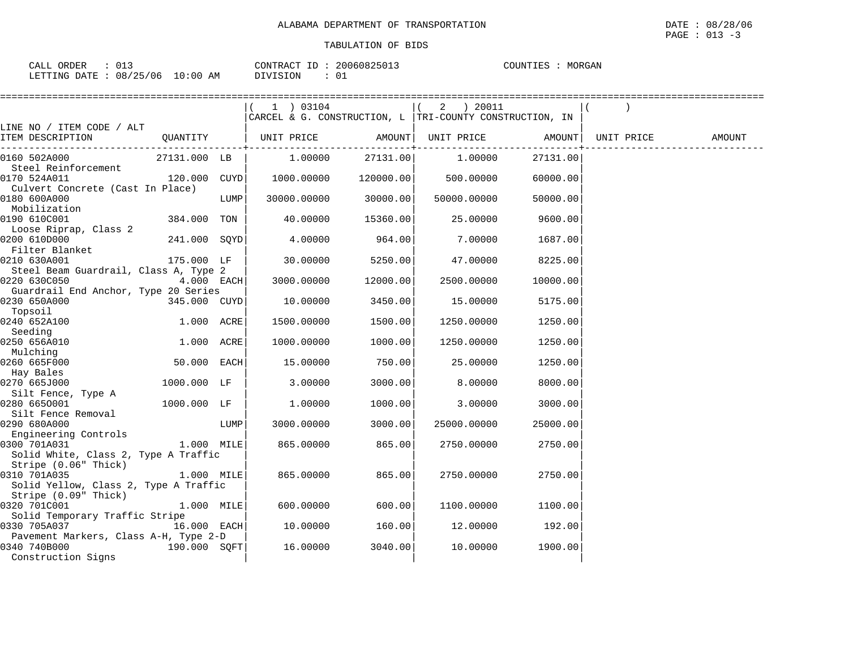| 013<br>CALL ORDER               |          | CONTRACT ID: 20060825013 | MORGAN<br>COUNTIES |
|---------------------------------|----------|--------------------------|--------------------|
| LETTING DATE: 08/25/06 10:00 AM | DIVISION |                          |                    |

|                                                  |              |      | ===================                                     |           |             |          |            |        |
|--------------------------------------------------|--------------|------|---------------------------------------------------------|-----------|-------------|----------|------------|--------|
|                                                  |              |      | 1 ) 03104                                               |           | 2 ) 20011   |          |            |        |
|                                                  |              |      | CARCEL & G. CONSTRUCTION, L TRI-COUNTY CONSTRUCTION, IN |           |             |          |            |        |
| LINE NO / ITEM CODE / ALT                        |              |      |                                                         |           |             |          |            |        |
| ITEM DESCRIPTION                                 | QUANTITY     |      | UNIT PRICE AMOUNT                                       |           | UNIT PRICE  | AMOUNT   | UNIT PRICE | AMOUNT |
| 0160 502A000                                     | 27131.000 LB |      | 1.00000                                                 | 27131.00  | 1,00000     | 27131.00 |            |        |
| Steel Reinforcement                              |              |      |                                                         |           |             |          |            |        |
| 0170 524A011                                     | 120.000 CUYD |      | 1000.00000                                              | 120000.00 | 500.00000   | 60000.00 |            |        |
| Culvert Concrete (Cast In Place)<br>0180 600A000 |              | LUMP | 30000.00000                                             | 30000.00  | 50000.00000 | 50000.00 |            |        |
| Mobilization                                     |              |      |                                                         |           |             |          |            |        |
| 0190 610C001                                     | 384.000 TON  |      | 40.00000                                                | 15360.00  | 25.00000    | 9600.00  |            |        |
| Loose Riprap, Class 2                            |              |      |                                                         |           |             |          |            |        |
| 0200 610D000                                     | 241.000 SQYD |      | 4.00000                                                 | 964.00    | 7.00000     | 1687.00  |            |        |
| Filter Blanket                                   |              |      |                                                         |           |             |          |            |        |
| 0210 630A001                                     | 175.000 LF   |      | 30.00000                                                | 5250.00   | 47.00000    | 8225.00  |            |        |
| Steel Beam Guardrail, Class A, Type 2            |              |      |                                                         |           |             |          |            |        |
| 0220 630C050                                     | $4.000$ EACH |      | 3000.00000                                              | 12000.00  | 2500.00000  | 10000.00 |            |        |
| Guardrail End Anchor, Type 20 Series             |              |      |                                                         |           |             |          |            |        |
| 0230 650A000                                     | 345.000 CUYD |      | 10.00000                                                | 3450.00   | 15.00000    | 5175.00  |            |        |
| Topsoil                                          |              |      |                                                         |           |             |          |            |        |
| 0240 652A100                                     | 1.000 ACRE   |      | 1500.00000                                              | 1500.00   | 1250.00000  | 1250.00  |            |        |
| Seeding<br>0250 656A010                          | 1.000 ACRE   |      |                                                         | 1000.00   |             | 1250.00  |            |        |
| Mulching                                         |              |      | 1000.00000                                              |           | 1250.00000  |          |            |        |
| 0260 665F000                                     | 50.000 EACH  |      | 15.00000                                                | 750.00    | 25.00000    | 1250.00  |            |        |
| Hay Bales                                        |              |      |                                                         |           |             |          |            |        |
| 0270 665J000                                     | 1000.000 LF  |      | 3.00000                                                 | 3000.00   | 8.00000     | 8000.00  |            |        |
| Silt Fence, Type A                               |              |      |                                                         |           |             |          |            |        |
| 0280 6650001                                     | 1000.000 LF  |      | 1,00000                                                 | 1000.00   | 3.00000     | 3000.00  |            |        |
| Silt Fence Removal                               |              |      |                                                         |           |             |          |            |        |
| 0290 680A000                                     |              | LUMP | 3000.00000                                              | 3000.00   | 25000.00000 | 25000.00 |            |        |
| Engineering Controls                             |              |      |                                                         |           |             |          |            |        |
| 0300 701A031                                     | 1.000 MILE   |      | 865.00000                                               | 865.00    | 2750.00000  | 2750.00  |            |        |
| Solid White, Class 2, Type A Traffic             |              |      |                                                         |           |             |          |            |        |
| Stripe (0.06" Thick)                             |              |      |                                                         |           |             |          |            |        |
| 0310 701A035                                     | 1.000 MILE   |      | 865.00000                                               | 865.00    | 2750.00000  | 2750.00  |            |        |
| Solid Yellow, Class 2, Type A Traffic            |              |      |                                                         |           |             |          |            |        |
| Stripe (0.09" Thick)<br>0320 701C001             | 1.000 MILE   |      | 600,00000                                               | 600.00    | 1100.00000  | 1100.00  |            |        |
| Solid Temporary Traffic Stripe                   |              |      |                                                         |           |             |          |            |        |
| 0330 705A037                                     | 16.000 EACH  |      | 10.00000                                                | 160.00    | 12.00000    | 192.00   |            |        |
| Pavement Markers, Class A-H, Type 2-D            |              |      |                                                         |           |             |          |            |        |
| 0340 740B000                                     | 190.000 SOFT |      | 16.00000                                                | 3040.00   | 10.00000    | 1900.00  |            |        |
| Construction Signs                               |              |      |                                                         |           |             |          |            |        |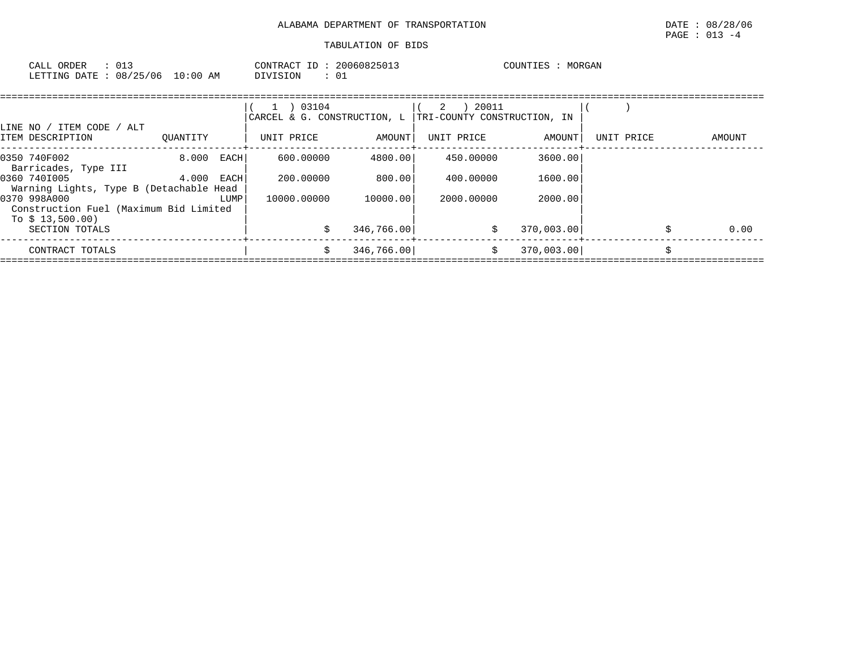| CALL<br>ORDER            |            | CONTRACT<br>$ -$<br>II) I | 20060825013 | MORGAN<br>COUNTIES |
|--------------------------|------------|---------------------------|-------------|--------------------|
| 08/25/06<br>LETTING DATE | $10:00$ AM | OIVISION                  | 01          |                    |

| LINE NO / ITEM CODE / ALT                                                  |          |      | 03104<br>$\mathbf{1}$<br>CARCEL & G. CONSTRUCTION, L |            | ) 20011<br>2<br>TRI-COUNTY CONSTRUCTION, IN |            |            |        |
|----------------------------------------------------------------------------|----------|------|------------------------------------------------------|------------|---------------------------------------------|------------|------------|--------|
| ITEM DESCRIPTION                                                           | OUANTITY |      | UNIT PRICE                                           | AMOUNT     | UNIT PRICE                                  | AMOUNT     | UNIT PRICE | AMOUNT |
| 0350 740F002<br>Barricades, Type III                                       | 8.000    | EACH | 600,00000                                            | 4800.00    | 450.00000                                   | 3600.00    |            |        |
| 0360 7401005<br>Warning Lights, Type B (Detachable Head                    | 4.000    | EACH | 200,00000                                            | 800.001    | 400.00000                                   | 1600.00    |            |        |
| 0370 998A000<br>Construction Fuel (Maximum Bid Limited<br>To $$13,500.00)$ |          | LUMP | 10000.00000                                          | 10000.00   | 2000.00000                                  | 2000.00    |            |        |
| SECTION TOTALS                                                             |          |      |                                                      | 346,766.00 | \$                                          | 370,003.00 |            | 0.00   |
| CONTRACT TOTALS                                                            |          |      | Ŝ.                                                   | 346,766.00 | \$                                          | 370,003.00 |            |        |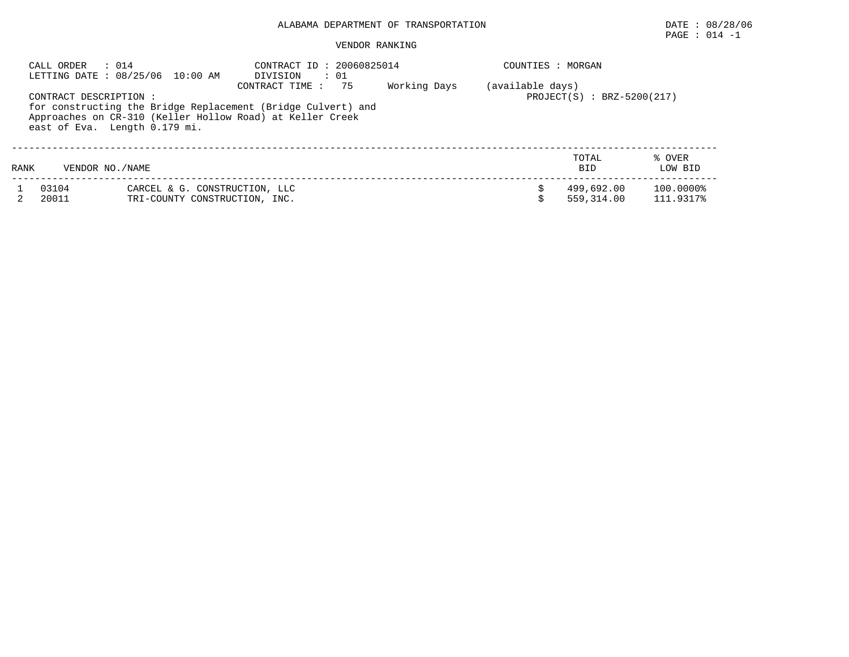# PAGE : 014 -1

## VENDOR RANKING

|      | CALL ORDER<br>: 014                                     | LETTING DATE : 08/25/06 10:00 AM                                                                                          | CONTRACT ID: 20060825014<br>DIVISION<br>$\cdot\quad 01$ |  |  | COUNTIES : MORGAN        |                        |  |  |  |
|------|---------------------------------------------------------|---------------------------------------------------------------------------------------------------------------------------|---------------------------------------------------------|--|--|--------------------------|------------------------|--|--|--|
|      | CONTRACT DESCRIPTION :<br>east of Eva. Length 0.179 mi. | for constructing the Bridge Replacement (Bridge Culvert) and<br>Approaches on CR-310 (Keller Hollow Road) at Keller Creek | (available days)<br>$PROJECT(S) : BRZ-5200(217)$        |  |  |                          |                        |  |  |  |
| RANK | VENDOR NO./NAME                                         |                                                                                                                           |                                                         |  |  | TOTAL<br><b>BID</b>      | % OVER<br>LOW BID      |  |  |  |
|      | 03104<br>20011                                          | CARCEL & G. CONSTRUCTION, LLC<br>TRI-COUNTY CONSTRUCTION, INC.                                                            |                                                         |  |  | 499,692.00<br>559.314.00 | 100.0000%<br>111.9317% |  |  |  |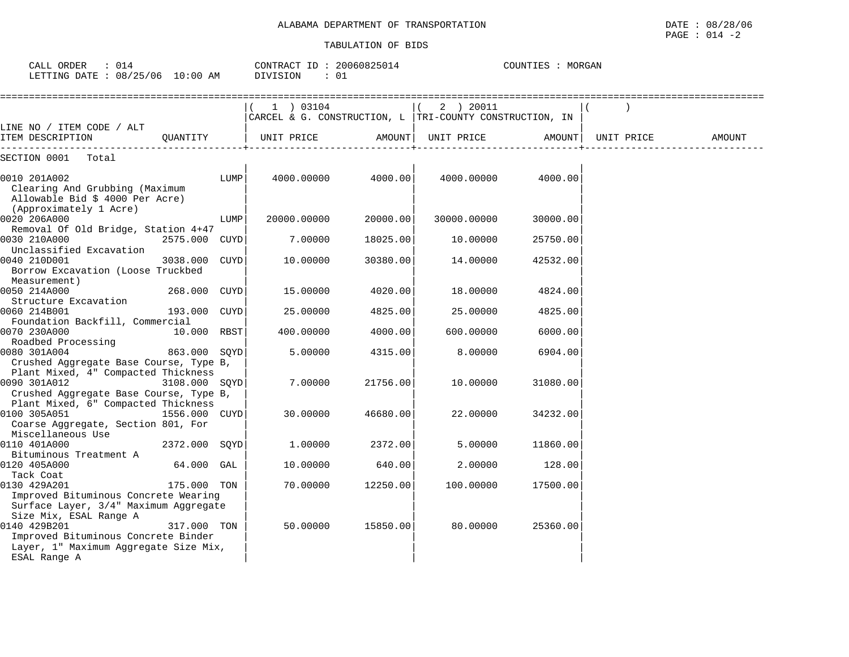| CALL ORDER : 014<br>LETTING DATE: 08/25/06 10:00 AM |          | CONTRACT ID: 20060825014<br>DIVISION<br>$\cdot$ 01 |        |                                                         | COUNTIES : MORGAN |            |        |
|-----------------------------------------------------|----------|----------------------------------------------------|--------|---------------------------------------------------------|-------------------|------------|--------|
| LINE NO / ITEM CODE / ALT<br>ITEM DESCRIPTION       | OUANTITY | 03104<br>CARCEL & G. CONSTRUCTION, L<br>UNIT PRICE | AMOUNT | 20011<br>2<br>TRI-COUNTY CONSTRUCTION, IN<br>UNIT PRICE | AMOUNT            | UNIT PRICE | AMOUNT |
| SECTION 0001<br>Total                               |          |                                                    |        |                                                         |                   |            |        |

| 0010 201A002<br>Clearing And Grubbing (Maximum    |               | LUMP        | 4000.00000  | 4000.00  | 4000.00000  | 4000.00  |  |
|---------------------------------------------------|---------------|-------------|-------------|----------|-------------|----------|--|
| Allowable Bid \$ 4000 Per Acre)                   |               |             |             |          |             |          |  |
| (Approximately 1 Acre)                            |               |             |             |          |             |          |  |
| 0020 206A000                                      |               | LUMP        | 20000.00000 | 20000.00 | 30000.00000 | 30000.00 |  |
| Removal Of Old Bridge, Station 4+47               |               |             |             |          |             |          |  |
| 0030 210A000                                      | 2575.000 CUYD |             | 7.00000     | 18025.00 | 10.00000    | 25750.00 |  |
| Unclassified Excavation                           |               |             |             |          |             |          |  |
| 0040 210D001<br>Borrow Excavation (Loose Truckbed | 3038.000      | <b>CUYD</b> | 10.00000    | 30380.00 | 14.00000    | 42532.00 |  |
| Measurement)<br>0050 214A000                      |               |             |             |          | 18.00000    |          |  |
| Structure Excavation                              | 268.000 CUYD  |             | 15.00000    | 4020.00  |             | 4824.00  |  |
| 0060 214B001                                      | 193.000       | CUYD        | 25.00000    |          | 25.00000    | 4825.00  |  |
|                                                   |               |             |             | 4825.00  |             |          |  |
| Foundation Backfill, Commercial<br>0070 230A000   | 10.000        | RBST        | 400.00000   | 4000.00  | 600.00000   | 6000.00  |  |
| Roadbed Processing                                |               |             |             |          |             |          |  |
| 0080 301A004                                      | 863.000       | SQYD        | 5.00000     | 4315.00  | 8.00000     | 6904.00  |  |
| Crushed Aggregate Base Course, Type B,            |               |             |             |          |             |          |  |
| Plant Mixed, 4" Compacted Thickness               |               |             |             |          |             |          |  |
| 0090 301A012                                      | 3108.000 SOYD |             | 7.00000     | 21756.00 | 10.00000    | 31080.00 |  |
| Crushed Aggregate Base Course, Type B,            |               |             |             |          |             |          |  |
| Plant Mixed, 6" Compacted Thickness               |               |             |             |          |             |          |  |
| 0100 305A051                                      | 1556.000 CUYD |             | 30.00000    | 46680.00 | 22.00000    | 34232.00 |  |
| Coarse Aggregate, Section 801, For                |               |             |             |          |             |          |  |
| Miscellaneous Use                                 |               |             |             |          |             |          |  |
| 0110 401A000                                      | 2372.000 SQYD |             | 1,00000     | 2372.00  | 5.00000     | 11860.00 |  |
| Bituminous Treatment A                            |               |             |             |          |             |          |  |
| 0120 405A000                                      | 64.000        | GAL         | 10.00000    | 640.00   | 2.00000     | 128.00   |  |
| Tack Coat                                         |               |             |             |          |             |          |  |
| 0130 429A201                                      | 175.000       | TON         | 70.00000    | 12250.00 | 100.00000   | 17500.00 |  |
| Improved Bituminous Concrete Wearing              |               |             |             |          |             |          |  |
| Surface Layer, 3/4" Maximum Aggregate             |               |             |             |          |             |          |  |
| Size Mix, ESAL Range A                            |               |             |             |          |             |          |  |
| 0140 429B201                                      | 317.000 TON   |             | 50.00000    | 15850.00 | 80.00000    | 25360.00 |  |
| Improved Bituminous Concrete Binder               |               |             |             |          |             |          |  |
| Layer, 1" Maximum Aggregate Size Mix,             |               |             |             |          |             |          |  |
| ESAL Range A                                      |               |             |             |          |             |          |  |
|                                                   |               |             |             |          |             |          |  |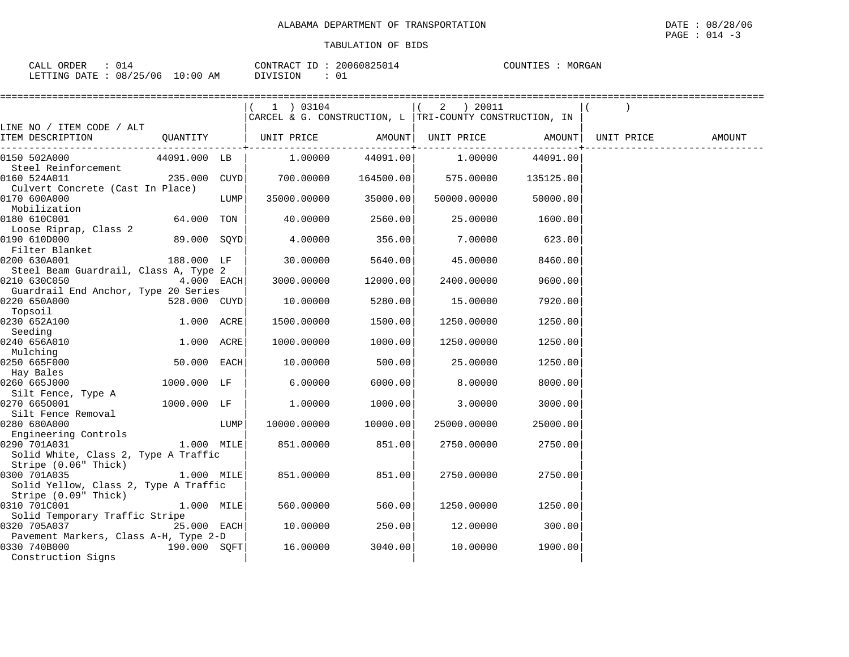| ORDER<br>$\sim$ $\sim$ $\sim$<br>CALL |                         | 20060825014<br>CONTRACT ID | MORGAN<br>COUNTIES |
|---------------------------------------|-------------------------|----------------------------|--------------------|
| LETTING<br>DATE                       | 10:00<br>08/25/06<br>AΜ | ∩.<br>DIVISION<br>◡∸       |                    |

|                                                      |              |      | (1) 03104                                               |          | 2 ) 20011   |                           |            |        |
|------------------------------------------------------|--------------|------|---------------------------------------------------------|----------|-------------|---------------------------|------------|--------|
|                                                      |              |      | CARCEL & G. CONSTRUCTION, L TRI-COUNTY CONSTRUCTION, IN |          |             |                           |            |        |
| LINE NO / ITEM CODE / ALT<br>ITEM DESCRIPTION        |              |      | QUANTITY   UNIT PRICE     AMOUNT  UNIT PRICE     AMOUNT |          |             |                           | UNIT PRICE | AMOUNT |
|                                                      |              |      |                                                         |          |             | . _ _ _ _ _ _ _ _ _ _ _ _ |            |        |
| 0150 502A000                                         | 44091.000 LB |      | $1.00000$ 44091.00                                      |          | 1.00000     | 44091.00                  |            |        |
| Steel Reinforcement                                  |              |      |                                                         |          |             |                           |            |        |
| 0160 524A011                                         | 235.000 CUYD |      | 700.00000 164500.00                                     |          | 575.00000   | 135125.00                 |            |        |
| Culvert Concrete (Cast In Place)<br>0170 600A000     |              | LUMP | 35000.00000                                             | 35000.00 | 50000.00000 | 50000.00                  |            |        |
| Mobilization                                         |              |      |                                                         |          |             |                           |            |        |
| 0180 610C001                                         | 64.000 TON   |      | 40.00000                                                | 2560.00  | 25.00000    | 1600.00                   |            |        |
| Loose Riprap, Class 2                                |              |      |                                                         |          |             |                           |            |        |
| 0190 610D000                                         | 89.000 SOYD  |      | 4.00000                                                 | 356.00   | 7.00000     | 623.00                    |            |        |
| Filter Blanket                                       |              |      |                                                         |          |             |                           |            |        |
| 0200 630A001                                         | 188.000 LF   |      | 30.00000                                                | 5640.00  | 45.00000    | 8460.00                   |            |        |
| Steel Beam Guardrail, Class A, Type 2                |              |      |                                                         |          |             |                           |            |        |
| 0210 630C050<br>Guardrail End Anchor, Type 20 Series | $4.000$ EACH |      | 3000.00000                                              | 12000.00 | 2400.00000  | 9600.00                   |            |        |
| 0220 650A000                                         | 528.000 CUYD |      | 10.00000                                                | 5280.00  | 15.00000    | 7920.00                   |            |        |
| Topsoil                                              |              |      |                                                         |          |             |                           |            |        |
| 0230 652A100                                         | 1.000 ACRE   |      | 1500.00000                                              | 1500.00  | 1250.00000  | 1250.00                   |            |        |
| Seeding                                              |              |      |                                                         |          |             |                           |            |        |
| 0240 656A010                                         | 1.000 ACRE   |      | 1000.00000                                              | 1000.00  | 1250.00000  | 1250.00                   |            |        |
| Mulching                                             |              |      |                                                         |          |             |                           |            |        |
| 0250 665F000<br>Hay Bales                            | 50.000 EACH  |      | 10.00000                                                | 500.00   | 25,00000    | 1250.00                   |            |        |
| 0260 665J000                                         | 1000.000 LF  |      | 6.00000                                                 | 6000.00  | 8.00000     | 8000.00                   |            |        |
| Silt Fence, Type A                                   |              |      |                                                         |          |             |                           |            |        |
| 0270 6650001                                         | 1000.000 LF  |      | 1.00000                                                 | 1000.00  | 3.00000     | 3000.00                   |            |        |
| Silt Fence Removal                                   |              |      |                                                         |          |             |                           |            |        |
| 0280 680A000                                         |              | LUMP | 10000.00000                                             | 10000.00 | 25000.00000 | 25000.00                  |            |        |
| Engineering Controls                                 |              |      |                                                         |          |             |                           |            |        |
| 0290 701A031                                         | 1.000 MILE   |      | 851.00000                                               | 851.00   | 2750.00000  | 2750.00                   |            |        |
| Solid White, Class 2, Type A Traffic                 |              |      |                                                         |          |             |                           |            |        |
| Stripe (0.06" Thick)<br>0300 701A035                 | $1.000$ MILE |      | 851,00000                                               | 851.00   | 2750.00000  | 2750.00                   |            |        |
| Solid Yellow, Class 2, Type A Traffic                |              |      |                                                         |          |             |                           |            |        |
| Stripe (0.09" Thick)                                 |              |      |                                                         |          |             |                           |            |        |
| 0310 701C001                                         | 1.000 MILE   |      | 560.00000                                               | 560.00   | 1250.00000  | 1250.00                   |            |        |
| Solid Temporary Traffic Stripe                       |              |      |                                                         |          |             |                           |            |        |
| 0320 705A037                                         | 25.000 EACH  |      | 10.00000                                                | 250.00   | 12.00000    | 300.00                    |            |        |
| Pavement Markers, Class A-H, Type 2-D                |              |      |                                                         |          |             |                           |            |        |
| 0330 740B000                                         | 190.000 SQFT |      | 16.00000                                                | 3040.00  | 10.00000    | 1900.00                   |            |        |
| Construction Signs                                   |              |      |                                                         |          |             |                           |            |        |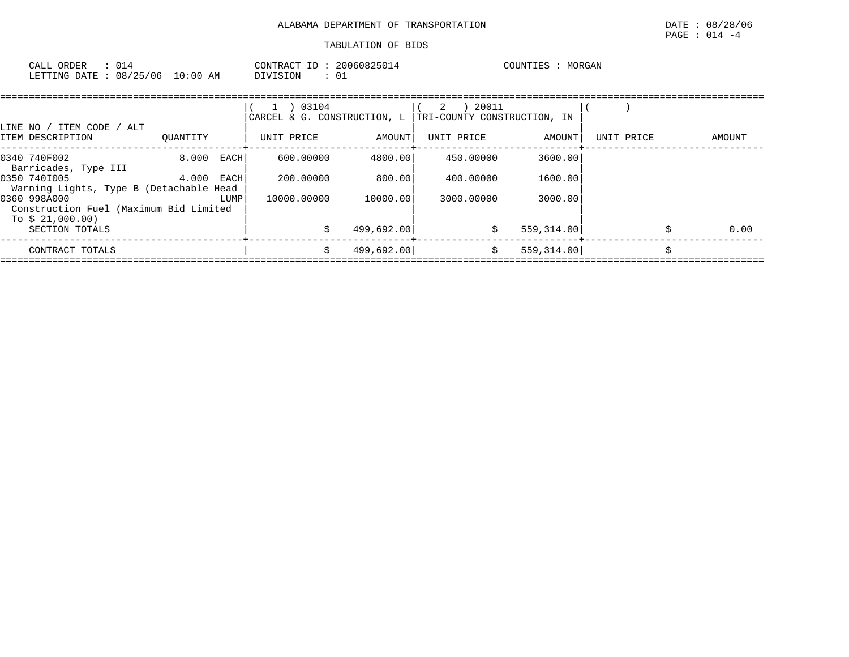| 014<br>CALL ORDER               | CONTRACT ID: | 20060825014 | MORGAN<br>COUNTIES |
|---------------------------------|--------------|-------------|--------------------|
| LETTING DATE: 08/25/06 10:00 AM | DIVISION     | ∟0          |                    |

|                                                                            |              |      | 03104<br>$\perp$<br>CARCEL & G. CONSTRUCTION, L |            | 20011<br>2<br>TRI-COUNTY CONSTRUCTION, IN |            |            |        |
|----------------------------------------------------------------------------|--------------|------|-------------------------------------------------|------------|-------------------------------------------|------------|------------|--------|
| LINE NO / ITEM CODE / ALT<br>ITEM DESCRIPTION                              | OUANTITY     |      | UNIT PRICE                                      | AMOUNT     | UNIT PRICE                                | AMOUNT     | UNIT PRICE | AMOUNT |
| 0340 740F002<br>Barricades, Type III                                       | 8.000 EACH   |      | 600,00000                                       | 4800.00    | 450.00000                                 | 3600.00    |            |        |
| 0350 7401005<br>Warning Lights, Type B (Detachable Head                    | $4.000$ EACH |      | 200,00000                                       | 800.00     | 400.00000                                 | 1600.00    |            |        |
| 0360 998A000<br>Construction Fuel (Maximum Bid Limited<br>To $$21,000.00)$ |              | LUMP | 10000.00000                                     | 10000.00   | 3000.00000                                | 3000.00    |            |        |
| SECTION TOTALS                                                             |              |      |                                                 | 499,692.00 | \$                                        | 559,314.00 |            | 0.00   |
| CONTRACT TOTALS                                                            |              |      | Ŝ.                                              | 499,692.00 | \$                                        | 559,314.00 |            |        |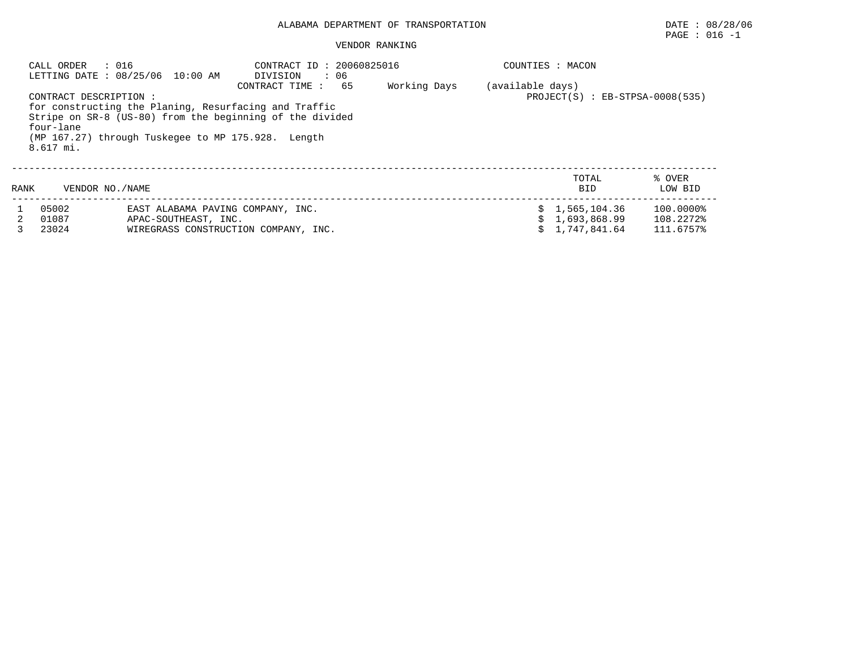#### VENDOR RANKING

|                                                                                                                                                                                                                                                                      | CALL ORDER<br>: 016 | LETTING DATE : 08/25/06 10:00 AM  | CONTRACT ID: 20060825016<br>DIVISION<br>: 06<br>65<br>CONTRACT TIME : | Working Days | (available days) | COUNTIES : MACON    |                   |  |  |
|----------------------------------------------------------------------------------------------------------------------------------------------------------------------------------------------------------------------------------------------------------------------|---------------------|-----------------------------------|-----------------------------------------------------------------------|--------------|------------------|---------------------|-------------------|--|--|
| $PROJECT(S)$ : $EB-STPSA-0008(535)$<br>CONTRACT DESCRIPTION :<br>for constructing the Planing, Resurfacing and Traffic<br>Stripe on SR-8 (US-80) from the beginning of the divided<br>four-lane<br>(MP 167.27) through Tuskegee to MP 175.928. Length<br>$8.617$ mi. |                     |                                   |                                                                       |              |                  |                     |                   |  |  |
| RANK                                                                                                                                                                                                                                                                 | VENDOR NO./NAME     |                                   |                                                                       |              |                  | TOTAL<br><b>BID</b> | % OVER<br>LOW BID |  |  |
|                                                                                                                                                                                                                                                                      | 05002               | EAST ALABAMA PAVING COMPANY, INC. |                                                                       |              |                  | \$1,565,104.36      | 100.0000%         |  |  |
|                                                                                                                                                                                                                                                                      | 01087               | APAC-SOUTHEAST, INC.              |                                                                       |              |                  | 1,693,868.99        | 108.2272%         |  |  |
|                                                                                                                                                                                                                                                                      | 23024               |                                   | WIREGRASS CONSTRUCTION COMPANY, INC.                                  |              |                  | 1,747,841.64        | 111.6757%         |  |  |

 $\texttt{PAGE}$  : 016 -1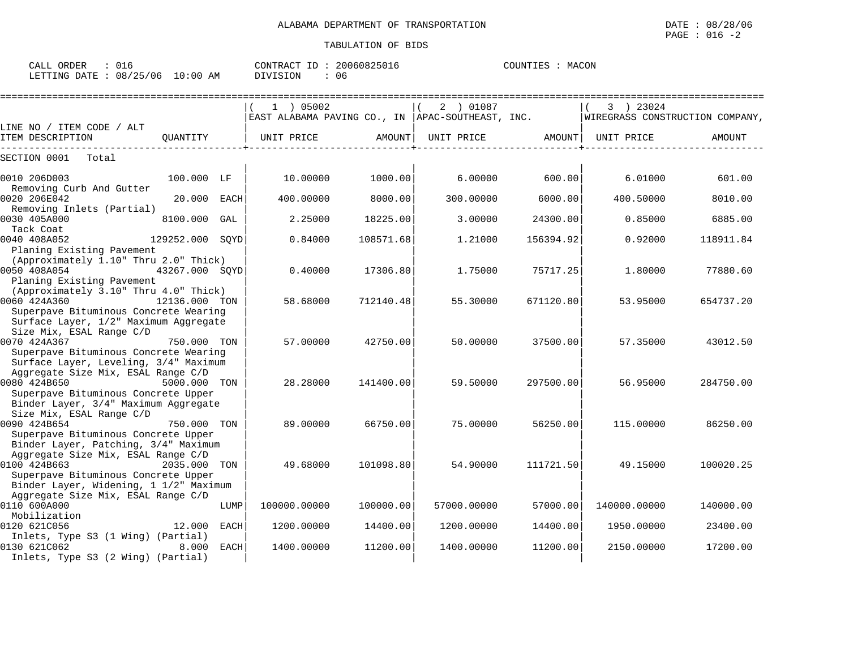| CALL ORDER                      | 016 | CONTRACT ID: 20060825016 |    | COUNTIES : MACON |  |
|---------------------------------|-----|--------------------------|----|------------------|--|
| LETTING DATE: 08/25/06 10:00 AM |     | DIVISION                 | 06 |                  |  |

|                                                                                                         |                 |             | $1$ ) 05002<br>EAST ALABAMA PAVING CO., IN  APAC-SOUTHEAST, INC. |           | 2 ) 01087   |           | 3 ) 23024<br>  WIREGRASS CONSTRUCTION COMPANY, |           |
|---------------------------------------------------------------------------------------------------------|-----------------|-------------|------------------------------------------------------------------|-----------|-------------|-----------|------------------------------------------------|-----------|
| LINE NO / ITEM CODE / ALT                                                                               |                 |             |                                                                  |           |             |           |                                                |           |
| ITEM DESCRIPTION                                                                                        | OUANTITY        |             | UNIT PRICE                                                       | AMOUNT    | UNIT PRICE  | AMOUNT    | UNIT PRICE                                     | AMOUNT    |
| SECTION 0001<br>Total                                                                                   |                 |             |                                                                  |           |             |           |                                                |           |
| 0010 206D003                                                                                            | 100.000 LF      |             | 10.00000                                                         | 1000.00   | 6,00000     | 600.00    | 6.01000                                        | 601.00    |
| Removing Curb And Gutter<br>0020 206E042                                                                | 20.000 EACH     |             | 400.00000                                                        | 8000.00   | 300.00000   | 6000.00   | 400.50000                                      | 8010.00   |
| Removing Inlets (Partial)<br>0030 405A000<br>Tack Coat                                                  | 8100.000        | GAL         | 2.25000                                                          | 18225.00  | 3.00000     | 24300.00  | 0.85000                                        | 6885.00   |
| 0040 408A052<br>Planing Existing Pavement                                                               | 129252.000 SOYD |             | 0.84000                                                          | 108571.68 | 1.21000     | 156394.92 | 0.92000                                        | 118911.84 |
| (Approximately 1.10" Thru 2.0" Thick)<br>0050 408A054<br>Planing Existing Pavement                      | 43267.000 SOYD  |             | 0.40000                                                          | 17306.80  | 1.75000     | 75717.25  | 1.80000                                        | 77880.60  |
| (Approximately 3.10" Thru 4.0" Thick)<br>0060 424A360<br>Superpave Bituminous Concrete Wearing          | 12136.000 TON   |             | 58.68000                                                         | 712140.48 | 55.30000    | 671120.80 | 53.95000                                       | 654737.20 |
| Surface Layer, 1/2" Maximum Aggregate<br>Size Mix, ESAL Range C/D<br>0070 424A367                       | 750.000 TON     |             | 57.00000                                                         | 42750.00  | 50.00000    | 37500.00  | 57.35000                                       | 43012.50  |
| Superpave Bituminous Concrete Wearing<br>Surface Layer, Leveling, 3/4" Maximum                          |                 |             |                                                                  |           |             |           |                                                |           |
| Aggregate Size Mix, ESAL Range C/D<br>0080 424B650                                                      | 5000.000 TON    |             | 28,28000                                                         | 141400.00 | 59.50000    | 297500.00 | 56.95000                                       | 284750.00 |
| Superpave Bituminous Concrete Upper<br>Binder Layer, 3/4" Maximum Aggregate<br>Size Mix, ESAL Range C/D |                 |             |                                                                  |           |             |           |                                                |           |
| 0090 424B654<br>Superpave Bituminous Concrete Upper                                                     | 750.000 TON     |             | 89,00000                                                         | 66750.00  | 75.00000    | 56250.00  | 115,00000                                      | 86250.00  |
| Binder Layer, Patching, 3/4" Maximum<br>Aggregate Size Mix, ESAL Range C/D                              |                 |             |                                                                  |           |             |           |                                                |           |
| 0100 424B663<br>Superpave Bituminous Concrete Upper<br>Binder Layer, Widening, 1 1/2" Maximum           | 2035.000 TON    |             | 49.68000                                                         | 101098.80 | 54.90000    | 111721.50 | 49.15000                                       | 100020.25 |
| Aggregate Size Mix, ESAL Range C/D<br>0110 600A000<br>Mobilization                                      |                 | LUMP        | 100000.00000                                                     | 100000.00 | 57000.00000 | 57000.00  | 140000.00000                                   | 140000.00 |
| 0120 621C056<br>Inlets, Type S3 (1 Wing) (Partial)                                                      | 12.000          | <b>EACH</b> | 1200.00000                                                       | 14400.00  | 1200.00000  | 14400.00  | 1950.00000                                     | 23400.00  |
| 0130 621C062<br>Inlets, Type S3 (2 Wing) (Partial)                                                      | 8.000           | <b>EACH</b> | 1400.00000                                                       | 11200.00  | 1400.00000  | 11200.00  | 2150.00000                                     | 17200.00  |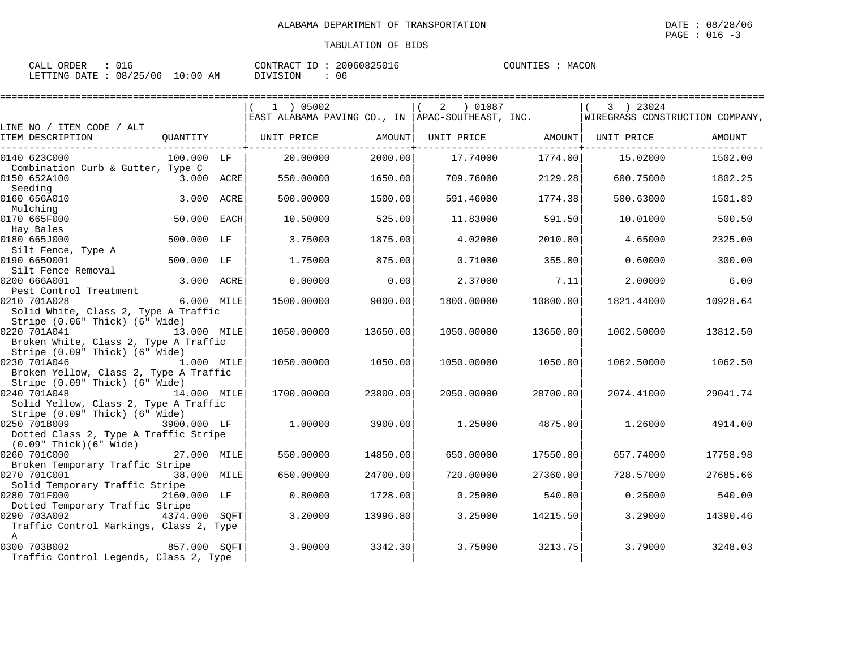| ORDER<br>CALL |                        |            | CONTRACT ID:    | 20060825016 | COUNTIES | MACON |
|---------------|------------------------|------------|-----------------|-------------|----------|-------|
|               | LETTING DATE: 08/25/06 | $10:00$ AM | <b>DIVISION</b> | 06          |          |       |

|                                                                                          |               |      | 1 ) 05002                                         |          | 2 ) 01087         |          | 3 ) 23024<br>WIREGRASS CONSTRUCTION COMPANY, |          |
|------------------------------------------------------------------------------------------|---------------|------|---------------------------------------------------|----------|-------------------|----------|----------------------------------------------|----------|
| LINE NO / ITEM CODE / ALT                                                                |               |      | EAST ALABAMA PAVING CO., IN  APAC-SOUTHEAST, INC. |          |                   |          |                                              |          |
| ITEM DESCRIPTION                                                                         |               |      | QUANTITY   UNIT PRICE                             | AMOUNT   | UNIT PRICE AMOUNT |          | UNIT PRICE                                   | AMOUNT   |
| 0140 623C000                                                                             | 100.000 LF    |      | 20.00000                                          | 2000.00  | 17.74000          | 1774.00  | 15.02000                                     | 1502.00  |
| Combination Curb & Gutter, Type C<br>0150 652A100                                        | 3.000 ACRE    |      | 550.00000                                         | 1650.00  | 709.76000         | 2129.28  | 600.75000                                    | 1802.25  |
| Seeding<br>0160 656A010<br>Mulching                                                      | 3.000         | ACRE | 500.00000                                         | 1500.00  | 591.46000         | 1774.38  | 500.63000                                    | 1501.89  |
| 0170 665F000<br>Hay Bales                                                                | 50.000        | EACH | 10.50000                                          | 525.00   | 11.83000          | 591.50   | 10.01000                                     | 500.50   |
| 0180 665J000<br>Silt Fence, Type A                                                       | 500.000 LF    |      | 3.75000                                           | 1875.00  | 4.02000           | 2010.00  | 4.65000                                      | 2325.00  |
| 0190 6650001<br>Silt Fence Removal                                                       | 500.000 LF    |      | 1,75000                                           | 875.00   | 0.71000           | 355.00   | 0.60000                                      | 300.00   |
| 0200 666A001<br>Pest Control Treatment                                                   | 3.000 ACRE    |      | 0.00000                                           | 0.00     | 2.37000           | 7.11     | 2,00000                                      | 6.00     |
| 0210 701A028<br>Solid White, Class 2, Type A Traffic<br>Stripe (0.06" Thick) (6" Wide)   | 6.000 MILE    |      | 1500.00000                                        | 9000.00  | 1800.00000        | 10800.00 | 1821.44000                                   | 10928.64 |
| 0220 701A041<br>Broken White, Class 2, Type A Traffic                                    | 13.000 MILE   |      | 1050.00000                                        | 13650.00 | 1050.00000        | 13650.00 | 1062.50000                                   | 13812.50 |
| Stripe (0.09" Thick) (6" Wide)<br>0230 701A046<br>Broken Yellow, Class 2, Type A Traffic | 1.000 MILE    |      | 1050.00000                                        | 1050.00  | 1050.00000        | 1050.00  | 1062.50000                                   | 1062.50  |
| Stripe (0.09" Thick) (6" Wide)<br>0240 701A048<br>Solid Yellow, Class 2, Type A Traffic  | 14.000 MILE   |      | 1700.00000                                        | 23800.00 | 2050.00000        | 28700.00 | 2074.41000                                   | 29041.74 |
| Stripe (0.09" Thick) (6" Wide)<br>0250 701B009<br>Dotted Class 2, Type A Traffic Stripe  | 3900.000 LF   |      | 1,00000                                           | 3900.00  | 1.25000           | 4875.00  | 1.26000                                      | 4914.00  |
| $(0.09"$ Thick $)(6"$ Wide $)$<br>0260 701C000                                           | 27.000 MILE   |      | 550.00000                                         | 14850.00 | 650.00000         | 17550.00 | 657.74000                                    | 17758.98 |
| Broken Temporary Traffic Stripe<br>0270 701C001                                          | 38.000 MILE   |      | 650.00000                                         | 24700.00 | 720.00000         | 27360.00 | 728.57000                                    | 27685.66 |
| Solid Temporary Traffic Stripe<br>0280 701F000<br>Dotted Temporary Traffic Stripe        | 2160.000 LF   |      | 0.80000                                           | 1728.00  | 0.25000           | 540.00   | 0.25000                                      | 540.00   |
| 0290 703A002<br>Traffic Control Markings, Class 2, Type                                  | 4374.000 SOFT |      | 3.20000                                           | 13996.80 | 3.25000           | 14215.50 | 3.29000                                      | 14390.46 |
| $\mathbf{A}$<br>0300 703B002<br>857.000 SOFT<br>Traffic Control Legends, Class 2, Type   |               |      | 3.90000                                           | 3342.30  | 3.75000           | 3213.75  | 3.79000                                      | 3248.03  |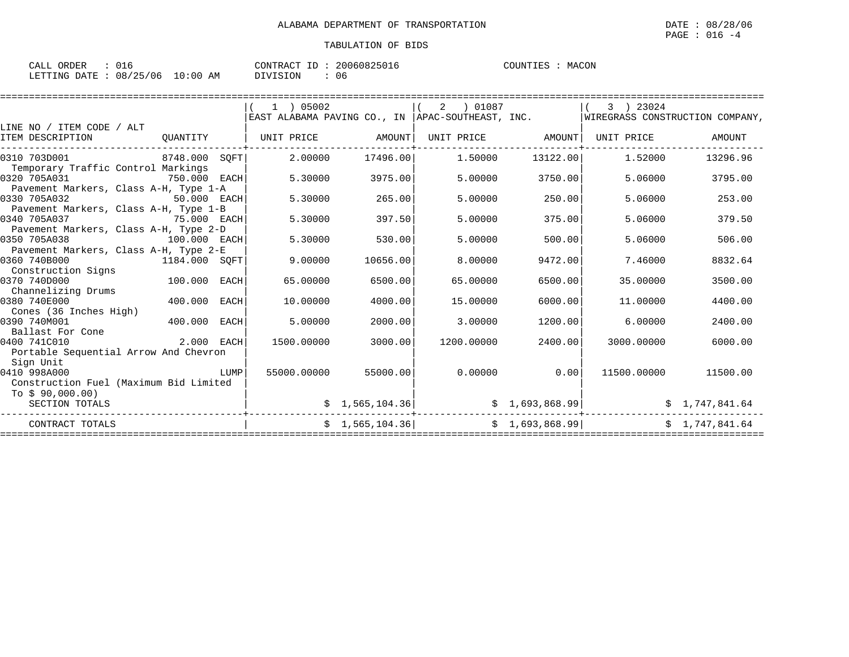| CALL ORDER                      |  |          |  | CONTRACT ID: 20060825016 | COUNTIES | MACON |
|---------------------------------|--|----------|--|--------------------------|----------|-------|
| LETTING DATE: 08/25/06 10:00 AM |  | DIVISION |  | 06                       |          |       |

|                                        |               |      | 1 ) 05002                                          |                 | 2   01087                                      |                 | 3 ) 23024                       |                      |
|----------------------------------------|---------------|------|----------------------------------------------------|-----------------|------------------------------------------------|-----------------|---------------------------------|----------------------|
|                                        |               |      | EAST ALABAMA PAVING CO., IN   APAC-SOUTHEAST, INC. |                 |                                                |                 | WIREGRASS CONSTRUCTION COMPANY, |                      |
| LINE NO / ITEM CODE / ALT              |               |      |                                                    |                 |                                                |                 |                                 |                      |
| ITEM DESCRIPTION                       | OUANTITY      |      | UNIT PRICE                                         | AMOUNT          | UNIT PRICE AMOUNT                              |                 | UNIT PRICE                      | AMOUNT               |
| 0310 703D001                           | 8748.000 SOFT |      | 2.00000                                            | 17496.00        | 1.50000                                        | 13122.00        | 1.52000                         | 13296.96             |
| Temporary Traffic Control Markings     |               |      |                                                    |                 |                                                |                 |                                 |                      |
| 0320 705A031                           | 750.000 EACH  |      | 5.30000                                            | 3975.00         | 5,00000                                        | 3750.00         | 5.06000                         | 3795.00              |
| Pavement Markers, Class A-H, Type 1-A  |               |      |                                                    |                 |                                                |                 |                                 |                      |
| 0330 705A032                           | 50.000 EACH   |      | 5.30000                                            | 265.00          | 5,00000                                        | 250.00          | 5.06000                         | 253.00               |
| Pavement Markers, Class A-H, Type 1-B  |               |      |                                                    |                 |                                                |                 |                                 |                      |
| 0340 705A037                           | 75.000 EACH   |      | 5.30000                                            | 397.50          | 5.00000                                        | 375.00          | 5.06000                         | 379.50               |
| Pavement Markers, Class A-H, Type 2-D  |               |      |                                                    |                 |                                                |                 |                                 |                      |
| 0350 705A038                           | 100.000 EACH  |      | 5.30000                                            | 530.00          | 5,00000                                        | 500.00          | 5.06000                         | 506.00               |
| Pavement Markers, Class A-H, Type 2-E  |               |      |                                                    |                 |                                                |                 |                                 |                      |
| 0360 740B000<br>1184.000 SQFT          |               |      | 9.00000                                            | 10656.00        | 8.00000                                        | 9472.00         | 7.46000                         | 8832.64              |
| Construction Signs                     |               |      |                                                    |                 |                                                |                 |                                 |                      |
| 0370 740D000                           | 100.000       | EACH | 65.00000                                           | 6500.00         | 65.00000                                       | 6500.00         | 35,00000                        | 3500.00              |
| Channelizing Drums                     |               |      |                                                    |                 |                                                |                 |                                 |                      |
| 0380 740E000                           | 400.000 EACH  |      | 10.00000                                           | 4000.00         | 15,00000                                       | 6000.00         | 11,00000                        | 4400.00              |
| Cones (36 Inches High)                 |               |      |                                                    |                 |                                                |                 |                                 |                      |
| 0390 740M001                           | 400.000       | EACH | 5,00000                                            | 2000.00         | 3.00000                                        | 1200.00         | 6.00000                         | 2400.00              |
| Ballast For Cone                       |               |      |                                                    |                 |                                                |                 |                                 |                      |
| $2.000$ EACH<br>0400 741C010           |               |      | 1500.00000                                         | 3000.00         | 1200.00000                                     | 2400.00         | 3000.00000                      | 6000.00              |
| Portable Sequential Arrow And Chevron  |               |      |                                                    |                 |                                                |                 |                                 |                      |
| Sign Unit                              |               |      |                                                    |                 |                                                |                 |                                 |                      |
| 0410 998A000                           |               | LUMP | 55000.00000                                        | 55000.00        | 0.00000                                        | 0.00            |                                 | 11500.00000 11500.00 |
| Construction Fuel (Maximum Bid Limited |               |      |                                                    |                 |                                                |                 |                                 |                      |
| To \$90,000.00)                        |               |      |                                                    |                 |                                                |                 |                                 |                      |
| SECTION TOTALS                         |               |      |                                                    | \$1,565,104.36] |                                                | \$1,693,868.99] |                                 | \$1,747,841.64       |
| CONTRACT TOTALS                        |               |      |                                                    |                 | $\sin 1, 565, 104.36$ $\sin 3, 1, 693, 868.99$ |                 |                                 | \$1,747,841.64       |
|                                        |               |      |                                                    |                 |                                                |                 |                                 |                      |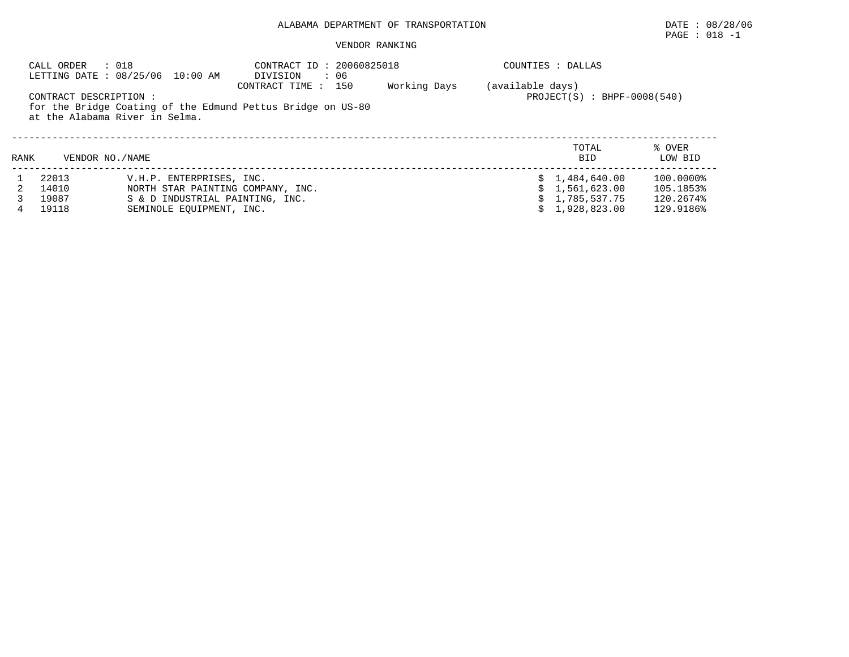## PAGE : 018 -1

#### VENDOR RANKING

|                                                                                                                                                                                                                     | : 018<br>CALL ORDER | CONTRACT ID: 20060825018<br>LETTING DATE : 08/25/06 10:00 AM<br>DIVISION<br>: 06 |  | COUNTIES : DALLAS |                     |                   |
|---------------------------------------------------------------------------------------------------------------------------------------------------------------------------------------------------------------------|---------------------|----------------------------------------------------------------------------------|--|-------------------|---------------------|-------------------|
| Working Days<br>(available days)<br>CONTRACT TIME : 150<br>$PROJECT(S) : BHPF-0008(540)$<br>CONTRACT DESCRIPTION :<br>for the Bridge Coating of the Edmund Pettus Bridge on US-80<br>at the Alabama River in Selma. |                     |                                                                                  |  |                   |                     |                   |
| RANK                                                                                                                                                                                                                | VENDOR NO./NAME     |                                                                                  |  |                   | TOTAL<br><b>BID</b> | % OVER<br>LOW BID |
|                                                                                                                                                                                                                     | 22013               | V.H.P. ENTERPRISES, INC.                                                         |  |                   | \$1.484.640.00      | 100.0000%         |
|                                                                                                                                                                                                                     | 14010               | NORTH STAR PAINTING COMPANY, INC.                                                |  |                   | 1,561,623.00        | 105.1853%         |
|                                                                                                                                                                                                                     | 19087               | S & D INDUSTRIAL PAINTING, INC.                                                  |  |                   | 1,785,537.75        | 120.2674%         |
| 4                                                                                                                                                                                                                   | 19118               | SEMINOLE EOUIPMENT, INC.                                                         |  |                   | 1,928,823.00        | 129.9186%         |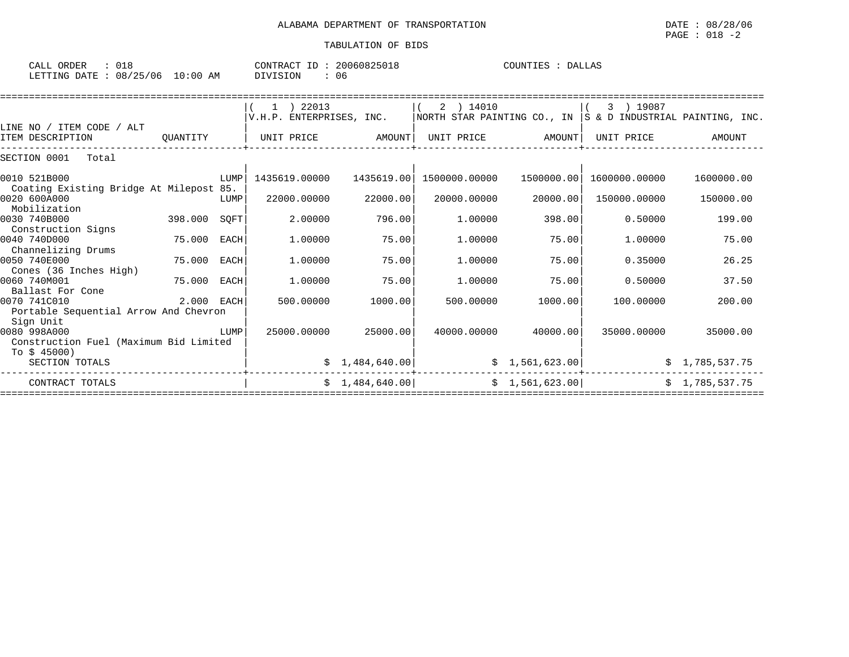| CALL<br>ORDER |                   |             | $\pi \cap m$<br>ONTRAC | 60825018<br>2006 | $COTINTTTF^T$ | DALLAS |
|---------------|-------------------|-------------|------------------------|------------------|---------------|--------|
| LETTING DATE  | 125<br>/06<br>08/ | LO:00<br>AM | DIVISION               | -06              |               |        |

|                                                         |             | 1 ) 22013                |                 | 2 ) 14010                   |                | 3 ) 19087                       |                |
|---------------------------------------------------------|-------------|--------------------------|-----------------|-----------------------------|----------------|---------------------------------|----------------|
|                                                         |             | V.H.P. ENTERPRISES, INC. |                 | NORTH STAR PAINTING CO., IN |                | S & D INDUSTRIAL PAINTING, INC. |                |
| LINE NO / ITEM CODE / ALT                               |             |                          |                 |                             |                |                                 |                |
| ITEM DESCRIPTION<br>OUANTITY                            |             | UNIT PRICE               | AMOUNT          | UNIT PRICE                  | AMOUNT         | UNIT PRICE                      | AMOUNT         |
| SECTION 0001<br>Total                                   |             |                          |                 |                             |                |                                 |                |
| 0010 521B000                                            | LUMP        | 1435619.00000            | 1435619.00      | 1500000.00000               | 1500000.00     | 1600000.00000                   | 1600000.00     |
| Coating Existing Bridge At Milepost 85.<br>0020 600A000 | LUMP        | 22000.00000              | 22000.00        | 20000.00000                 | 20000.00       | 150000.00000                    | 150000.00      |
| Mobilization<br>0030 740B000<br>398.000                 | SQFT        | 2.00000                  | 796.00          | 1,00000                     | 398.00         | 0.50000                         | 199.00         |
| Construction Signs                                      |             |                          |                 |                             |                |                                 |                |
| 0040 740D000<br>75.000<br>Channelizing Drums            | <b>EACH</b> | 1,00000                  | 75.00           | 1,00000                     | 75.00          | 1,00000                         | 75.00          |
| 0050 740E000<br>75.000                                  | EACH        | 1,00000                  | 75.00           | 1,00000                     | 75.00          | 0.35000                         | 26.25          |
| Cones (36 Inches High)<br>0060 740M001                  | EACH        | 1,00000                  | 75.00           | 1,00000                     | 75.00          | 0.50000                         |                |
| 75.000<br>Ballast For Cone                              |             |                          |                 |                             |                |                                 | 37.50          |
| 0070 741C010<br>Portable Sequential Arrow And Chevron   | 2.000 EACH  | 500,00000                | 1000.00         | 500.00000                   | 1000.00        | 100.00000                       | 200.00         |
| Sign Unit                                               |             |                          |                 |                             |                |                                 |                |
| 0080 998A000                                            | LUMP        | 25000.00000              | 25000.00        | 40000.00000                 | 40000.00       | 35000.00000                     | 35000.00       |
| Construction Fuel (Maximum Bid Limited                  |             |                          |                 |                             |                |                                 |                |
| To \$ 45000)                                            |             |                          |                 |                             |                |                                 |                |
| SECTION TOTALS                                          |             |                          | \$1,484,640.00] |                             | \$1,561,623.00 |                                 | \$1,785,537.75 |
| CONTRACT TOTALS                                         |             |                          | \$1,484,640.00  |                             | \$1,561,623.00 |                                 | \$1,785,537.75 |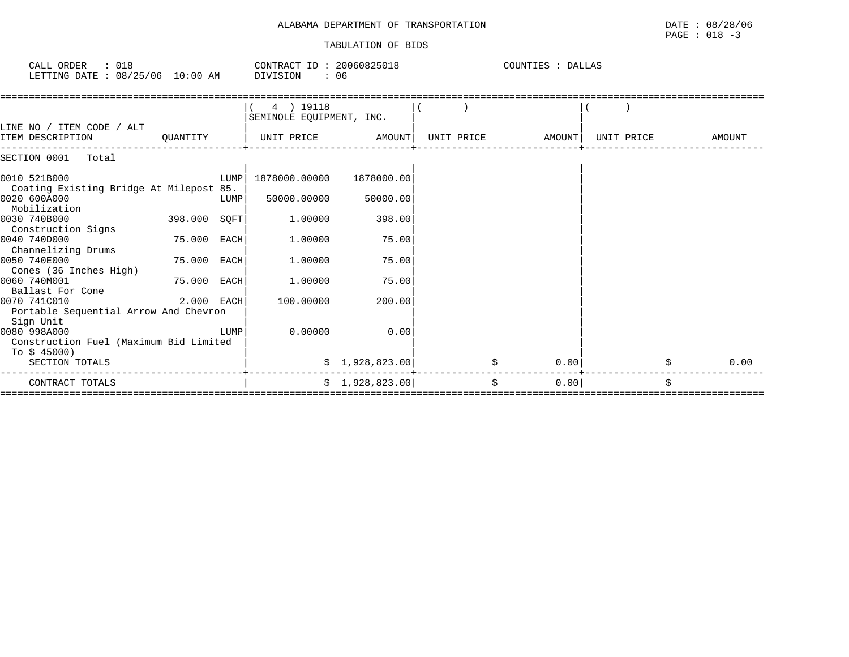## ALABAMA DEPARTMENT OF TRANSPORTATION DATE : 08/28/06 TABULATION OF BIDS

| CALL ORDER<br>: 018<br>LETTING DATE : 08/25/06 10:00 AM             |             |      | CONTRACT ID: 20060825018<br>DIVISION<br>: 06 |                |            | COUNTIES : DALLAS |            |        |  |  |
|---------------------------------------------------------------------|-------------|------|----------------------------------------------|----------------|------------|-------------------|------------|--------|--|--|
|                                                                     |             |      | 4 ) 19118<br>SEMINOLE EQUIPMENT, INC.        |                |            |                   |            |        |  |  |
| LINE NO / ITEM CODE / ALT<br>ITEM DESCRIPTION                       | OUANTITY    |      | UNIT PRICE                                   | AMOUNT         | UNIT PRICE | AMOUNT            | UNIT PRICE | AMOUNT |  |  |
| SECTION 0001<br>Total                                               |             |      |                                              |                |            |                   |            |        |  |  |
| 0010 521B000<br>Coating Existing Bridge At Milepost 85.             |             | LUMP | 1878000.00000                                | 1878000.00     |            |                   |            |        |  |  |
| 0020 600A000<br>Mobilization                                        |             | LUMP | 50000.00000                                  | 50000.00       |            |                   |            |        |  |  |
| 0030 740B000<br>Construction Signs                                  | 398.000     | SOFT | 1,00000                                      | 398.00         |            |                   |            |        |  |  |
| 0040 740D000<br>Channelizing Drums                                  | 75.000      | EACH | 1,00000                                      | 75.00          |            |                   |            |        |  |  |
| 0050 740E000<br>Cones (36 Inches High)                              | 75.000      | EACH | 1,00000                                      | 75.00          |            |                   |            |        |  |  |
| 0060 740M001<br>Ballast For Cone                                    | 75.000 EACH |      | 1,00000                                      | 75.00          |            |                   |            |        |  |  |
| 0070 741C010<br>Portable Sequential Arrow And Chevron               | 2.000 EACH  |      | 100.00000                                    | 200.00         |            |                   |            |        |  |  |
| Sign Unit<br>0080 998A000<br>Construction Fuel (Maximum Bid Limited |             | LUMP | 0.00000                                      | 0.00           |            |                   |            |        |  |  |
| To $$45000)$<br>SECTION TOTALS                                      |             |      |                                              | \$1,928,823.00 |            | 0.00              |            | 0.00   |  |  |
| CONTRACT TOTALS                                                     |             |      |                                              | \$1,928,823.00 |            | \$<br>0.00        | \$         |        |  |  |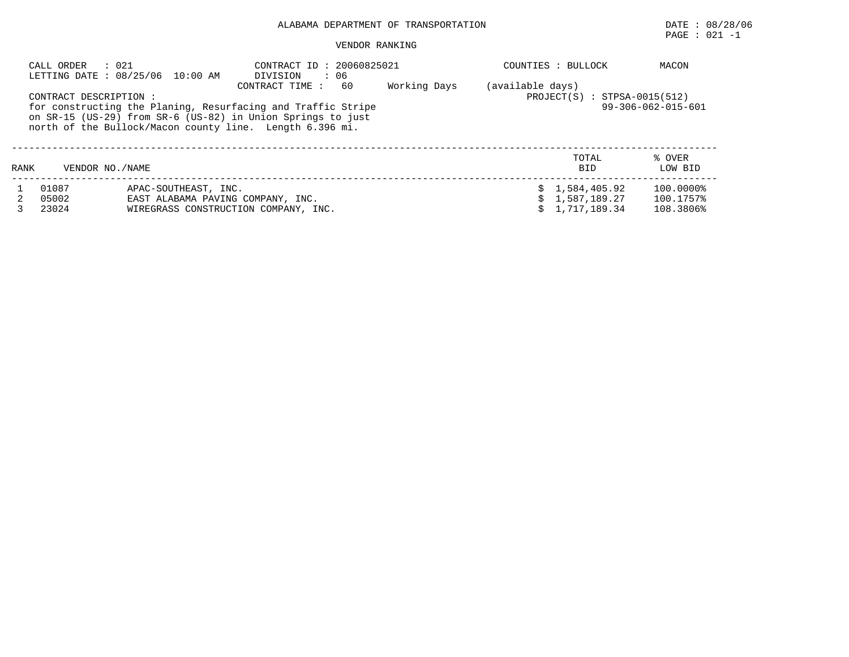## PAGE : 021 -1

### VENDOR RANKING

|      | : 021<br>CALL ORDER                                                                                                                                                                                               | LETTING DATE : 08/25/06 10:00 AM                   | CONTRACT ID: 20060825021<br>$\cdot$ 06<br>DIVISION |  | COUNTIES : BULLOCK  | MACON             |
|------|-------------------------------------------------------------------------------------------------------------------------------------------------------------------------------------------------------------------|----------------------------------------------------|----------------------------------------------------|--|---------------------|-------------------|
|      | CONTRACT DESCRIPTION :<br>for constructing the Planing, Resurfacing and Traffic Stripe<br>on SR-15 (US-29) from SR-6 (US-82) in Union Springs to just<br>north of the Bullock/Macon county line. Length 6.396 mi. | (available days)<br>$PROJECT(S) : STPSA-0015(512)$ | 99-306-062-015-601                                 |  |                     |                   |
| RANK | VENDOR NO. / NAME                                                                                                                                                                                                 |                                                    |                                                    |  | TOTAL<br><b>BID</b> | % OVER<br>LOW BID |
|      | 01087                                                                                                                                                                                                             | APAC-SOUTHEAST, INC.                               |                                                    |  | \$1,584,405.92      | 100.0000%         |
|      | 05002                                                                                                                                                                                                             | EAST ALABAMA PAVING COMPANY, INC.                  |                                                    |  | \$1.587.189.27      | 100.1757%         |
|      | 23024                                                                                                                                                                                                             |                                                    | WIREGRASS CONSTRUCTION COMPANY, INC.               |  | \$1.717.189.34      | 108.3806%         |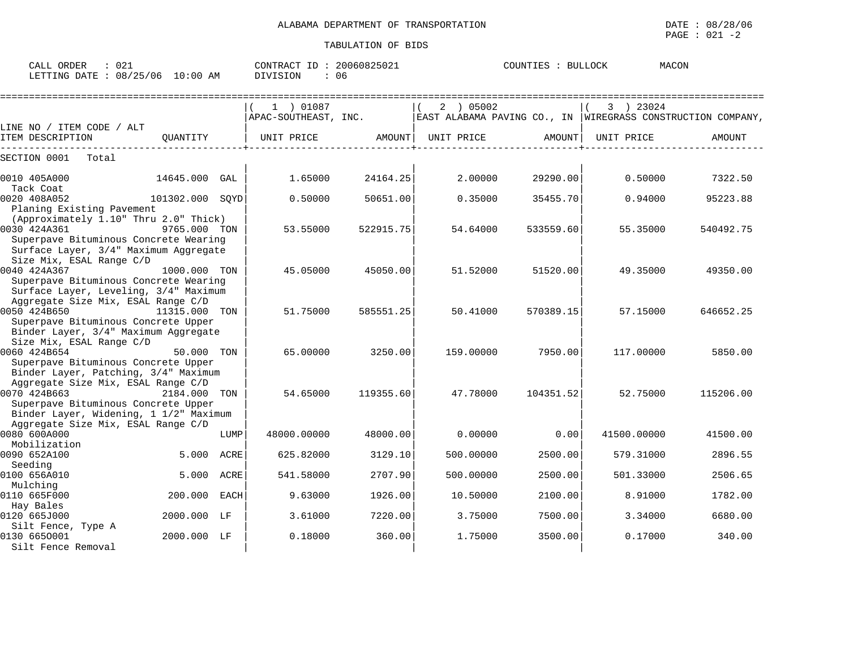|                                                                                                                                         |                 |                                                                                                             |                    |           |                    |             | $PAGE : 021 -2$ |
|-----------------------------------------------------------------------------------------------------------------------------------------|-----------------|-------------------------------------------------------------------------------------------------------------|--------------------|-----------|--------------------|-------------|-----------------|
|                                                                                                                                         |                 |                                                                                                             | TABULATION OF BIDS |           |                    |             |                 |
| CALL ORDER : 021 CONTRACT ID : 20060825021<br>LETTING DATE : 08/25/06 10:00 AM DIVISION : 06                                            |                 |                                                                                                             |                    |           | COUNTIES : BULLOCK |             | MACON           |
|                                                                                                                                         |                 | $(1)$ 01087<br>$ $ APAC-SOUTHEAST, INC. $ $ EAST ALABAMA PAVING CO., IN $ $ WIREGRASS CONSTRUCTION COMPANY, |                    | (2) 05002 |                    | $(3)$ 23024 |                 |
| LINE NO / ITEM CODE / ALT<br>[TEM DESCRIPTION QUANTITY   UNIT PRICE AMOUNT  UNIT PRICE AMOUNT                                           |                 |                                                                                                             |                    |           |                    | UNIT PRICE  | AMOUNT          |
| SECTION 0001 Total                                                                                                                      |                 |                                                                                                             |                    |           |                    |             |                 |
| 0010 405A000 14645.000 GAL                                                                                                              |                 | 1.65000                                                                                                     | 24164.25           | 2.00000   | 29290.00           | 0.50000     | 7322.50         |
| Tack Coat<br>0020 408A052<br>Planing Existing Pavement                                                                                  | 101302.000 SQYD | 0.50000                                                                                                     | 50651.00           | 0.35000   | 35455.70           | 0.94000     | 95223.88        |
| (Approximately 1.10" Thru 2.0" Thick)<br>0030 424A361<br>Superpave Bituminous Concrete Wearing<br>Surface Layer, 3/4" Maximum Aggregate | 9765.000 TON    | 53.55000                                                                                                    | 522915.75          | 54.64000  | 533559.60          | 55.35000    | 540492.75       |
| Size Mix, ESAL Range C/D<br>0040 424A367<br>Superpave Bituminous Concrete Wearing<br>Surface Layer, Leveling, 3/4" Maximum              | 1000.000 TON    |                                                                                                             | 45.05000 45050.00  | 51.52000  | 51520.00           | 49.35000    | 49350.00        |
| Aggregate Size Mix, ESAL Range C/D<br>0050 424B650 11315.000 TON<br>Superpave Bituminous Concrete Upper                                 |                 | 51.75000                                                                                                    | 585551.25          | 50.41000  | 570389.15          | 57.15000    | 646652.25       |
| Binder Layer, 3/4" Maximum Aggregate<br>Size Mix, ESAL Range C/D<br>50.000 TON<br>0060 424B654<br>Superpave Bituminous Concrete Upper   |                 |                                                                                                             | 65.00000 3250.00   |           | 159.00000 7950.00  | 117.00000   | 5850.00         |
| Binder Layer, Patching, 3/4" Maximum<br>Aggregate Size Mix, ESAL Range C/D<br>0070 424B663 2184.000 TON                                 |                 |                                                                                                             | 54.65000 119355.60 | 47.78000  | 104351.52          | 52.75000    | 115206.00       |

0070 424B663 2184.000 TON | 54.65000 119355.60| 47.78000 104351.52| 52.75000 115206.00

0080 600A000 LUMP| 48000.00000 48000.00| 0.00000 0.00| 41500.00000 41500.00

0090 652A100 5.000 ACRE| 625.82000 3129.10| 500.00000 2500.00| 579.31000 2896.55

0100 656A010 5.000 ACRE| 541.58000 2707.90| 500.00000 2500.00| 501.33000 2506.65

0110 665F000 200.000 EACH| 9.63000 1926.00| 10.50000 2100.00| 8.91000 1782.00

0120 665J000 2000.000 LF | 3.61000 7220.00| 3.75000 7500.00| 3.34000 6680.00

0130 665O001 2000.000 LF | 0.18000 360.00| 1.75000 3500.00| 0.17000 340.00

Mobilization | | |

 $\bf{S}$ eeding  $\qquad \qquad \mid$ 

Mulching | | |

Hay Bales | | |

Silt Fence, Type A | | |

Superpave Bituminous Concrete Upper Binder Layer, Widening, 1 1/2" Maximum

Aggregate Size Mix, ESAL Range C/D<br>0080 600A000

Silt Fence Removal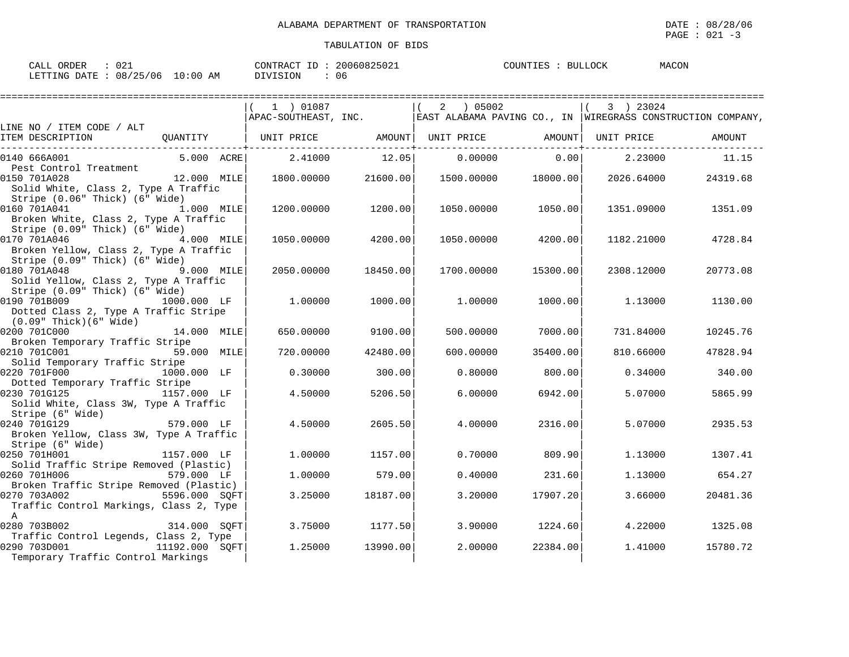| ORDER<br><b>CALL</b><br>$\sim$<br>. U 4 | 20060825021<br>CONTRACT ID: | <b>BULLOCK</b><br>COUNTIES | MACON |
|-----------------------------------------|-----------------------------|----------------------------|-------|
| LETTING DATE: 08/25/06<br>$10:00$ AM    | 06<br>DIVISION              |                            |       |

|                                                                          |                | 1 ) 01087                                       |          |            |          | 3 ) 23024  | $ $ APAC-SOUTHEAST, INC. $ $ EAST ALABAMA PAVING CO., IN $ $ WIREGRASS CONSTRUCTION COMPANY, |
|--------------------------------------------------------------------------|----------------|-------------------------------------------------|----------|------------|----------|------------|----------------------------------------------------------------------------------------------|
| LINE NO / ITEM CODE / ALT                                                |                |                                                 |          |            |          |            | AMOUNT                                                                                       |
| ITEM DESCRIPTION                                                         |                | QUANTITY   UNIT PRICE AMOUNT  UNIT PRICE AMOUNT |          |            |          | UNIT PRICE |                                                                                              |
| 0140 666A001                                                             | 5.000 ACRE     | 2.41000                                         | 12.05    | 0.00000    | 0.00     | 2.23000    | 11.15                                                                                        |
| Pest Control Treatment                                                   |                |                                                 |          |            |          |            |                                                                                              |
| 0150 701A028                                                             | 12.000 MILE    | 1800.00000                                      | 21600.00 | 1500.00000 | 18000.00 | 2026.64000 | 24319.68                                                                                     |
| Solid White, Class 2, Type A Traffic                                     |                |                                                 |          |            |          |            |                                                                                              |
| Stripe (0.06" Thick) (6" Wide)                                           |                |                                                 |          |            |          |            |                                                                                              |
| 0160 701A041<br>1.000 MILE<br>Broken White, Class 2, Type A Traffic      |                | 1200.00000                                      | 1200.00  | 1050.00000 | 1050.00  | 1351.09000 | 1351.09                                                                                      |
| Stripe (0.09" Thick) (6" Wide)                                           |                |                                                 |          |            |          |            |                                                                                              |
| 0170 701A046                                                             | 4.000 MILE     | 1050.00000                                      | 4200.00  | 1050.00000 | 4200.00  | 1182.21000 | 4728.84                                                                                      |
| Broken Yellow, Class 2, Type A Traffic                                   |                |                                                 |          |            |          |            |                                                                                              |
| Stripe (0.09" Thick) (6" Wide)                                           |                |                                                 |          |            |          |            |                                                                                              |
| 0180 701A048<br>9.000 MILE                                               |                | 2050.00000                                      | 18450.00 | 1700.00000 | 15300.00 | 2308.12000 | 20773.08                                                                                     |
| Solid Yellow, Class 2, Type A Traffic                                    |                |                                                 |          |            |          |            |                                                                                              |
| Stripe (0.09" Thick) (6" Wide)                                           |                |                                                 |          |            |          |            |                                                                                              |
| 0190 701B009                                                             | 1000.000 LF    | 1,00000                                         | 1000.00  | 1,00000    | 1000.00  | 1.13000    | 1130.00                                                                                      |
| Dotted Class 2, Type A Traffic Stripe                                    |                |                                                 |          |            |          |            |                                                                                              |
| $(0.09"$ Thick $)(6"$ Wide $)$                                           |                |                                                 |          |            |          |            |                                                                                              |
| 0200 701C000                                                             | 14.000 MILE    | 650,00000                                       | 9100.00  | 500,00000  | 7000.00  | 731.84000  | 10245.76                                                                                     |
| Broken Temporary Traffic Stripe                                          |                |                                                 |          |            |          |            |                                                                                              |
| 0210 701C001                                                             | 59.000 MILE    | 720.00000                                       | 42480.00 | 600.00000  | 35400.00 | 810.66000  | 47828.94                                                                                     |
| Solid Temporary Traffic Stripe                                           |                |                                                 |          |            |          |            |                                                                                              |
| 0220 701F000                                                             | 1000.000 LF    | 0.30000                                         | 300.00   | 0.80000    | 800.00   | 0.34000    | 340.00                                                                                       |
| Dotted Temporary Traffic Stripe                                          |                |                                                 |          |            |          |            |                                                                                              |
| 0230 701G125                                                             | 1157.000 LF    | 4.50000                                         | 5206.50  | 6,00000    | 6942.00  | 5.07000    | 5865.99                                                                                      |
| Solid White, Class 3W, Type A Traffic                                    |                |                                                 |          |            |          |            |                                                                                              |
| Stripe (6" Wide)                                                         |                |                                                 |          |            |          |            |                                                                                              |
| 0240 701G129                                                             | 579.000 LF     | 4.50000                                         | 2605.50  | 4.00000    | 2316.00  | 5.07000    | 2935.53                                                                                      |
| Broken Yellow, Class 3W, Type A Traffic                                  |                |                                                 |          |            |          |            |                                                                                              |
| Stripe (6" Wide)                                                         |                |                                                 |          |            |          |            |                                                                                              |
| 0250 701H001                                                             | 1157.000 LF    | 1,00000                                         | 1157.00  | 0.70000    | 809.90   | 1.13000    | 1307.41                                                                                      |
| Solid Traffic Stripe Removed (Plastic)                                   |                |                                                 |          |            |          |            |                                                                                              |
| 0260 701H006                                                             | 579.000 LF     | 1,00000                                         | 579.00   | 0.40000    | 231.60   | 1.13000    | 654.27                                                                                       |
| Broken Traffic Stripe Removed (Plastic)<br>0270 703A002<br>5596.000 SQFT |                | 3.25000                                         | 18187.00 | 3.20000    | 17907.20 | 3.66000    | 20481.36                                                                                     |
| Traffic Control Markings, Class 2, Type                                  |                |                                                 |          |            |          |            |                                                                                              |
| $\mathbb{A}$                                                             |                |                                                 |          |            |          |            |                                                                                              |
| 0280 703B002                                                             | 314.000 SOFT   | 3.75000                                         | 1177.50  | 3.90000    | 1224.60  | 4.22000    | 1325.08                                                                                      |
| Traffic Control Legends, Class 2, Type                                   |                |                                                 |          |            |          |            |                                                                                              |
| 0290 703D001                                                             | 11192.000 SOFT | 1,25000                                         | 13990.00 | 2,00000    | 22384.00 | 1,41000    | 15780.72                                                                                     |
| Temporary Traffic Control Markings                                       |                |                                                 |          |            |          |            |                                                                                              |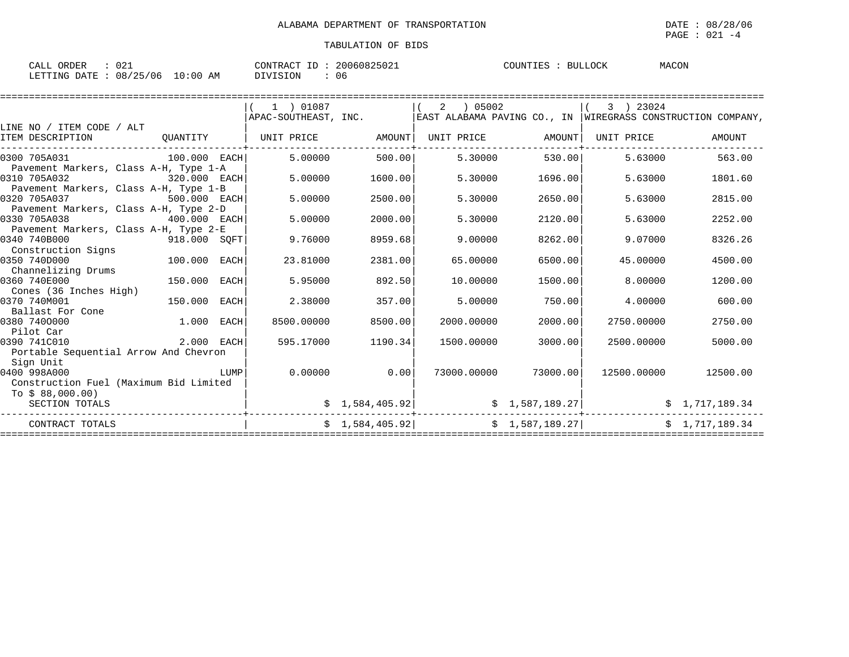| ∩∩-<br>ORDER<br>CALL<br>. U 4 -         | 20060825021<br>CONTRACT ID | COUNTIES<br>BULLOCK | MACON |
|-----------------------------------------|----------------------------|---------------------|-------|
| 08/25/06<br>10:00<br>LETTING DATE<br>ΑM | DIVISION<br>06             |                     |       |

|                                        |              |             | 1 ) 01087            |                 | 05002<br>2  |                   | 3 ) 23024                                                     |                |
|----------------------------------------|--------------|-------------|----------------------|-----------------|-------------|-------------------|---------------------------------------------------------------|----------------|
|                                        |              |             | APAC-SOUTHEAST, INC. |                 |             |                   | EAST ALABAMA PAVING CO., IN   WIREGRASS CONSTRUCTION COMPANY, |                |
| LINE NO / ITEM CODE / ALT              |              |             |                      |                 |             |                   |                                                               |                |
| ITEM DESCRIPTION                       | QUANTITY     |             | UNIT PRICE AMOUNT    |                 |             | UNIT PRICE AMOUNT | UNIT PRICE                                                    | AMOUNT         |
|                                        |              |             |                      |                 |             |                   |                                                               |                |
| 0300 705A031                           | 100.000 EACH |             | 5.00000              | 500.00          | 5.30000     | 530.00            | 5.63000                                                       | 563.00         |
| Pavement Markers, Class A-H, Type 1-A  |              |             |                      |                 |             |                   |                                                               |                |
| 0310 705A032                           | 320.000 EACH |             | 5.00000              | 1600.00         | 5.30000     | 1696.00           | 5.63000                                                       | 1801.60        |
| Pavement Markers, Class A-H, Type 1-B  |              |             |                      |                 |             |                   |                                                               |                |
| 0320 705A037                           | 500.000 EACH |             | 5.00000              | 2500.00         | 5.30000     | 2650.00           | 5.63000                                                       | 2815.00        |
| Pavement Markers, Class A-H, Type 2-D  |              |             |                      |                 |             |                   |                                                               |                |
| 0330 705A038                           | 400.000 EACH |             | 5.00000              | 2000.00         | 5.30000     | 2120.00           | 5.63000                                                       | 2252.00        |
| Pavement Markers, Class A-H, Type 2-E  |              |             |                      |                 |             |                   |                                                               |                |
| 0340 740B000                           | 918.000 SQFT |             | 9.76000              | 8959.68         | 9,00000     | 8262.00           | 9.07000                                                       | 8326.26        |
| Construction Signs                     |              |             |                      |                 |             |                   |                                                               |                |
| 0350 740D000                           | 100.000      | EACH        | 23.81000             | 2381.00         | 65.00000    | 6500.00           | 45.00000                                                      | 4500.00        |
| Channelizing Drums                     |              |             |                      |                 |             |                   |                                                               |                |
| 0360 740E000                           | 150.000      | EACH        | 5.95000              | 892.50          | 10,00000    | 1500.00           | 8,00000                                                       | 1200.00        |
| Cones (36 Inches High)                 |              |             |                      |                 |             |                   |                                                               |                |
| 0370 740M001                           | 150.000      | EACH        | 2.38000              | 357.00          | 5.00000     | 750.00            | 4.00000                                                       | 600.00         |
| Ballast For Cone                       |              |             |                      |                 |             |                   |                                                               |                |
| 0380 7400000                           | 1.000        | <b>EACH</b> | 8500.00000           | 8500.00         | 2000.00000  | 2000.00           | 2750.00000                                                    | 2750.00        |
| Pilot Car                              |              |             |                      |                 |             |                   |                                                               |                |
| 0390 741C010                           | 2.000 EACH   |             | 595.17000            | 1190.34         | 1500.00000  | 3000.00           | 2500.00000                                                    | 5000.00        |
| Portable Sequential Arrow And Chevron  |              |             |                      |                 |             |                   |                                                               |                |
| Sign Unit                              |              |             |                      |                 |             |                   |                                                               |                |
| 0400 998A000                           |              | LUMP        | 0.00000              | 0.00            | 73000.00000 | 73000.00          | 12500.00000                                                   | 12500.00       |
| Construction Fuel (Maximum Bid Limited |              |             |                      |                 |             |                   |                                                               |                |
| TO S 88.000.00)                        |              |             |                      |                 |             |                   |                                                               |                |
| SECTION TOTALS                         |              |             |                      | \$1,584,405.92] |             | \$1,587,189.27    |                                                               | \$1,717,189.34 |
| CONTRACT TOTALS                        |              |             |                      | \$1,584,405.92] |             | \$1,587,189.27]   |                                                               | \$1,717,189.34 |
|                                        |              |             |                      |                 |             |                   |                                                               |                |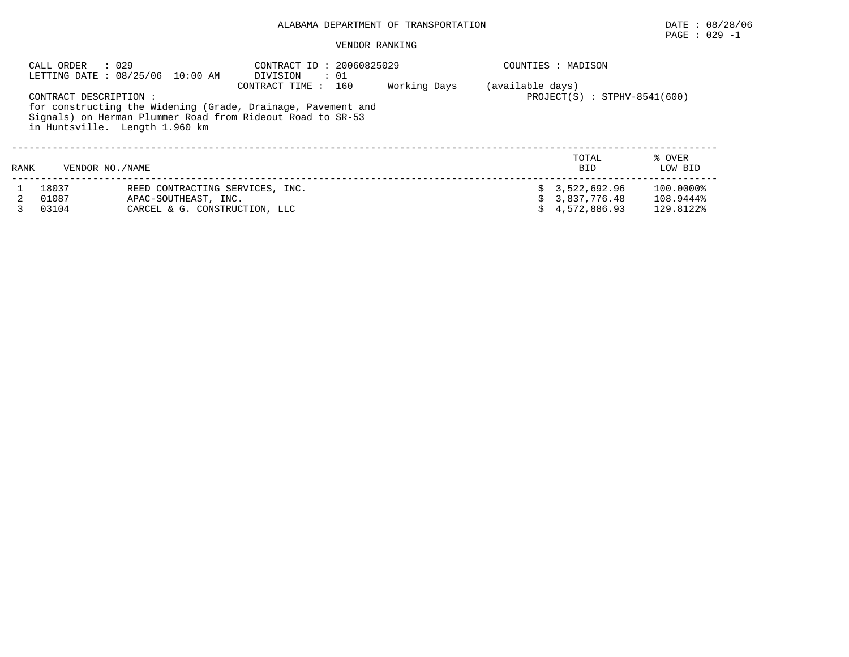## PAGE : 029 -1

#### VENDOR RANKING

| CALL ORDER                | : 029<br>LETTING DATE : 08/25/06 10:00 AM                                                | CONTRACT ID: 20060825029<br>: 01<br>DIVISION                                                                                                      |              |                  | COUNTIES : MADISON                             |                                     |
|---------------------------|------------------------------------------------------------------------------------------|---------------------------------------------------------------------------------------------------------------------------------------------------|--------------|------------------|------------------------------------------------|-------------------------------------|
| CONTRACT DESCRIPTION:     | in Huntsville. Length 1.960 km                                                           | CONTRACT TIME : 160<br>for constructing the Widening (Grade, Drainage, Pavement and<br>Signals) on Herman Plummer Road from Rideout Road to SR-53 | Working Days | (available days) | $PROJECT(S) : STPHV-8541(600)$                 |                                     |
| VENDOR NO. / NAME<br>RANK |                                                                                          |                                                                                                                                                   |              |                  | TOTAL<br><b>BID</b>                            | % OVER<br>LOW BID                   |
| 18037<br>01087<br>03104   | REED CONTRACTING SERVICES, INC.<br>APAC-SOUTHEAST, INC.<br>CARCEL & G. CONSTRUCTION, LLC |                                                                                                                                                   |              | S.               | 3,522,692.96<br>\$3,837,776.48<br>4,572,886.93 | 100.0000%<br>108.9444%<br>129.8122% |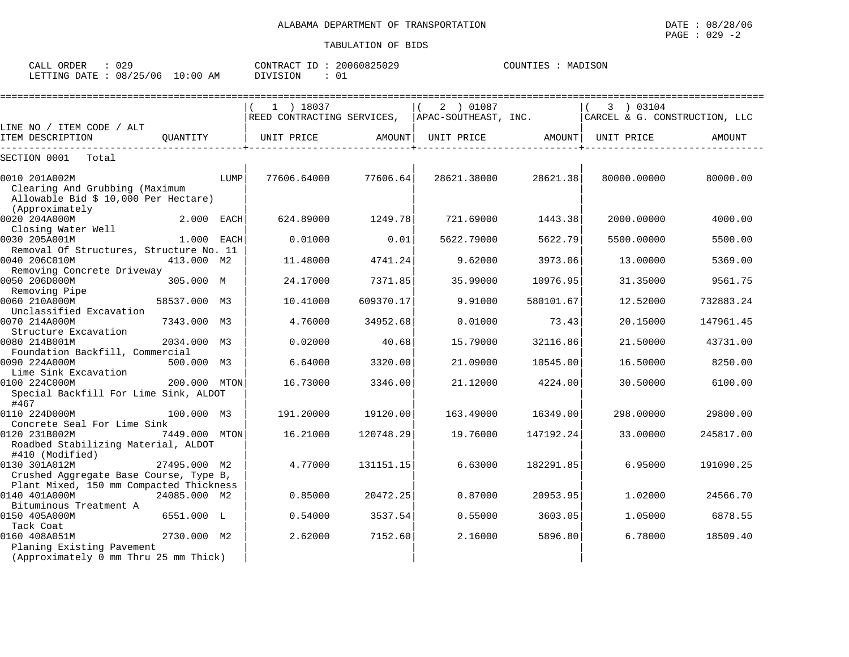| CALL<br>ORDER                   | 029 | CONTRACT ID: | 20060825029 | COUNTIES | MADISON |
|---------------------------------|-----|--------------|-------------|----------|---------|
| LETTING DATE: 08/25/06 10:00 AM |     | DIVISION     |             |          |         |

|                                                        |               |      | ===========================                     |           |                   |           |                               | =============== |
|--------------------------------------------------------|---------------|------|-------------------------------------------------|-----------|-------------------|-----------|-------------------------------|-----------------|
|                                                        |               |      | $1$ ) 18037                                     |           | 2 ) 01087         |           | 3 ) 03104                     |                 |
|                                                        |               |      | REED CONTRACTING SERVICES, APAC-SOUTHEAST, INC. |           |                   |           | CARCEL & G. CONSTRUCTION, LLC |                 |
| LINE NO / ITEM CODE / ALT                              |               |      |                                                 |           |                   |           |                               |                 |
| ITEM DESCRIPTION                                       |               |      | OUANTITY   UNIT PRICE                           | AMOUNT    | UNIT PRICE AMOUNT |           | UNIT PRICE                    | AMOUNT          |
| SECTION 0001<br>Total                                  |               |      |                                                 |           |                   |           |                               |                 |
| 0010 201A002M                                          |               | LUMP | 77606.64000 77606.64                            |           | 28621.38000       | 28621.38  | 80000.00000                   | 80000.00        |
| Clearing And Grubbing (Maximum                         |               |      |                                                 |           |                   |           |                               |                 |
| Allowable Bid $$10,000$ Per Hectare)                   |               |      |                                                 |           |                   |           |                               |                 |
| (Approximately                                         |               |      |                                                 |           |                   |           |                               |                 |
| 0020 204A000M                                          | 2.000 EACH    |      | 624.89000                                       | 1249.78   | 721.69000         | 1443.38   | 2000.00000                    | 4000.00         |
| Closing Water Well<br>0030 205A001M                    | $1.000$ EACH  |      | 0.01000                                         | 0.01      | 5622.79000        | 5622.79   | 5500.00000                    | 5500.00         |
| Removal Of Structures, Structure No. 11                |               |      |                                                 |           |                   |           |                               |                 |
| 0040 206C010M                                          | 413.000 M2    |      | 11.48000                                        | 4741.24   | 9.62000           | 3973.06   | 13,00000                      | 5369.00         |
| Removing Concrete Driveway                             |               |      |                                                 |           |                   |           |                               |                 |
| 0050 206D000M                                          | 305.000 M     |      | 24.17000                                        | 7371.85   | 35.99000          | 10976.95  | 31.35000                      | 9561.75         |
| Removing Pipe                                          |               |      |                                                 |           |                   |           |                               |                 |
| 0060 210A000M<br>Unclassified Excavation               | 58537.000 M3  |      | 10.41000                                        | 609370.17 | 9.91000           | 580101.67 | 12.52000                      | 732883.24       |
| 0070 214A000M                                          | 7343.000 M3   |      | 4.76000                                         | 34952.68  | 0.01000           | 73.43     | 20.15000                      | 147961.45       |
| Structure Excavation                                   |               |      |                                                 |           |                   |           |                               |                 |
| 0080 214B001M                                          | 2034.000 M3   |      | 0.02000                                         | 40.68     | 15.79000          | 32116.86  | 21.50000                      | 43731.00        |
| Foundation Backfill, Commercial                        |               |      |                                                 |           |                   |           |                               |                 |
| 0090 224A000M                                          | 500.000 M3    |      | 6.64000                                         | 3320.00   | 21,09000          | 10545.00  | 16.50000                      | 8250.00         |
| Lime Sink Excavation                                   |               |      |                                                 |           |                   |           |                               |                 |
| 0100 224C000M<br>Special Backfill For Lime Sink, ALDOT | 200.000 MTON  |      | 16.73000                                        | 3346.00   | 21.12000          | 4224.00   | 30.50000                      | 6100.00         |
| #467                                                   |               |      |                                                 |           |                   |           |                               |                 |
| 0110 224D000M                                          | 100.000 M3    |      | 191.20000                                       | 19120.00  | 163.49000         | 16349.00  | 298.00000                     | 29800.00        |
| Concrete Seal For Lime Sink                            |               |      |                                                 |           |                   |           |                               |                 |
| 0120 231B002M                                          | 7449.000 MTON |      | 16.21000                                        | 120748.29 | 19.76000          | 147192.24 | 33.00000                      | 245817.00       |
| Roadbed Stabilizing Material, ALDOT                    |               |      |                                                 |           |                   |           |                               |                 |
| #410 (Modified)<br>0130 301A012M                       | 27495.000 M2  |      | 4.77000                                         | 131151.15 | 6.63000           | 182291.85 | 6.95000                       | 191090.25       |
| Crushed Aggregate Base Course, Type B,                 |               |      |                                                 |           |                   |           |                               |                 |
| Plant Mixed, 150 mm Compacted Thickness                |               |      |                                                 |           |                   |           |                               |                 |
| 0140 401A000M                                          | 24085.000 M2  |      | 0.85000                                         | 20472.25  | 0.87000           | 20953.95  | 1,02000                       | 24566.70        |
| Bituminous Treatment A                                 |               |      |                                                 |           |                   |           |                               |                 |
| 0150 405A000M                                          | 6551.000 L    |      | 0.54000                                         | 3537.54   | 0.55000           | 3603.05   | 1.05000                       | 6878.55         |
| Tack Coat                                              |               |      |                                                 |           |                   |           |                               |                 |
| 0160 408A051M<br>Planing Existing Pavement             | 2730.000 M2   |      | 2.62000                                         | 7152.60   | 2.16000           | 5896.80   | 6.78000                       | 18509.40        |
| (Approximately 0 mm Thru 25 mm Thick)                  |               |      |                                                 |           |                   |           |                               |                 |
|                                                        |               |      |                                                 |           |                   |           |                               |                 |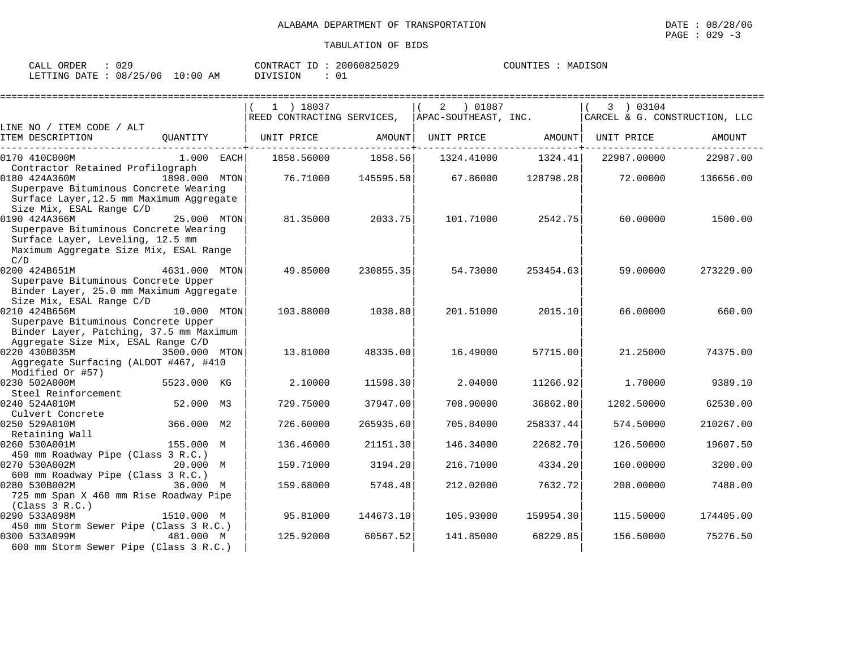| ORDER<br>CALL  | 029               | CONTRACT<br>ID  | 20060825029 | COUNTIES | MADISON |
|----------------|-------------------|-----------------|-------------|----------|---------|
| LETTING DATE : | 08/25/06 10:00 AM | <b>DIVISION</b> |             |          |         |

|                                                                                                                                                                         |               | $1$ ) 18037<br>REED CONTRACTING SERVICES, APAC-SOUTHEAST, INC. |           | 2 01087           |           | 3 ) 03104<br>CARCEL & G. CONSTRUCTION, LLC |           |
|-------------------------------------------------------------------------------------------------------------------------------------------------------------------------|---------------|----------------------------------------------------------------|-----------|-------------------|-----------|--------------------------------------------|-----------|
| LINE NO / ITEM CODE / ALT                                                                                                                                               |               |                                                                |           |                   |           |                                            |           |
| ITEM DESCRIPTION                                                                                                                                                        |               | QUANTITY   UNIT PRICE                                          | AMOUNT    | UNIT PRICE AMOUNT |           | UNIT PRICE                                 | AMOUNT    |
| 0170 410C000M                                                                                                                                                           | $1.000$ EACH  | 1858.56000                                                     | 1858.56   | 1324.41000        | 1324.41   | 22987.00000                                | 22987.00  |
| Contractor Retained Profilograph<br>0180 424A360M<br>Superpave Bituminous Concrete Wearing<br>Surface Layer, 12.5 mm Maximum Aggregate                                  | 1898.000 MTON | 76.71000                                                       | 145595.58 | 67.86000          | 128798.28 | 72.00000                                   | 136656.00 |
| Size Mix, ESAL Range C/D<br>0190 424A366M<br>Superpave Bituminous Concrete Wearing<br>Surface Layer, Leveling, 12.5 mm<br>Maximum Aggregate Size Mix, ESAL Range<br>C/D | 25.000 MTON   | 81.35000                                                       | 2033.75   | 101.71000         | 2542.75   | 60.00000                                   | 1500.00   |
| 0200 424B651M 4631.000 MTON<br>Superpave Bituminous Concrete Upper<br>Binder Layer, 25.0 mm Maximum Aggregate                                                           |               | 49.85000                                                       | 230855.35 | 54.73000          | 253454.63 | 59.00000                                   | 273229.00 |
| Size Mix, ESAL Range C/D<br>0210 424B656M<br>Superpave Bituminous Concrete Upper<br>Binder Layer, Patching, 37.5 mm Maximum                                             | 10.000 MTON   | 103.88000                                                      | 1038.80   | 201.51000         | 2015.10   | 66.00000                                   | 660.00    |
| Aggregate Size Mix, ESAL Range C/D<br>0220 430B035M<br>Aggregate Surfacing (ALDOT #467, #410                                                                            | 3500.000 MTON | 13.81000                                                       | 48335.00  | 16.49000          | 57715.00  | 21,25000                                   | 74375.00  |
| Modified Or #57)<br>0230 502A000M                                                                                                                                       | 5523.000 KG   | 2.10000                                                        | 11598.30  | 2.04000           | 11266.92  | 1.70000                                    | 9389.10   |
| Steel Reinforcement<br>0240 524A010M<br>Culvert Concrete                                                                                                                | 52.000 M3     | 729.75000                                                      | 37947.00  | 708,90000         | 36862.80  | 1202.50000                                 | 62530.00  |
| 0250 529A010M<br>Retaining Wall                                                                                                                                         | 366.000 M2    | 726.60000                                                      | 265935.60 | 705.84000         | 258337.44 | 574.50000                                  | 210267.00 |
| 0260 530A001M<br>450 mm Roadway Pipe (Class 3 R.C.)                                                                                                                     | 155.000 M     | 136.46000                                                      | 21151.30  | 146.34000         | 22682.70  | 126.50000                                  | 19607.50  |
| 0270 530A002M<br>600 mm Roadway Pipe (Class 3 R.C.)                                                                                                                     | 20.000 M      | 159.71000                                                      | 3194.20   | 216.71000         | 4334.20   | 160.00000                                  | 3200.00   |
| 0280 530B002M<br>725 mm Span X 460 mm Rise Roadway Pipe<br>(Class 3 R.C.)                                                                                               | 36.000 M      | 159.68000                                                      | 5748.48   | 212.02000         | 7632.72   | 208.00000                                  | 7488.00   |
| 0290 533A098M<br>450 mm Storm Sewer Pipe (Class 3 R.C.)                                                                                                                 | 1510.000 M    | 95.81000                                                       | 144673.10 | 105.93000         | 159954.30 | 115.50000                                  | 174405.00 |
| 0300 533A099M<br>600 mm Storm Sewer Pipe (Class 3 R.C.)                                                                                                                 | 481.000 M     | 125.92000                                                      | 60567.52  | 141.85000         | 68229.85  | 156.50000                                  | 75276.50  |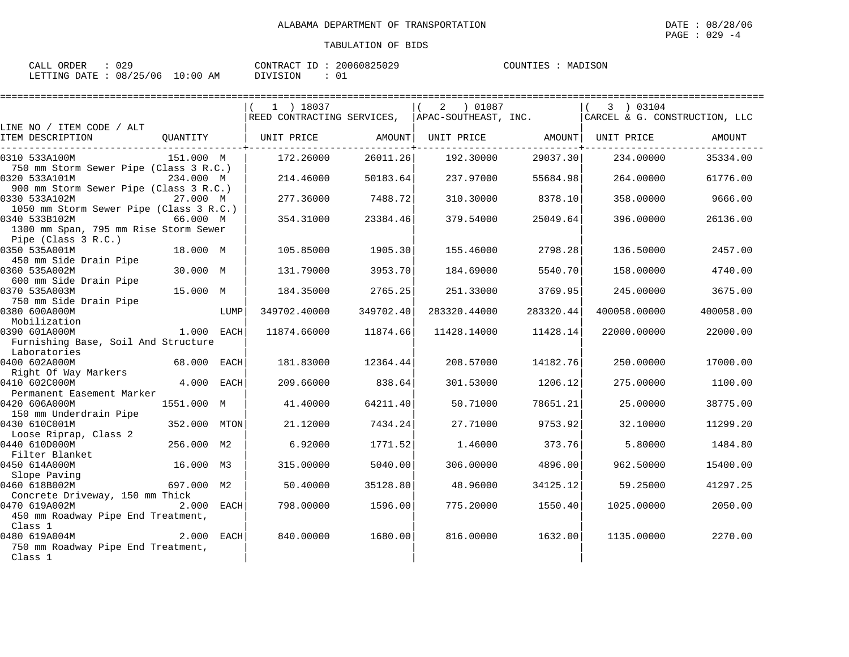| CALL ORDER                      | : 029 |          | CONTRACT ID: 20060825029 | COUNTIES : MADISON |  |
|---------------------------------|-------|----------|--------------------------|--------------------|--|
| LETTING DATE: 08/25/06 10:00 AM |       | DIVISION | - 01                     |                    |  |

|                                                                    |              |      |                                                                               | ================================= |                              |           | ===================== |           |
|--------------------------------------------------------------------|--------------|------|-------------------------------------------------------------------------------|-----------------------------------|------------------------------|-----------|-----------------------|-----------|
|                                                                    |              |      | 1 ) 18037                                                                     |                                   | 2 ) 01087                    |           | 3) 03104              |           |
|                                                                    |              |      | REED CONTRACTING SERVICES, APAC-SOUTHEAST, INC. CARCEL & G. CONSTRUCTION, LLC |                                   |                              |           |                       |           |
| LINE NO / ITEM CODE / ALT                                          |              |      |                                                                               |                                   |                              |           |                       |           |
| ITEM DESCRIPTION                                                   |              |      | QUANTITY   UNIT PRICE AMOUNT                                                  |                                   | UNIT PRICE AMOUNT UNIT PRICE |           |                       | AMOUNT    |
| 0310 533A100M                                                      | 151.000 M    |      | 172.26000                                                                     | 26011.26                          | 192.30000                    | 29037.30  | 234.00000             | 35334.00  |
| 750 mm Storm Sewer Pipe (Class 3 R.C.)                             |              |      |                                                                               |                                   |                              |           |                       |           |
| 0320 533A101M                                                      | 234.000 M    |      | 214.46000                                                                     | 50183.64                          | 237.97000                    | 55684.98  | 264.00000             | 61776.00  |
| 900 mm Storm Sewer Pipe (Class 3 R.C.)                             |              |      |                                                                               |                                   |                              |           |                       |           |
| 0330 533A102M                                                      | 27.000 M     |      | 277.36000                                                                     | 7488.72                           | 310.30000                    | 8378.10   | 358.00000             | 9666.00   |
| 1050 mm Storm Sewer Pipe (Class 3 R.C.)                            |              |      |                                                                               |                                   |                              |           |                       |           |
| 0340 533B102M<br>66.000 M<br>1300 mm Span, 795 mm Rise Storm Sewer |              |      | 354.31000                                                                     | 23384.46                          | 379.54000                    | 25049.64  | 396.00000             | 26136.00  |
| Pipe (Class 3 R.C.)                                                |              |      |                                                                               |                                   |                              |           |                       |           |
| 0350 535A001M                                                      | 18.000 M     |      | 105.85000                                                                     | 1905.30                           | 155.46000                    | 2798.28   | 136.50000             | 2457.00   |
| 450 mm Side Drain Pipe                                             |              |      |                                                                               |                                   |                              |           |                       |           |
| 0360 535A002M                                                      | 30.000 M     |      | 131.79000                                                                     | 3953.70                           | 184.69000                    | 5540.70   | 158.00000             | 4740.00   |
| 600 mm Side Drain Pipe                                             |              |      |                                                                               |                                   |                              |           |                       |           |
| 0370 535A003M                                                      | 15.000 M     |      | 184.35000                                                                     | 2765.25                           | 251.33000                    | 3769.95   | 245.00000             | 3675.00   |
| 750 mm Side Drain Pipe                                             |              |      |                                                                               |                                   |                              |           |                       |           |
| 0380 600A000M<br>Mobilization                                      |              | LUMP | 349702.40000                                                                  | 349702.40                         | 283320.44000                 | 283320.44 | 400058.00000          | 400058.00 |
| 0390 601A000M                                                      | $1.000$ EACH |      | 11874.66000                                                                   | 11874.66                          | 11428.14000                  | 11428.14  | 22000.00000           | 22000.00  |
| Furnishing Base, Soil And Structure                                |              |      |                                                                               |                                   |                              |           |                       |           |
| Laboratories                                                       |              |      |                                                                               |                                   |                              |           |                       |           |
| 0400 602A000M                                                      | 68.000 EACH  |      | 181.83000                                                                     | 12364.44                          | 208.57000                    | 14182.76  | 250.00000             | 17000.00  |
| Right Of Way Markers                                               |              |      |                                                                               |                                   |                              |           |                       |           |
| 0410 602C000M                                                      | 4.000 EACH   |      | 209.66000                                                                     | 838.64                            | 301.53000                    | 1206.12   | 275,00000             | 1100.00   |
| Permanent Easement Marker                                          |              |      |                                                                               |                                   |                              |           |                       |           |
| 0420 606A000M                                                      | 1551.000 M   |      | 41.40000                                                                      | 64211.40                          | 50.71000                     | 78651.21  | 25.00000              | 38775.00  |
| 150 mm Underdrain Pipe                                             |              |      |                                                                               |                                   |                              |           |                       |           |
| 0430 610C001M                                                      | 352.000 MTON |      | 21,12000                                                                      | 7434.24                           | 27.71000                     | 9753.92   | 32.10000              | 11299.20  |
| Loose Riprap, Class 2                                              |              |      |                                                                               |                                   |                              |           |                       |           |
| 0440 610D000M                                                      | 256.000 M2   |      | 6.92000                                                                       | 1771.52                           | 1.46000                      | 373.76    | 5.80000               | 1484.80   |
| Filter Blanket                                                     |              |      |                                                                               |                                   |                              |           |                       |           |
| 0450 614A000M                                                      | 16.000 M3    |      | 315.00000                                                                     | 5040.00                           | 306.00000                    | 4896.00   | 962.50000             | 15400.00  |
| Slope Paving                                                       |              |      |                                                                               |                                   |                              |           |                       |           |
| 0460 618B002M                                                      | 697.000 M2   |      | 50.40000                                                                      | 35128.80                          | 48.96000                     | 34125.12  | 59.25000              | 41297.25  |
| Concrete Driveway, 150 mm Thick                                    |              |      |                                                                               |                                   |                              |           |                       |           |
| 0470 619A002M                                                      | $2.000$ EACH |      | 798.00000                                                                     | 1596.00                           | 775.20000                    | 1550.40   | 1025.00000            | 2050.00   |
| 450 mm Roadway Pipe End Treatment,<br>Class 1                      |              |      |                                                                               |                                   |                              |           |                       |           |
| 0480 619A004M                                                      | $2.000$ EACH |      | 840.00000                                                                     | 1680.00                           | 816.00000                    | 1632.00   | 1135.00000            | 2270.00   |
| 750 mm Roadway Pipe End Treatment,                                 |              |      |                                                                               |                                   |                              |           |                       |           |
| Class 1                                                            |              |      |                                                                               |                                   |                              |           |                       |           |
|                                                                    |              |      |                                                                               |                                   |                              |           |                       |           |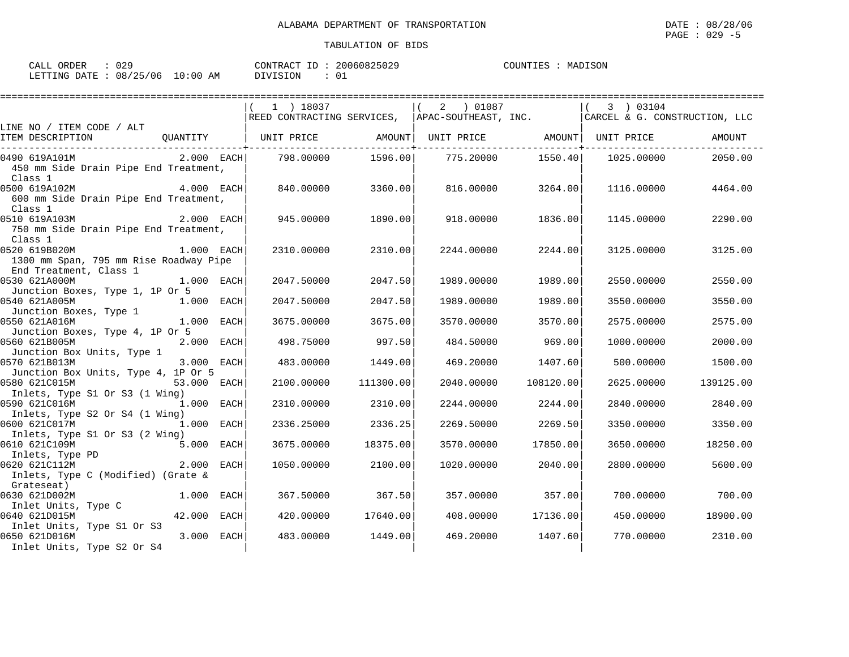| ORDER<br>CALL ( | ی ن               | CONTRACT ID          | 20060825029 | COUNTIES | MADISON |
|-----------------|-------------------|----------------------|-------------|----------|---------|
| LETTING DATE :  | 08/25/06 10:00 AM | <b>ESTON</b><br>דזדח |             |          |         |

|                                                                                                      |              |      | 1 ) 18037<br> REED CONTRACTING SERVICES,  APAC-SOUTHEAST, INC.   CARCEL & G. CONSTRUCTION, LLC |           | 2 ) 01087                 |                  | 3 ) 03104  |           |
|------------------------------------------------------------------------------------------------------|--------------|------|------------------------------------------------------------------------------------------------|-----------|---------------------------|------------------|------------|-----------|
| LINE NO / ITEM CODE / ALT                                                                            |              |      |                                                                                                |           |                           |                  |            |           |
| ITEM DESCRIPTION                                                                                     |              |      | QUANTITY   UNIT PRICE     AMOUNT  UNIT PRICE     AMOUNT  UNIT PRICE                            |           |                           |                  |            | AMOUNT    |
| 0490 619A101M<br>450 mm Side Drain Pipe End Treatment,<br>Class 1                                    | $2.000$ EACH |      | 798.00000                                                                                      |           | 1596.00 775.20000 1550.40 |                  | 1025.00000 | 2050.00   |
| 0500 619A102M<br>600 mm Side Drain Pipe End Treatment,<br>Class 1                                    | $4.000$ EACH |      | 840.00000                                                                                      | 3360.00   | 816.00000                 | 3264.00          | 1116.00000 | 4464.00   |
| 2.000 EACH<br>0510 619A103M<br>750 mm Side Drain Pipe End Treatment,<br>Class 1                      |              |      | 945.00000                                                                                      | 1890.00   | 918.00000                 | 1836.00          | 1145.00000 | 2290.00   |
| 0520 619B020M<br>1300 mm Span, 795 mm Rise Roadway Pipe<br>End Treatment, Class 1                    | $1.000$ EACH |      | 2310.00000                                                                                     | 2310.00   | 2244.00000                | 2244.00          | 3125.00000 | 3125.00   |
| 1.000 EACH<br>0530 621A000M<br>Junction Boxes, Type 1, 1P Or 5                                       |              |      | 2047.50000                                                                                     | 2047.50   | 1989.00000                | 1989.00          | 2550.00000 | 2550.00   |
| 0540 621A005M<br>1.000 EACH<br>Junction Boxes, Type 1                                                |              |      | 2047.50000                                                                                     | 2047.50   | 1989.00000                | 1989.00          | 3550.00000 | 3550.00   |
| 0550 621A016M<br>Junction Boxes, Type 4, 1P Or 5                                                     | 1.000 EACH   |      | 3675.00000                                                                                     | 3675.00   | 3570.00000                | 3570.00          | 2575.00000 | 2575.00   |
| 2.000 EACH<br>0560 621B005M<br>Junction Box Units, Type 1                                            |              |      | 498.75000                                                                                      | 997.50    | 484.50000                 | 969.00           | 1000.00000 | 2000.00   |
| 0570 621B013M<br>Junction Box Units, Type 4, 1P Or 5                                                 | 3.000 EACH   |      | 483.00000                                                                                      | 1449.00   | 469.20000                 | 1407.60          | 500.00000  | 1500.00   |
| 0580 621C015M<br>Inlets, Type S1 Or S3 (1 Wing)                                                      | 53.000 EACH  |      | 2100.00000                                                                                     | 111300.00 | 2040.00000                | 108120.00        | 2625.00000 | 139125.00 |
| 0590 621C016M<br>Inlets, Type S2 Or S4 (1 Wing)                                                      | 1.000 EACH   |      | 2310.00000                                                                                     | 2310.00   | 2244.00000                | 2244.00          | 2840.00000 | 2840.00   |
| 0600 621C017M<br>1.000 EACH<br>Inlets, Type S1 Or S3 (2 Wing)                                        |              |      | 2336.25000                                                                                     | 2336.25   | 2269.50000                | 2269.50          | 3350.00000 | 3350.00   |
| 0610 621C109M                                                                                        | 5.000 EACH   |      | 3675.00000                                                                                     | 18375.00  | 3570.00000                | 17850.00         | 3650.00000 | 18250.00  |
| 610 bzicios.<br>Inlets, Type PD<br>0620 621C112M<br>Inlets, Type C (Modified) (Grate &<br>Grateseat) | 2.000        | EACH | 1050.00000                                                                                     | 2100.00   | 1020.00000                | 2040.00          | 2800.00000 | 5600.00   |
| 0630 621D002M<br>Inlet Units, Type C                                                                 | $1.000$ EACH |      | 367.50000                                                                                      | 367.50    |                           | 357.00000 357.00 | 700.00000  | 700.00    |
| 0640 621D015M<br>Inlet Units, Type S1 Or S3                                                          | 42.000 EACH  |      | 420.00000                                                                                      | 17640.00  | 408.00000                 | 17136.00         | 450.00000  | 18900.00  |
| 0650 621D016M<br>Inlet Units, Type S2 Or S4                                                          | 3.000 EACH   |      | 483.00000                                                                                      | 1449.00   | 469.20000                 | 1407.60          | 770.00000  | 2310.00   |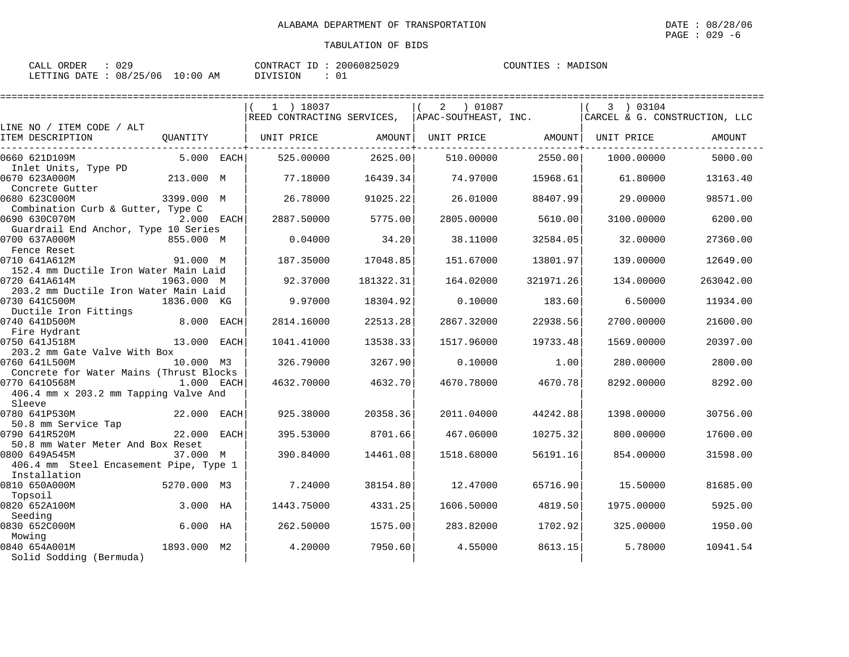| CALL ORDER                      | : 029 |          | CONTRACT ID: 20060825029 | COUNTIES : MADISON |  |
|---------------------------------|-------|----------|--------------------------|--------------------|--|
| LETTING DATE: 08/25/06 10:00 AM |       | DIVISION | - 01                     |                    |  |

|                                         |             |      |                                                               |           |              |           | ===================           |           |
|-----------------------------------------|-------------|------|---------------------------------------------------------------|-----------|--------------|-----------|-------------------------------|-----------|
|                                         |             |      | 1 ) 18037                                                     |           | 01087 (<br>2 |           | 3 ) 03104                     |           |
|                                         |             |      | $\mid$ REED CONTRACTING SERVICES, $\mid$ APAC-SOUTHEAST, INC. |           |              |           | CARCEL & G. CONSTRUCTION, LLC |           |
| LINE NO / ITEM CODE / ALT               |             |      |                                                               |           |              |           |                               |           |
| ITEM DESCRIPTION                        | QUANTITY    |      | UNIT PRICE                                                    | AMOUNT    | UNIT PRICE   | AMOUNT    | UNIT PRICE                    | AMOUNT    |
| 0660 621D109M                           | 5.000 EACH  |      | 525.00000                                                     | 2625.00   | 510.00000    | 2550.00   | 1000.00000                    | 5000.00   |
| Inlet Units, Type PD                    |             |      |                                                               |           |              |           |                               |           |
| 0670 623A000M<br>Concrete Gutter        | 213.000 M   |      | 77.18000                                                      | 16439.34  | 74.97000     | 15968.61  | 61.80000                      | 13163.40  |
| 0680 623C000M                           | 3399.000 M  |      | 26.78000                                                      | 91025.22  | 26.01000     | 88407.99  | 29.00000                      | 98571.00  |
| Combination Curb & Gutter, Type C       |             |      |                                                               |           |              |           |                               |           |
| 0690 630C070M                           | 2.000 EACH  |      | 2887.50000                                                    | 5775.00   | 2805.00000   | 5610.00   | 3100.00000                    | 6200.00   |
| Guardrail End Anchor, Type 10 Series    |             |      |                                                               |           |              |           |                               |           |
| 0700 637A000M<br>Fence Reset            | 855.000 M   |      | 0.04000                                                       | 34.20     | 38.11000     | 32584.05  | 32.00000                      | 27360.00  |
| 0710 641A612M                           | 91.000 M    |      | 187.35000                                                     | 17048.85  | 151.67000    | 13801.97  | 139.00000                     | 12649.00  |
| 152.4 mm Ductile Iron Water Main Laid   |             |      |                                                               |           |              |           |                               |           |
| 0720 641A614M                           | 1963.000 M  |      | 92.37000                                                      | 181322.31 | 164.02000    | 321971.26 | 134.00000                     | 263042.00 |
| 203.2 mm Ductile Iron Water Main Laid   |             |      |                                                               |           |              |           |                               |           |
| 0730 641C500M                           | 1836.000 KG |      | 9.97000                                                       | 18304.92  | 0.10000      | 183.60    | 6.50000                       | 11934.00  |
| Ductile Iron Fittings                   |             |      |                                                               |           |              |           |                               |           |
| 0740 641D500M                           | 8.000 EACH  |      | 2814.16000                                                    | 22513.28  | 2867.32000   | 22938.56  | 2700.00000                    | 21600.00  |
| Fire Hydrant<br>0750 641J518M           | 13.000      | EACH | 1041.41000                                                    | 13538.33  | 1517.96000   | 19733.48  | 1569.00000                    | 20397.00  |
| 203.2 mm Gate Valve With Box            |             |      |                                                               |           |              |           |                               |           |
| 0760 641L500M                           | 10.000 M3   |      | 326.79000                                                     | 3267.90   | 0.10000      | 1.00      | 280,00000                     | 2800.00   |
| Concrete for Water Mains (Thrust Blocks |             |      |                                                               |           |              |           |                               |           |
| 0770 6410568M                           | 1.000 EACH  |      | 4632.70000                                                    | 4632.70   | 4670.78000   | 4670.78   | 8292.00000                    | 8292.00   |
| 406.4 mm x 203.2 mm Tapping Valve And   |             |      |                                                               |           |              |           |                               |           |
| Sleeve                                  |             |      |                                                               |           |              |           |                               |           |
| 0780 641P530M                           | 22.000 EACH |      | 925.38000                                                     | 20358.36  | 2011.04000   | 44242.88  | 1398.00000                    | 30756.00  |
| 50.8 mm Service Tap<br>0790 641R520M    | 22.000 EACH |      | 395.53000                                                     | 8701.66   | 467.06000    | 10275.32  | 800,00000                     | 17600.00  |
| 50.8 mm Water Meter And Box Reset       |             |      |                                                               |           |              |           |                               |           |
| 0800 649A545M                           | 37.000 M    |      | 390.84000                                                     | 14461.08  | 1518.68000   | 56191.16  | 854.00000                     | 31598.00  |
| 406.4 mm Steel Encasement Pipe, Type 1  |             |      |                                                               |           |              |           |                               |           |
| Installation                            |             |      |                                                               |           |              |           |                               |           |
| 0810 650A000M                           | 5270.000 M3 |      | 7.24000                                                       | 38154.80  | 12.47000     | 65716.90  | 15.50000                      | 81685.00  |
| Topsoil                                 |             |      |                                                               |           |              |           |                               |           |
| 0820 652A100M                           | 3.000 HA    |      | 1443.75000                                                    | 4331.25   | 1606.50000   | 4819.50   | 1975.00000                    | 5925.00   |
| Seeding<br>0830 652C000M                | $6.000$ HA  |      | 262.50000                                                     | 1575.00   | 283.82000    | 1702.92   | 325,00000                     | 1950.00   |
| Mowing                                  |             |      |                                                               |           |              |           |                               |           |
| 0840 654A001M                           | 1893.000 M2 |      | 4.20000                                                       | 7950.60   | 4.55000      | 8613.15   | 5.78000                       | 10941.54  |
| Solid Sodding (Bermuda)                 |             |      |                                                               |           |              |           |                               |           |
|                                         |             |      |                                                               |           |              |           |                               |           |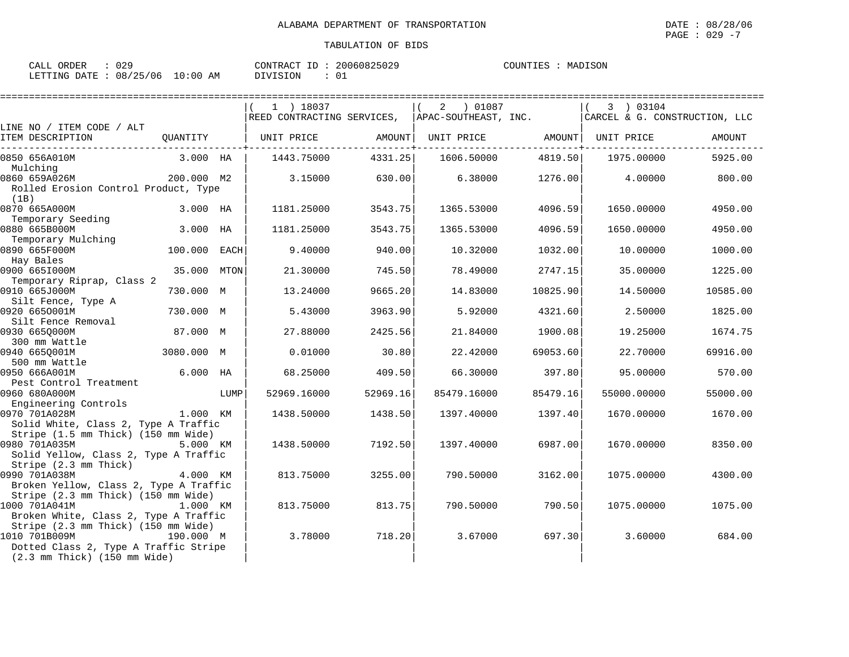| CALL ORDER                      | 029 |          | CONTRACT ID: 20060825029 | COUNTIES : MADISON |  |
|---------------------------------|-----|----------|--------------------------|--------------------|--|
| LETTING DATE: 08/25/06 10:00 AM |     | DIVISION |                          |                    |  |

|                                                               |              |      | $1$ ) 18037<br>REED CONTRACTING SERVICES, |          | 2<br>01087 (<br>APAC-SOUTHEAST, INC. |          | 3 ) 03104<br>CARCEL & G. CONSTRUCTION, LLC |          |
|---------------------------------------------------------------|--------------|------|-------------------------------------------|----------|--------------------------------------|----------|--------------------------------------------|----------|
| LINE NO / ITEM CODE / ALT                                     |              |      |                                           |          |                                      |          |                                            |          |
| ITEM DESCRIPTION                                              | OUANTITY     |      | UNIT PRICE                                | AMOUNT   | UNIT PRICE                           | AMOUNT   | UNIT PRICE                                 | AMOUNT   |
| 0850 656A010M                                                 | 3.000 HA     |      | 1443.75000                                | 4331.25  | 1606.50000                           | 4819.50  | 1975.00000                                 | 5925.00  |
| Mulching                                                      |              |      |                                           |          |                                      |          |                                            |          |
| 0860 659A026M<br>Rolled Erosion Control Product, Type<br>(1B) | 200.000 M2   |      | 3.15000                                   | 630.00   | 6.38000                              | 1276.00  | 4.00000                                    | 800.00   |
| 0870 665A000M                                                 | 3.000 HA     |      | 1181.25000                                | 3543.75  | 1365.53000                           | 4096.59  | 1650.00000                                 | 4950.00  |
| Temporary Seeding                                             |              |      |                                           |          |                                      |          |                                            |          |
| 0880 665B000M                                                 | 3.000        | HA   | 1181.25000                                | 3543.75  | 1365.53000                           | 4096.59  | 1650.00000                                 | 4950.00  |
| Temporary Mulching<br>0890 665F000M                           | 100.000 EACH |      | 9.40000                                   | 940.00   | 10.32000                             | 1032.00  | 10.00000                                   | 1000.00  |
| Hay Bales<br>0900 665I000M                                    | 35.000       | MTON | 21.30000                                  | 745.50   | 78.49000                             | 2747.15  | 35.00000                                   | 1225.00  |
| Temporary Riprap, Class 2<br>0910 665J000M                    | 730.000 M    |      | 13.24000                                  | 9665.20  | 14.83000                             | 10825.90 | 14.50000                                   | 10585.00 |
| Silt Fence, Type A                                            |              |      |                                           |          |                                      |          |                                            |          |
| 0920 6650001M                                                 | 730.000 M    |      | 5.43000                                   | 3963.90  | 5.92000                              | 4321.60  | 2.50000                                    | 1825.00  |
| Silt Fence Removal<br>0930 6650000M                           | 87.000 M     |      | 27.88000                                  | 2425.56  | 21.84000                             | 1900.08  | 19.25000                                   | 1674.75  |
| 300 mm Wattle                                                 |              |      |                                           |          |                                      |          |                                            |          |
| 0940 6650001M<br>500 mm Wattle                                | 3080.000 M   |      | 0.01000                                   | 30.80    | 22.42000                             | 69053.60 | 22.70000                                   | 69916.00 |
| 0950 666A001M                                                 | 6.000        | HA   | 68.25000                                  | 409.50   | 66.30000                             | 397.80   | 95.00000                                   | 570.00   |
| Pest Control Treatment                                        |              |      |                                           |          |                                      |          |                                            |          |
| 0960 680A000M<br>Engineering Controls                         |              | LUMP | 52969.16000                               | 52969.16 | 85479.16000                          | 85479.16 | 55000.00000                                | 55000.00 |
| 0970 701A028M                                                 | 1.000 KM     |      | 1438.50000                                | 1438.50  | 1397.40000                           | 1397.40  | 1670.00000                                 | 1670.00  |
| Solid White, Class 2, Type A Traffic                          |              |      |                                           |          |                                      |          |                                            |          |
| Stripe (1.5 mm Thick) (150 mm Wide)                           |              |      |                                           |          |                                      |          |                                            |          |
| 0980 701A035M                                                 | 5.000 KM     |      | 1438.50000                                | 7192.50  | 1397.40000                           | 6987.00  | 1670.00000                                 | 8350.00  |
| Solid Yellow, Class 2, Type A Traffic                         |              |      |                                           |          |                                      |          |                                            |          |
| Stripe (2.3 mm Thick)                                         |              |      |                                           |          |                                      |          |                                            |          |
| 0990 701A038M                                                 | 4.000 KM     |      | 813.75000                                 | 3255.00  | 790.50000                            | 3162.00  | 1075.00000                                 | 4300.00  |
| Broken Yellow, Class 2, Type A Traffic                        |              |      |                                           |          |                                      |          |                                            |          |
| Stripe (2.3 mm Thick) (150 mm Wide)<br>1000 701A041M          | 1.000 KM     |      | 813.75000                                 | 813.75   | 790.50000                            | 790.50   | 1075.00000                                 | 1075.00  |
| Broken White, Class 2, Type A Traffic                         |              |      |                                           |          |                                      |          |                                            |          |
| Stripe (2.3 mm Thick) (150 mm Wide)                           |              |      |                                           |          |                                      |          |                                            |          |
| 1010 701B009M                                                 | 190.000 M    |      | 3.78000                                   | 718.20   | 3.67000                              | 697.30   | 3.60000                                    | 684.00   |
| Dotted Class 2, Type A Traffic Stripe                         |              |      |                                           |          |                                      |          |                                            |          |
| $(2.3 \text{ mm}$ Thick) $(150 \text{ mm}$ Wide)              |              |      |                                           |          |                                      |          |                                            |          |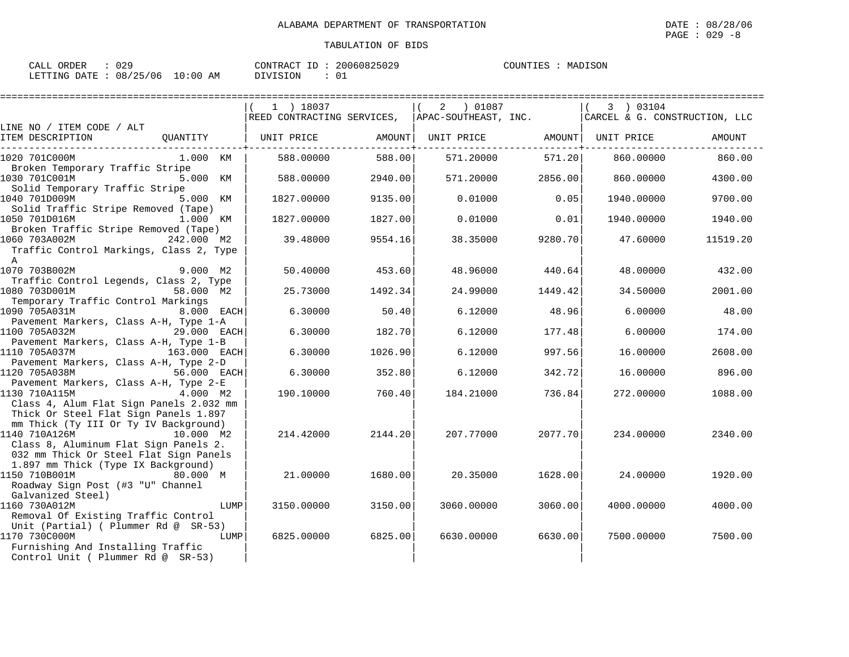| CALL ORDER                      | : 029 |          | CONTRACT ID: 20060825029 | COUNTIES : MADISON |  |
|---------------------------------|-------|----------|--------------------------|--------------------|--|
| LETTING DATE: 08/25/06 10:00 AM |       | DIVISION | - 01                     |                    |  |

|                                                                                                                                                          |                                                                | ==================== |            |         |                                            |          |
|----------------------------------------------------------------------------------------------------------------------------------------------------------|----------------------------------------------------------------|----------------------|------------|---------|--------------------------------------------|----------|
|                                                                                                                                                          | $1$ ) 18037<br>REED CONTRACTING SERVICES, APAC-SOUTHEAST, INC. |                      | 2 ) 01087  |         | 3 ) 03104<br>CARCEL & G. CONSTRUCTION, LLC |          |
| LINE NO / ITEM CODE / ALT                                                                                                                                |                                                                |                      |            |         |                                            |          |
| ITEM DESCRIPTION<br>OUANTITY                                                                                                                             | UNIT PRICE                                                     | AMOUNT               | UNIT PRICE | AMOUNT  | UNIT PRICE                                 | AMOUNT   |
| 1020 701C000M<br>1.000 KM<br>Broken Temporary Traffic Stripe                                                                                             | 588,00000                                                      | 588.00               | 571.20000  | 571.20  | 860,00000                                  | 860.00   |
| 1030 701C001M<br>5.000 KM<br>Solid Temporary Traffic Stripe                                                                                              | 588.00000                                                      | 2940.00              | 571.20000  | 2856.00 | 860.00000                                  | 4300.00  |
| 1040 701D009M<br>5.000 KM<br>Solid Traffic Stripe Removed (Tape)                                                                                         | 1827.00000                                                     | 9135.00              | 0.01000    | 0.05    | 1940.00000                                 | 9700.00  |
| 1050 701D016M<br>1.000 KM<br>Broken Traffic Stripe Removed (Tape)                                                                                        | 1827.00000                                                     | 1827.00              | 0.01000    | 0.01    | 1940.00000                                 | 1940.00  |
| 1060 703A002M<br>242.000 M2<br>Traffic Control Markings, Class 2, Type<br>$\mathbf{A}$                                                                   | 39.48000                                                       | 9554.16              | 38.35000   | 9280.70 | 47.60000                                   | 11519.20 |
| 1070 703B002M<br>9.000 M2<br>Traffic Control Legends, Class 2, Type                                                                                      | 50.40000                                                       | 453.60               | 48.96000   | 440.64  | 48,00000                                   | 432.00   |
| 1080 703D001M<br>58.000 M2<br>Temporary Traffic Control Markings                                                                                         | 25.73000                                                       | 1492.34              | 24.99000   | 1449.42 | 34.50000                                   | 2001.00  |
| 1090 705A031M<br>8.000 EACH<br>Pavement Markers, Class A-H, Type 1-A                                                                                     | 6.30000                                                        | 50.40                | 6.12000    | 48.96   | 6,00000                                    | 48.00    |
| 1100 705A032M<br>29.000 EACH<br>Pavement Markers, Class A-H, Type 1-B                                                                                    | 6.30000                                                        | 182.70               | 6.12000    | 177.48  | 6.00000                                    | 174.00   |
| 1110 705A037M<br>163.000 EACH<br>Pavement Markers, Class A-H, Type 2-D                                                                                   | 6.30000                                                        | 1026.90              | 6.12000    | 997.56  | 16,00000                                   | 2608.00  |
| 1120 705A038M<br>56.000 EACH<br>Pavement Markers, Class A-H, Type 2-E                                                                                    | 6.30000                                                        | 352.80               | 6.12000    | 342.72  | 16,00000                                   | 896.00   |
| $4.000$ M2<br>1130 710A115M<br>Class 4, Alum Flat Sign Panels 2.032 mm<br>Thick Or Steel Flat Sign Panels 1.897<br>mm Thick (Ty III Or Ty IV Background) | 190.10000                                                      | 760.40               | 184.21000  | 736.84  | 272.00000                                  | 1088.00  |
| 1140 710A126M<br>10.000 M2<br>Class 8, Aluminum Flat Sign Panels 2.<br>032 mm Thick Or Steel Flat Sign Panels<br>1.897 mm Thick (Type IX Background)     | 214.42000                                                      | 2144.20              | 207.77000  | 2077.70 | 234.00000                                  | 2340.00  |
| 1150 710B001M<br>80.000 M<br>Roadway Sign Post (#3 "U" Channel<br>Galvanized Steel)                                                                      | 21.00000                                                       | 1680.00              | 20.35000   | 1628.00 | 24.00000                                   | 1920.00  |
| 1160 730A012M<br>LUMP<br>Removal Of Existing Traffic Control<br>Unit (Partial) ( Plummer Rd @ SR-53)                                                     | 3150.00000                                                     | 3150.00              | 3060.00000 | 3060.00 | 4000.00000                                 | 4000.00  |
| 1170 730C000M<br>LUMP<br>Furnishing And Installing Traffic<br>Control Unit ( Plummer Rd @ SR-53)                                                         | 6825,00000                                                     | 6825.00              | 6630.00000 | 6630.00 | 7500.00000                                 | 7500.00  |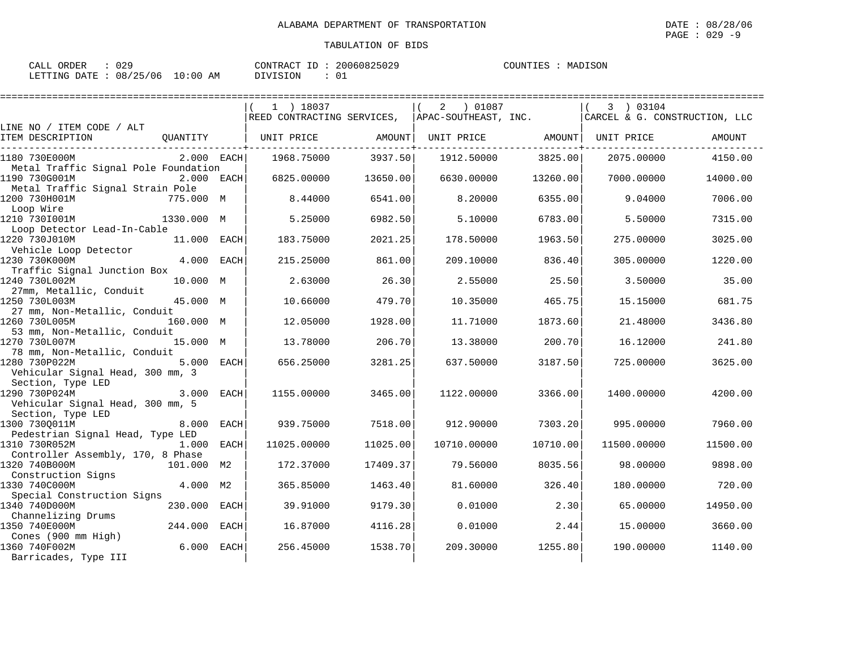| CALL ORDER                      | : 029 |          | CONTRACT ID: 20060825029 | COUNTIES : MADISON |  |
|---------------------------------|-------|----------|--------------------------|--------------------|--|
| LETTING DATE: 08/25/06 10:00 AM |       | DIVISION | - 01                     |                    |  |

|                                                                                               | $1$ ) 18037                                     |          | 2<br>01087 (      |          | 3 ) 03104                     |          |
|-----------------------------------------------------------------------------------------------|-------------------------------------------------|----------|-------------------|----------|-------------------------------|----------|
|                                                                                               | REED CONTRACTING SERVICES, APAC-SOUTHEAST, INC. |          |                   |          | CARCEL & G. CONSTRUCTION, LLC |          |
| LINE NO / ITEM CODE / ALT<br>ITEM DESCRIPTION<br>OUANTITY                                     | UNIT PRICE                                      | AMOUNT   | UNIT PRICE AMOUNT |          | UNIT PRICE                    | AMOUNT   |
| 2.000 EACH<br>1180 730E000M<br>Metal Traffic Signal Pole Foundation                           | 1968.75000                                      | 3937.50  | 1912.50000        | 3825.00  | 2075.00000                    | 4150.00  |
| 1190 730G001M<br>2.000 EACH                                                                   | 6825,00000                                      | 13650.00 | 6630.00000        | 13260.00 | 7000.00000                    | 14000.00 |
| Metal Traffic Signal Strain Pole<br>1200 730H001M<br>775.000 M                                | 8.44000                                         | 6541.00  | 8,20000           | 6355.00  | 9.04000                       | 7006.00  |
| Loop Wire<br>1210 7301001M<br>1330.000 M                                                      | 5.25000                                         | 6982.50  | 5.10000           | 6783.00  | 5.50000                       | 7315.00  |
| Loop Detector Lead-In-Cable<br>1220 730J010M<br>11.000 EACH                                   | 183.75000                                       | 2021.25  | 178.50000         | 1963.50  | 275.00000                     | 3025.00  |
| Vehicle Loop Detector<br>4.000<br>1230 730K000M<br><b>EACH</b><br>Traffic Signal Junction Box | 215.25000                                       | 861.00   | 209.10000         | 836.40   | 305.00000                     | 1220.00  |
| 1240 730L002M<br>10.000 M<br>27mm, Metallic, Conduit                                          | 2.63000                                         | 26.30    | 2.55000           | 25.50    | 3.50000                       | 35.00    |
| 1250 730L003M<br>45.000 M<br>27 mm, Non-Metallic, Conduit                                     | 10.66000                                        | 479.70   | 10.35000          | 465.75   | 15.15000                      | 681.75   |
| 1260 730L005M<br>160.000 M<br>53 mm, Non-Metallic, Conduit                                    | 12.05000                                        | 1928.00  | 11.71000          | 1873.60  | 21.48000                      | 3436.80  |
| 15.000 M<br>1270 730L007M<br>78 mm, Non-Metallic, Conduit                                     | 13.78000                                        | 206.70   | 13.38000          | 200.70   | 16.12000                      | 241.80   |
| 1280 730P022M<br>5.000 EACH<br>Vehicular Signal Head, 300 mm, 3                               | 656.25000                                       | 3281.25  | 637.50000         | 3187.50  | 725.00000                     | 3625.00  |
| Section, Type LED<br>1290 730P024M<br>3.000<br>EACH<br>Vehicular Signal Head, 300 mm, 5       | 1155.00000                                      | 3465.00  | 1122.00000        | 3366.00  | 1400.00000                    | 4200.00  |
| Section, Type LED<br>1300 730Q011M<br>8.000<br>EACH                                           | 939.75000                                       | 7518.00  | 912.90000         | 7303.20  | 995.00000                     | 7960.00  |
| Pedestrian Signal Head, Type LED<br>1310 730R052M<br>1.000<br>EACH                            | 11025.00000                                     | 11025.00 | 10710.00000       | 10710.00 | 11500.00000                   | 11500.00 |
| Controller Assembly, 170, 8 Phase<br>1320 740B000M<br>101.000 M2<br>Construction Signs        | 172.37000                                       | 17409.37 | 79.56000          | 8035.56  | 98.00000                      | 9898.00  |
| 4.000 M2<br>1330 740C000M<br>Special Construction Signs                                       | 365.85000                                       | 1463.40  | 81.60000          | 326.40   | 180.00000                     | 720.00   |
| 230.000<br>1340 740D000M<br><b>EACH</b>                                                       | 39.91000                                        | 9179.30  | 0.01000           | 2.30     | 65.00000                      | 14950.00 |
| Channelizing Drums<br>244.000<br>1350 740E000M<br><b>EACH</b>                                 | 16.87000                                        | 4116.28  | 0.01000           | 2.44     | 15.00000                      | 3660.00  |
| Cones (900 mm High)<br>6.000<br>1360 740F002M<br>EACH<br>Barricades, Type III                 | 256.45000                                       | 1538.70  | 209,30000         | 1255.80  | 190.00000                     | 1140.00  |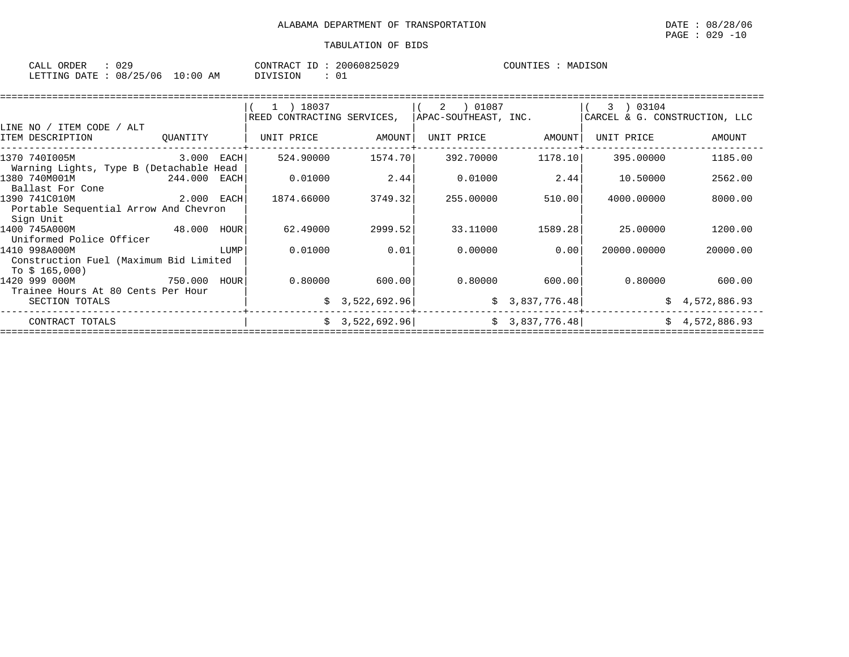| ORDER<br>CALL | 029      |            | CONTRACT<br>ΙD | 20060825029 | MADISON<br>COUNTIES |
|---------------|----------|------------|----------------|-------------|---------------------|
| LETTING DATE  | 08/25/06 | $10:00$ AM | DIVISION       | $\sim$      |                     |

|                                                                          |          |      | 1 ) 18037<br>REED CONTRACTING SERVICES, |                 | 01087<br>2<br>APAC-SOUTHEAST, INC. |                 | 03104<br>3<br>CARCEL & G. CONSTRUCTION, LLC |                |
|--------------------------------------------------------------------------|----------|------|-----------------------------------------|-----------------|------------------------------------|-----------------|---------------------------------------------|----------------|
| LINE NO /<br>ITEM CODE<br>ALT<br>ITEM DESCRIPTION                        | OUANTITY |      | UNIT PRICE                              | AMOUNT          | UNIT PRICE                         | AMOUNT          | UNIT PRICE                                  | AMOUNT         |
| 1370 740I005M<br>Warning Lights, Type B (Detachable Head                 | 3.000    | EACH | 524.90000                               | 1574.70         | 392.70000                          | 1178.10         | 395.00000                                   | 1185.00        |
| 1380 740M001M<br>Ballast For Cone                                        | 244.000  | EACH | 0.01000                                 | 2.44            | 0.01000                            | 2.44            | 10.50000                                    | 2562.00        |
| 1390 741C010M<br>Portable Sequential Arrow And Chevron<br>Sign Unit      | 2.000    | EACH | 1874.66000                              | 3749.32         | 255.00000                          | 510.00          | 4000.00000                                  | 8000.00        |
| 1400 745A000M<br>Uniformed Police Officer                                | 48.000   | HOUR | 62.49000                                | 2999.52         | 33.11000                           | 1589.28         | 25.00000                                    | 1200.00        |
| 1410 998A000M<br>Construction Fuel (Maximum Bid Limited<br>To $$165,000$ |          | LUMP | 0.01000                                 | 0.01            | 0.00000                            | 0.00            | 20000.00000                                 | 20000.00       |
| 1420 999 000M<br>Trainee Hours At 80 Cents Per Hour                      | 750.000  | HOUR | 0.80000                                 | 600.00          | 0.80000                            | 600.00          | 0.80000                                     | 600.00         |
| SECTION TOTALS                                                           |          |      |                                         | \$3,522,692.96  |                                    | \$3,837,776.48] |                                             | \$4,572,886.93 |
| CONTRACT TOTALS                                                          |          |      |                                         | \$3,522,692.96] |                                    | \$3,837,776.48] |                                             | \$4,572,886.93 |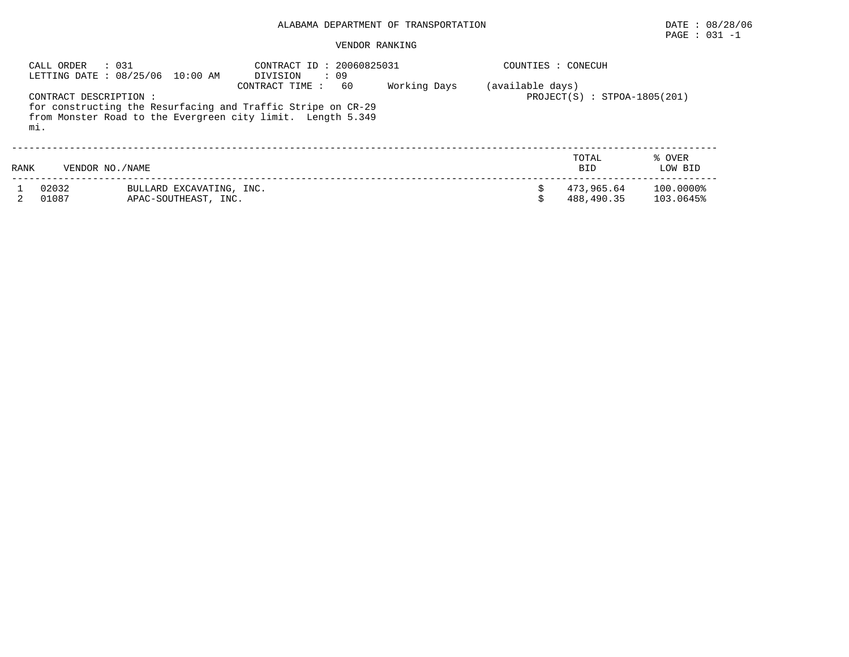# PAGE : 031 -1

#### VENDOR RANKING

| CALL ORDER                    | : 0.31<br>LETTING DATE : 08/25/06 10:00 AM                                                                                  | CONTRACT ID: 20060825031<br>DIVISION<br>: 09 |              | COUNTIES : CONECUH |                                |                        |
|-------------------------------|-----------------------------------------------------------------------------------------------------------------------------|----------------------------------------------|--------------|--------------------|--------------------------------|------------------------|
| CONTRACT DESCRIPTION :<br>mi. | for constructing the Resurfacing and Traffic Stripe on CR-29<br>from Monster Road to the Evergreen city limit. Length 5.349 | 60<br>CONTRACT TIME:                         | Working Days | (available days)   | $PROJECT(S) : STPOA-1805(201)$ |                        |
| RANK                          | VENDOR NO. / NAME                                                                                                           |                                              |              |                    | TOTAL<br><b>BID</b>            | % OVER<br>LOW BID      |
| 02032<br>01087                | BULLARD EXCAVATING, INC.<br>APAC-SOUTHEAST, INC.                                                                            |                                              |              |                    | 473,965.64<br>488,490.35       | 100.0000%<br>103.0645% |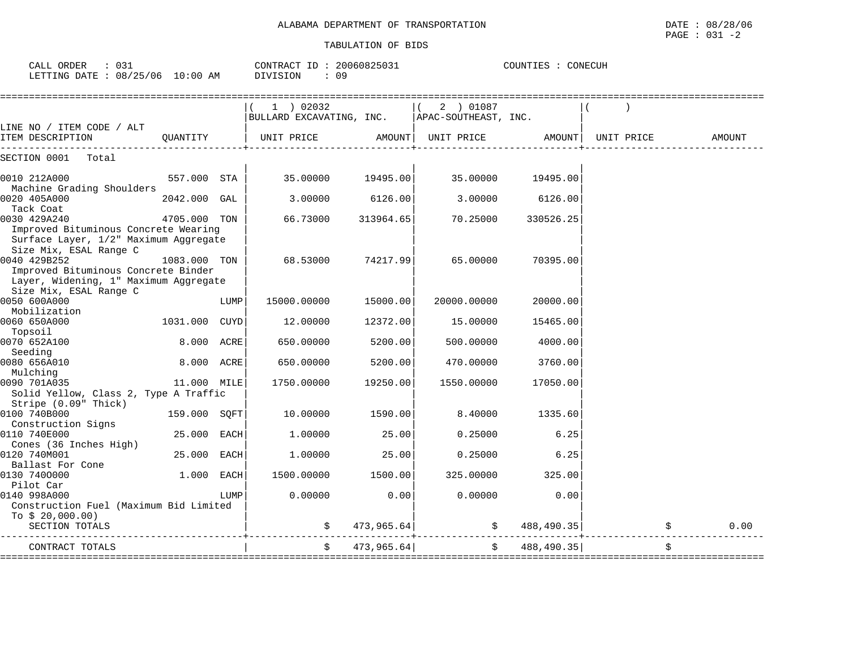CALL ORDER : 031 CONTRACT ID : 20060825031 COUNTIES : CONECUH

LETTING DATE : 08/25/06 10:00 AM DIVISION : 09

|                                                               |               |      | $1$ ) 02032              |            | 2 ) 01087            |            |            |        |
|---------------------------------------------------------------|---------------|------|--------------------------|------------|----------------------|------------|------------|--------|
|                                                               |               |      | BULLARD EXCAVATING, INC. |            | APAC-SOUTHEAST, INC. |            |            |        |
| LINE NO / ITEM CODE / ALT                                     |               |      |                          |            |                      |            |            |        |
| ITEM DESCRIPTION                                              | OUANTITY      |      | UNIT PRICE               |            | AMOUNT  UNIT PRICE   | AMOUNT     | UNIT PRICE | AMOUNT |
| SECTION 0001<br>Total                                         |               |      |                          |            |                      |            |            |        |
| 0010 212A000                                                  | 557.000 STA   |      | 35.00000                 | 19495.00   | 35.00000             | 19495.00   |            |        |
| Machine Grading Shoulders                                     |               |      |                          |            |                      |            |            |        |
| 0020 405A000                                                  | 2042.000 GAL  |      | 3.00000                  | 6126.00    | 3.00000              | 6126.00    |            |        |
| Tack Coat                                                     |               |      |                          |            |                      |            |            |        |
| 0030 429A240                                                  | 4705.000 TON  |      | 66.73000                 | 313964.65  | 70.25000             | 330526.25  |            |        |
| Improved Bituminous Concrete Wearing                          |               |      |                          |            |                      |            |            |        |
| Surface Layer, 1/2" Maximum Aggregate                         |               |      |                          |            |                      |            |            |        |
| Size Mix, ESAL Range C                                        |               |      |                          |            |                      |            |            |        |
| 0040 429B252                                                  | 1083.000 TON  |      | 68.53000                 | 74217.99   | 65.00000             | 70395.00   |            |        |
| Improved Bituminous Concrete Binder                           |               |      |                          |            |                      |            |            |        |
| Layer, Widening, 1" Maximum Aggregate                         |               |      |                          |            |                      |            |            |        |
| Size Mix, ESAL Range C                                        |               |      |                          |            |                      |            |            |        |
| 0050 600A000                                                  |               | LUMP | 15000.00000              | 15000.00   | 20000.00000          | 20000.00   |            |        |
| Mobilization                                                  |               |      |                          |            |                      |            |            |        |
| 0060 650A000                                                  | 1031.000 CUYD |      | 12.00000                 | 12372.00   | 15.00000             | 15465.00   |            |        |
| Topsoil                                                       |               |      |                          |            |                      |            |            |        |
| 0070 652A100                                                  | 8.000 ACRE    |      | 650.00000                | 5200.00    | 500.00000            | 4000.00    |            |        |
| Seeding                                                       |               |      |                          |            |                      |            |            |        |
| 0080 656A010                                                  | 8.000 ACRE    |      | 650.00000                | 5200.00    | 470.00000            | 3760.00    |            |        |
| Mulching                                                      |               |      |                          |            |                      |            |            |        |
| 0090 701A035                                                  | 11.000 MILE   |      | 1750.00000               | 19250.00   | 1550.00000           | 17050.00   |            |        |
| Solid Yellow, Class 2, Type A Traffic<br>Stripe (0.09" Thick) |               |      |                          |            |                      |            |            |        |
| 0100 740B000                                                  | 159.000 SQFT  |      | 10.00000                 | 1590.00    | 8.40000              | 1335.60    |            |        |
|                                                               |               |      |                          |            |                      |            |            |        |
| Construction Signs<br>0110 740E000                            | 25.000 EACH   |      | 1,00000                  | 25.00      | 0.25000              | 6.25       |            |        |
| Cones (36 Inches High)                                        |               |      |                          |            |                      |            |            |        |
| 0120 740M001                                                  | 25.000        | EACH | 1,00000                  | 25.00      | 0.25000              | 6.25       |            |        |
| Ballast For Cone                                              |               |      |                          |            |                      |            |            |        |
| 0130 7400000                                                  | 1.000         |      | 1500.00000               | 1500.00    | 325.00000            | 325.00     |            |        |
| Pilot Car                                                     |               | EACH |                          |            |                      |            |            |        |
|                                                               |               |      |                          |            |                      |            |            |        |
| 0140 998A000<br>Construction Fuel (Maximum Bid Limited        |               | LUMP | 0.00000                  | 0.00       | 0.00000              | 0.00       |            |        |
|                                                               |               |      |                          |            |                      |            |            |        |
| To $$20,000.00)$                                              |               |      |                          |            |                      |            |            |        |
| SECTION TOTALS                                                |               |      | \$                       | 473,965.64 | $\ddot{\mathsf{S}}$  | 488,490.35 | $\ddot{s}$ | 0.00   |
| CONTRACT TOTALS                                               |               |      |                          | 473,965.64 |                      | 488,490.35 |            |        |
|                                                               |               |      |                          |            |                      |            |            |        |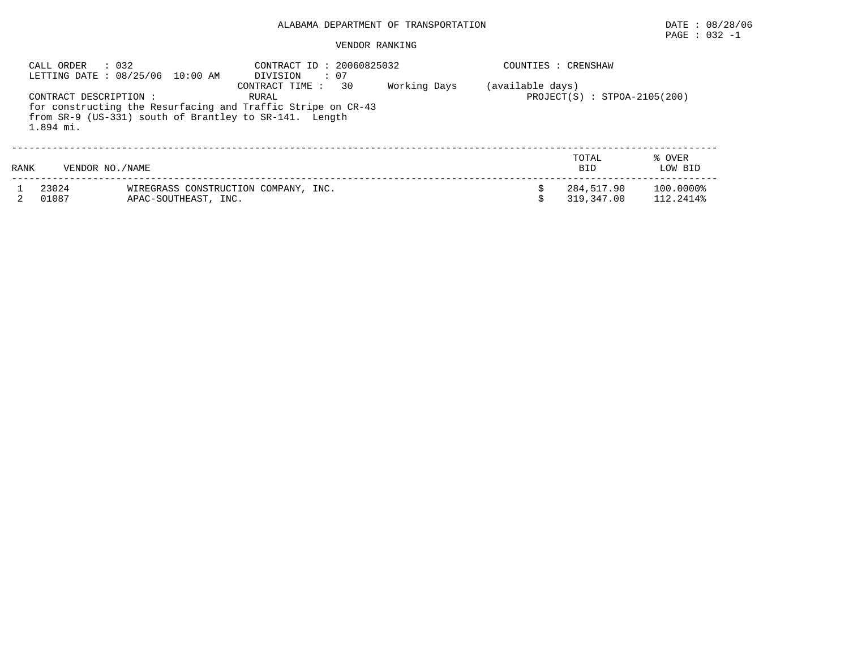# $\texttt{PAGE}$  : 032 -1

#### VENDOR RANKING

|      | $\therefore$ 032<br>CALL ORDER      | LETTING DATE: 08/25/06 10:00 AM                                                                                        | CONTRACT ID: 20060825032<br>$\cdots$ 07<br>DIVISION |                 |              | COUNTIES : CRENSHAW |                                |                        |
|------|-------------------------------------|------------------------------------------------------------------------------------------------------------------------|-----------------------------------------------------|-----------------|--------------|---------------------|--------------------------------|------------------------|
|      | CONTRACT DESCRIPTION :<br>1.894 mi. | for constructing the Resurfacing and Traffic Stripe on CR-43<br>from SR-9 (US-331) south of Brantley to SR-141. Length | CONTRACT TIME :<br>RURAL                            | $\overline{30}$ | Working Days | (available days)    | $PROJECT(S) : STPOA-2105(200)$ |                        |
| RANK | VENDOR NO. / NAME                   |                                                                                                                        |                                                     |                 |              |                     | TOTAL<br><b>BID</b>            | % OVER<br>LOW BID      |
|      | 23024<br>01087                      | WIREGRASS CONSTRUCTION COMPANY, INC.<br>APAC-SOUTHEAST, INC.                                                           |                                                     |                 |              |                     | 284,517.90<br>319,347.00       | 100.0000%<br>112.2414% |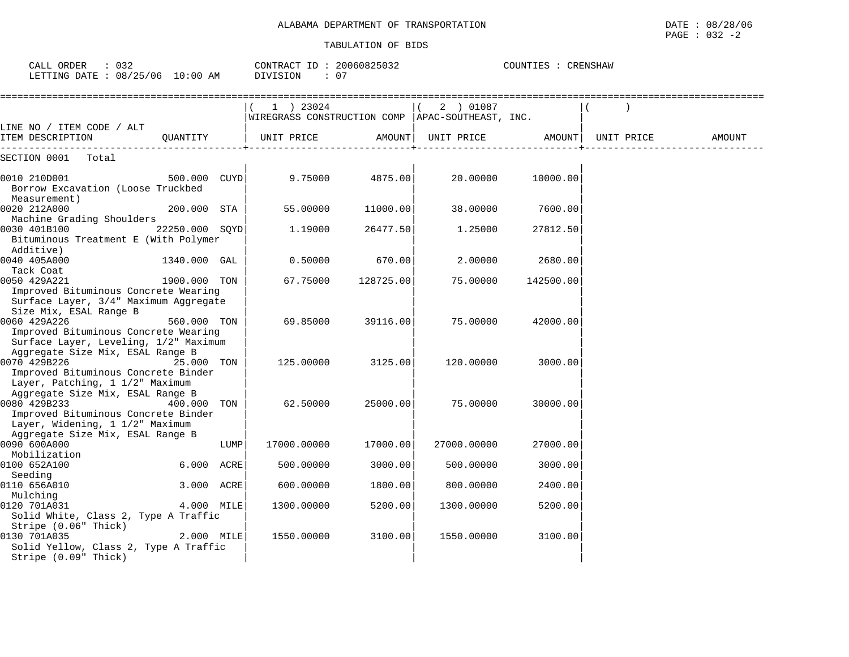| CALL ORDER<br>: 032<br>LETTING DATE : 08/25/06 10:00 AM                                                                    |                |      | CONTRACT ID: 20060825032<br>DIVISION<br>: 07                    |           | COUNTIES : CRENSHAW          |           |            |        |
|----------------------------------------------------------------------------------------------------------------------------|----------------|------|-----------------------------------------------------------------|-----------|------------------------------|-----------|------------|--------|
| LINE NO / ITEM CODE / ALT                                                                                                  |                |      | 1 ) 23024<br>WIREGRASS CONSTRUCTION COMP   APAC-SOUTHEAST, INC. |           | 2 ) 01087<br>$\vert \vert$ ( |           |            |        |
| ITEM DESCRIPTION                                                                                                           | OUANTITY       |      | UNIT PRICE                                                      | AMOUNT    | UNIT PRICE                   | AMOUNT    | UNIT PRICE | AMOUNT |
| SECTION 0001 Total                                                                                                         |                |      |                                                                 |           |                              |           |            |        |
| 0010 210D001<br>Borrow Excavation (Loose Truckbed<br>Measurement)                                                          | 500.000 CUYD   |      | 9.75000                                                         | 4875.00   | 20.00000                     | 10000.00  |            |        |
| 0020 212A000                                                                                                               | 200.000 STA    |      | 55.00000                                                        | 11000.00  | 38.00000                     | 7600.00   |            |        |
| Machine Grading Shoulders<br>0030 401B100<br>Bituminous Treatment E (With Polymer<br>Additive)                             | 22250.000 SOYD |      | 1.19000                                                         | 26477.50  | 1.25000                      | 27812.50  |            |        |
| 0040 405A000                                                                                                               | 1340.000 GAL   |      | 0.50000                                                         | 670.00    | 2,00000                      | 2680.00   |            |        |
| Tack Coat<br>0050 429A221<br>Improved Bituminous Concrete Wearing<br>Surface Layer, 3/4" Maximum Aggregate                 | 1900.000 TON   |      | 67.75000                                                        | 128725.00 | 75.00000                     | 142500.00 |            |        |
| Size Mix, ESAL Range B<br>0060 429A226<br>Improved Bituminous Concrete Wearing<br>Surface Layer, Leveling, 1/2" Maximum    | 560.000 TON    |      | 69.85000                                                        | 39116.00  | 75.00000                     | 42000.00  |            |        |
| Aggregate Size Mix, ESAL Range B<br>0070 429B226<br>Improved Bituminous Concrete Binder<br>Layer, Patching, 1 1/2" Maximum | 25.000 TON     |      | 125.00000                                                       | 3125.00   | 120.00000                    | 3000.00   |            |        |
| Aggregate Size Mix, ESAL Range B<br>0080 429B233<br>Improved Bituminous Concrete Binder<br>Layer, Widening, 1 1/2" Maximum | 400.000        | TON  | 62.50000                                                        | 25000.00  | 75.00000                     | 30000.00  |            |        |
| Aggregate Size Mix, ESAL Range B<br>0090 600A000<br>Mobilization                                                           |                | LUMP | 17000.00000                                                     | 17000.00  | 27000.00000                  | 27000.00  |            |        |
| 0100 652A100                                                                                                               | 6.000 ACRE     |      | 500.00000                                                       | 3000.00   | 500.00000                    | 3000.00   |            |        |
| Seeding<br>0110 656A010                                                                                                    | 3.000 ACRE     |      | 600.00000                                                       | 1800.00   | 800.00000                    | 2400.00   |            |        |
| Mulching<br>0120 701A031<br>Solid White, Class 2, Type A Traffic<br>Stripe (0.06" Thick)                                   | 4.000 MILE     |      | 1300.00000                                                      | 5200.00   | 1300.00000                   | 5200.00   |            |        |
| 0130 701A035<br>Solid Yellow, Class 2, Type A Traffic<br>Stripe (0.09" Thick)                                              | 2.000 MILE     |      | 1550.00000                                                      | 3100.00   | 1550.00000                   | 3100.00   |            |        |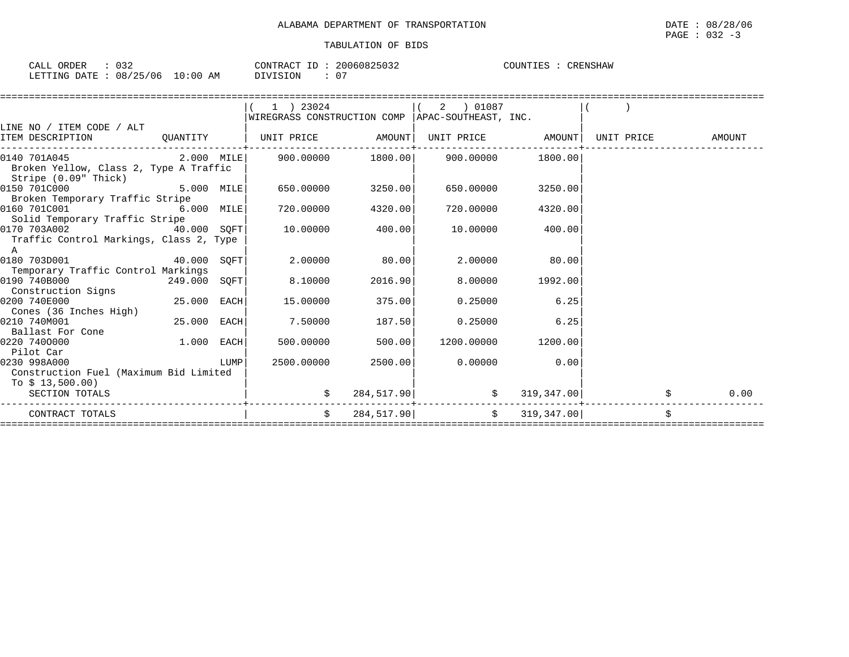| 032<br>ORDER<br>CALL   |          | CONTRACT ID | 20060825032 | COUNTIES<br>CRENSHAW |
|------------------------|----------|-------------|-------------|----------------------|
| LETTING DATE: 08/25/06 | 10:00 AM | ־^^TVTST    |             |                      |

|                                                                                                                                      |              |              | $1$ ) 23024                                        |               | 2 ) 01087                  |                    |            |        |
|--------------------------------------------------------------------------------------------------------------------------------------|--------------|--------------|----------------------------------------------------|---------------|----------------------------|--------------------|------------|--------|
|                                                                                                                                      |              |              | WIREGRASS CONSTRUCTION COMP   APAC-SOUTHEAST, INC. |               |                            |                    |            |        |
| LINE NO / ITEM CODE / ALT                                                                                                            |              |              |                                                    |               |                            |                    |            |        |
| ITEM DESCRIPTION                                                                                                                     | QUANTITY     |              | UNIT PRICE AMOUNT                                  |               | UNIT PRICE AMOUNT          |                    | UNIT PRICE | AMOUNT |
| $[0.140 \t 701A045$ 2.000 MILE 900.00000 1800.00 900.00000 1800.00                                                                   |              |              |                                                    |               |                            |                    |            |        |
| Broken Yellow, Class 2, Type A Traffic                                                                                               |              |              |                                                    |               |                            |                    |            |        |
| Stripe (0.09" Thick)                                                                                                                 |              |              |                                                    |               |                            |                    |            |        |
| 0150 701C000                                                                                                                         |              | $5.000$ MILE | 650.00000 3250.00                                  |               | 650.00000                  | 3250.00            |            |        |
| Broken Temporary Traffic Stripe                                                                                                      |              |              |                                                    |               |                            |                    |            |        |
| 0160 701C001                                                                                                                         |              | $6.000$ MILE | 720.00000                                          | 4320.00       | 720.00000                  | 4320.00            |            |        |
| Solid Temporary Traffic Stripe                                                                                                       |              |              |                                                    |               |                            |                    |            |        |
| 0170 703A002<br>40.000 SOFT                                                                                                          |              |              | 10.00000                                           | 400.00        |                            | 10.00000 400.00    |            |        |
| Traffic Control Markings, Class 2, Type                                                                                              |              |              |                                                    |               |                            |                    |            |        |
| A                                                                                                                                    |              |              |                                                    |               |                            |                    |            |        |
| 0180 703D001<br>40.000 SOFT                                                                                                          |              |              |                                                    | 2.00000 80.00 | 2.00000                    | 80.00              |            |        |
| Temporary Traffic Control Markings                                                                                                   |              |              |                                                    |               |                            |                    |            |        |
| 0190 740B000                                                                                                                         | 249.000 SQFT |              | 8.10000                                            | 2016.90       |                            | 8.00000 1992.00    |            |        |
| Construction Signs                                                                                                                   |              |              |                                                    |               |                            |                    |            |        |
| 25.000 EACH<br>0200 740E000                                                                                                          |              |              | 15.00000                                           | 375.00        | 0.25000                    | 6.25               |            |        |
| Cones (36 Inches High)                                                                                                               |              |              |                                                    |               |                            |                    |            |        |
| 0210 740M001                                                                                                                         | 25.000 EACH  |              | 7.50000                                            | 187.50        | 0.25000                    | 6.25               |            |        |
| Ballast For Cone                                                                                                                     |              |              |                                                    |               |                            |                    |            |        |
| 0220 7400000                                                                                                                         | $1.000$ EACH |              | 500.00000                                          | 500.00        |                            | 1200.00000 1200.00 |            |        |
| Pilot Car                                                                                                                            |              |              |                                                    |               |                            |                    |            |        |
| 0230 998A000<br><b>EXECUTE IN THE EXECUTIVE IN THE EXECUTIVE IN THE EXECUTIVE IN THE EXECUTIVE IN THE EXECUTIVE IN THE EXECUTIVE</b> |              |              | 2500.00000                                         | 2500.00       |                            | $0.00000$ 0.00     |            |        |
| Construction Fuel (Maximum Bid Limited                                                                                               |              |              |                                                    |               |                            |                    |            |        |
| To $$13,500.00)$                                                                                                                     |              |              |                                                    |               |                            |                    |            |        |
| SECTION TOTALS                                                                                                                       |              |              |                                                    |               | $284,517.90$ \$ 319,347.00 |                    |            | 0.00   |
| CONTRACT TOTALS                                                                                                                      |              |              | $\dot{S}$                                          |               | 284,517.90   \$ 319,347.00 |                    | \$         |        |
|                                                                                                                                      |              |              |                                                    |               |                            |                    |            |        |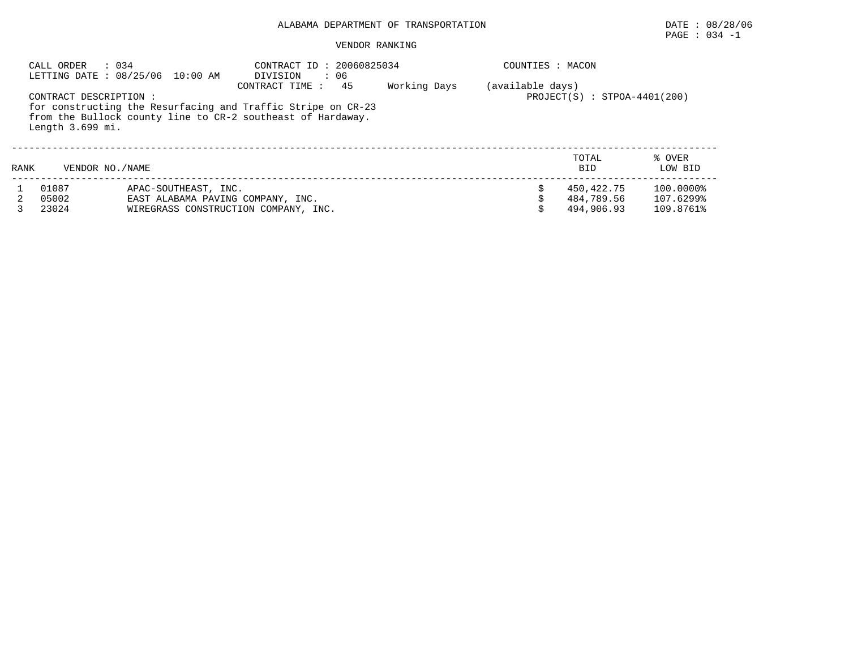## PAGE : 034 -1

#### VENDOR RANKING

|      | CALL ORDER<br>$\therefore$ 034             | LETTING DATE : 08/25/06 10:00 AM                                                                  | CONTRACT ID: 20060825034<br>DIVISION<br>$\cdot$ 06                                                                                                  |              | COUNTIES : MACON |                                        |                                     |
|------|--------------------------------------------|---------------------------------------------------------------------------------------------------|-----------------------------------------------------------------------------------------------------------------------------------------------------|--------------|------------------|----------------------------------------|-------------------------------------|
|      | CONTRACT DESCRIPTION :<br>Length 3.699 mi. |                                                                                                   | 45<br>CONTRACT TIME:<br>for constructing the Resurfacing and Traffic Stripe on CR-23<br>from the Bullock county line to CR-2 southeast of Hardaway. | Working Days | (available days) | $PROJECT(S) : STPOA-4401(200)$         |                                     |
| RANK | VENDOR NO. / NAME                          |                                                                                                   |                                                                                                                                                     |              |                  | TOTAL<br><b>BID</b>                    | % OVER<br>LOW BID                   |
|      | 01087<br>05002<br>23024                    | APAC-SOUTHEAST, INC.<br>EAST ALABAMA PAVING COMPANY, INC.<br>WIREGRASS CONSTRUCTION COMPANY, INC. |                                                                                                                                                     |              |                  | 450,422.75<br>484,789.56<br>494,906.93 | 100.0000%<br>107.6299%<br>109.8761% |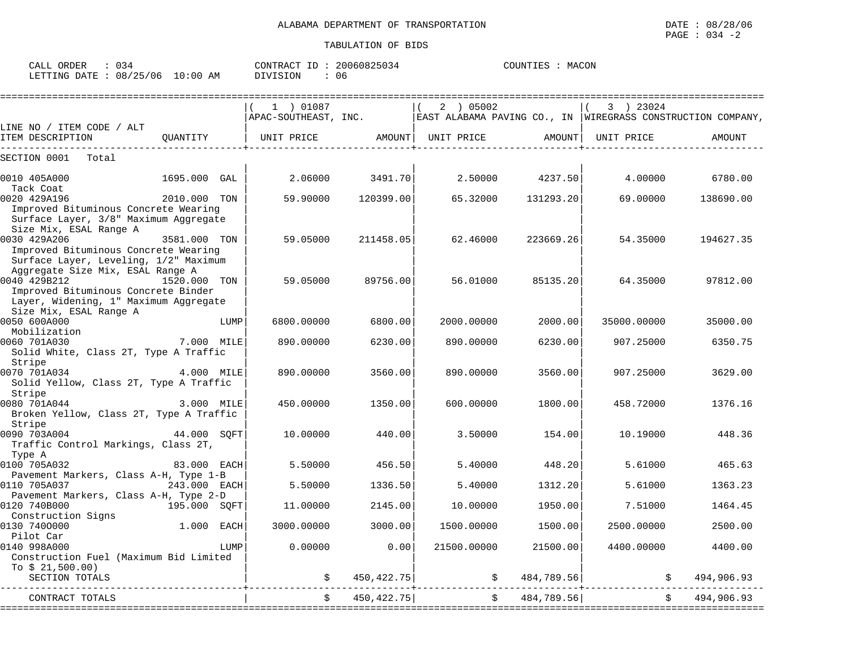| CALL<br><b>ORDER</b> |          |            | LONTRACT.                                                       | TD. | 20060825034 | COUNTIES | MACON |
|----------------------|----------|------------|-----------------------------------------------------------------|-----|-------------|----------|-------|
| LETTING DATE :       | 08/25/06 | $10:00$ AM | SION<br>$\cdot$ $\cdot$ $\cdot$ $\cdot$ $\cdot$ $\cdot$ $\cdot$ |     | 06          |          |       |

|                                                                                                                                                   | $(1)$ 01087                          |                              | 2 ) 05002                      |                | 3 ) 23024           | $APAC-SOUTHEAST$ , INC. EAST ALABAMA PAVING CO., IN WIREGRASS CONSTRUCTION COMPANY, |
|---------------------------------------------------------------------------------------------------------------------------------------------------|--------------------------------------|------------------------------|--------------------------------|----------------|---------------------|-------------------------------------------------------------------------------------|
| LINE NO / ITEM CODE / ALT                                                                                                                         |                                      |                              |                                |                |                     |                                                                                     |
| OUANTITY<br>ITEM DESCRIPTION                                                                                                                      | UNIT PRICE AMOUNT  UNIT PRICE AMOUNT | ---------------------------- | ------------------------------ |                | UNIT PRICE          | AMOUNT                                                                              |
| SECTION 0001<br>Total                                                                                                                             |                                      |                              |                                |                |                     |                                                                                     |
| 0010 405A000<br>1695.000 GAL<br>Tack Coat                                                                                                         | 2.06000                              | 3491.70                      | 2.50000                        | 4237.50        | 4.00000             | 6780.00                                                                             |
| 0020 429A196<br>2010.000 TON<br>Improved Bituminous Concrete Wearing<br>Surface Layer, 3/8" Maximum Aggregate<br>Size Mix, ESAL Range A           | 59.90000                             | 120399.00                    | 65.32000                       | 131293.20      | 69.00000            | 138690.00                                                                           |
| 0030 429A206<br>3581.000 TON<br>Improved Bituminous Concrete Wearing<br>Surface Layer, Leveling, 1/2" Maximum<br>Aggregate Size Mix, ESAL Range A | 59.05000                             | 211458.05                    | 62.46000                       | 223669.26      | 54.35000            | 194627.35                                                                           |
| 0040 429B212<br>1520.000 TON<br>Improved Bituminous Concrete Binder<br>Layer, Widening, 1" Maximum Aggregate<br>Size Mix, ESAL Range A            | 59.05000                             | 89756.00                     | 56.01000                       | 85135.20       | 64.35000            | 97812.00                                                                            |
| 0050 600A000<br>LUMP<br>Mobilization                                                                                                              | 6800.00000                           | 6800.00                      | 2000.00000                     | 2000.00        | 35000.00000         | 35000.00                                                                            |
| 7.000 MILE<br>0060 701A030<br>Solid White, Class 2T, Type A Traffic<br>Stripe                                                                     | 890,00000                            | 6230.00                      | 890.00000                      | 6230.00        | 907.25000           | 6350.75                                                                             |
| 0070 701A034 4.000 MILE<br>Solid Yellow, Class 2T, Type A Traffic<br>Stripe                                                                       | 890.00000                            | 3560.00                      | 890.00000                      | 3560.00        | 907.25000           | 3629.00                                                                             |
| 0080 701A044<br>3.000 MILE<br>Broken Yellow, Class 2T, Type A Traffic<br>Stripe                                                                   | 450.00000                            | 1350.00                      | 600,00000                      | 1800.00        | 458.72000           | 1376.16                                                                             |
| 0090 703A004<br>44.000 SOFT<br>Traffic Control Markings, Class 2T,<br>Type A                                                                      | 10,00000                             | 440.00                       | 3.50000                        | 154.00         | 10.19000            | 448.36                                                                              |
| 0100 705A032<br>83.000 EACH<br>Pavement Markers, Class A-H, Type 1-B                                                                              | 5.50000                              | 456.50                       | 5.40000                        | 448.20         | 5.61000             | 465.63                                                                              |
| 0110 705A037<br>243.000 EACH<br>Pavement Markers, Class A-H, Type 2-D                                                                             | 5.50000                              | 1336.50                      | 5.40000                        | 1312.20        | 5.61000             | 1363.23                                                                             |
| 195.000 SOFT<br>0120 740B000<br>Construction Signs                                                                                                | 11,00000                             | 2145.00                      | 10.00000                       | 1950.00        | 7.51000             | 1464.45                                                                             |
| 1.000 EACH<br>0130 7400000                                                                                                                        | 3000.00000                           | 3000.00                      | 1500.00000                     | 1500.00        | 2500.00000          | 2500.00                                                                             |
| Pilot Car<br>0140 998A000<br>LUMP<br>Construction Fuel (Maximum Bid Limited<br>To $$21,500.00)$                                                   | 0.00000                              | 0.00                         | 21500.00000                    | 21500.00       | 4400.00000          | 4400.00                                                                             |
| SECTION TOTALS                                                                                                                                    |                                      | \$ 450, 422.75]              |                                | \$ 484,789.56] | $\ddot{\mathbf{S}}$ | 494,906.93                                                                          |
| CONTRACT TOTALS                                                                                                                                   |                                      | $\ddot{s}$<br>450, 422. 75   |                                | \$ 484,789.56] | $\ddot{\mathbf{S}}$ | 494,906.93                                                                          |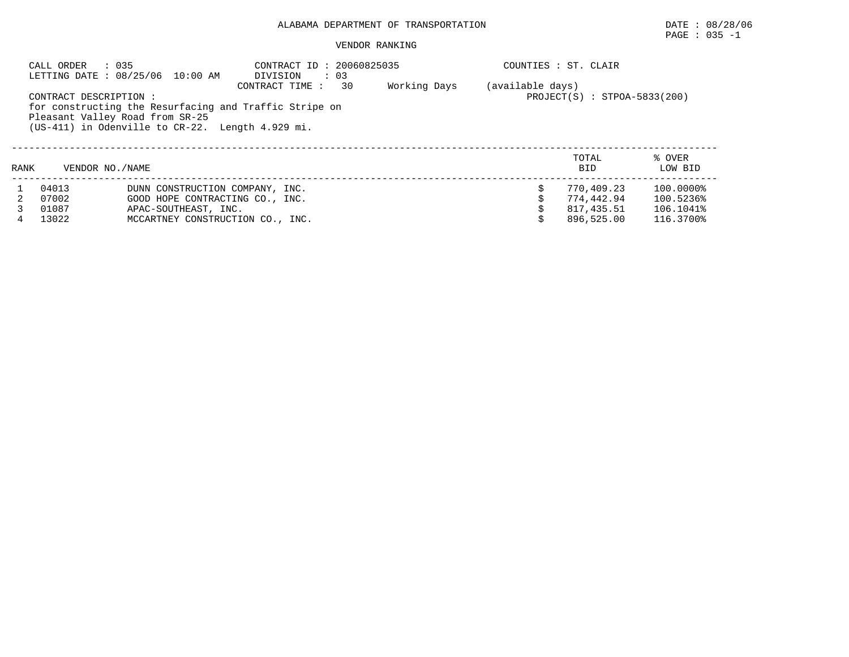#### VENDOR RANKING

|                                                                                                                                                                                                                                                                          | CALL ORDER      | : 035<br>LETTING DATE : 08/25/06 10:00 AM | CONTRACT ID: 20060825035<br>DIVISION<br>$\therefore$ 03 |  |  | COUNTIES : ST. CLAIR |                   |
|--------------------------------------------------------------------------------------------------------------------------------------------------------------------------------------------------------------------------------------------------------------------------|-----------------|-------------------------------------------|---------------------------------------------------------|--|--|----------------------|-------------------|
| 30<br>Working Days<br>(available days)<br>CONTRACT TIME :<br>$PROJECT(S)$ : $STPOA-5833(200)$<br>CONTRACT DESCRIPTION :<br>for constructing the Resurfacing and Traffic Stripe on<br>Pleasant Valley Road from SR-25<br>(US-411) in Odenville to CR-22. Length 4.929 mi. |                 |                                           |                                                         |  |  |                      |                   |
| RANK                                                                                                                                                                                                                                                                     | VENDOR NO./NAME |                                           |                                                         |  |  | TOTAL<br><b>BID</b>  | % OVER<br>LOW BID |
|                                                                                                                                                                                                                                                                          | 04013           | DUNN CONSTRUCTION COMPANY, INC.           |                                                         |  |  | 770,409.23           | 100.0000%         |
|                                                                                                                                                                                                                                                                          | 07002           | GOOD HOPE CONTRACTING CO., INC.           |                                                         |  |  | 774.442.94           | 100.5236%         |
|                                                                                                                                                                                                                                                                          | 01087           | APAC-SOUTHEAST, INC.                      |                                                         |  |  | 817,435.51           | 106.1041%         |
|                                                                                                                                                                                                                                                                          | 13022           | MCCARTNEY CONSTRUCTION CO., INC.          |                                                         |  |  | 896,525.00           | 116.3700%         |

 $\texttt{PAGE}$  : 035 -1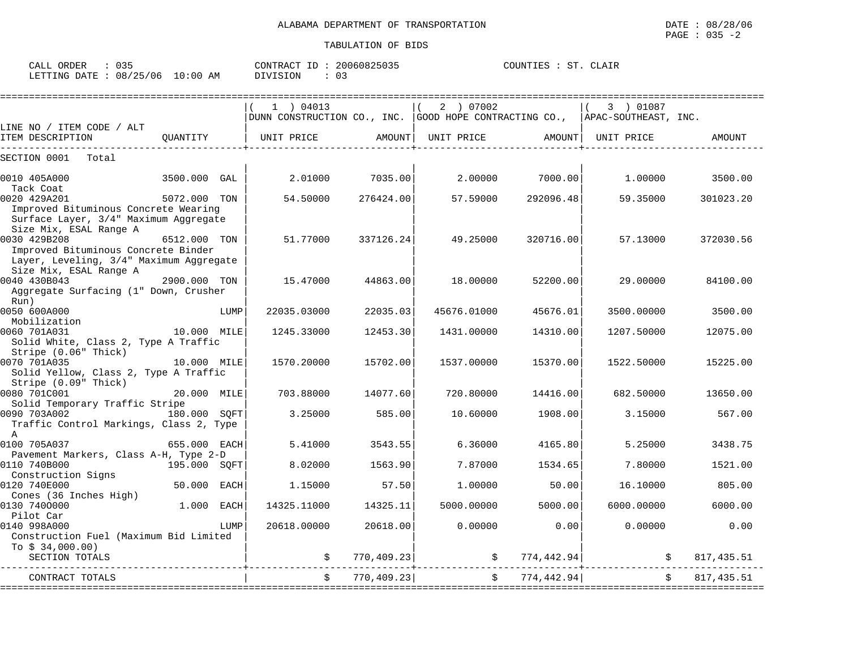| 035<br>ORDER<br>CALL       |            | 20060825035<br>CONTRACT<br>. ID | COUNTIES :<br>cт<br>CLAIR |
|----------------------------|------------|---------------------------------|---------------------------|
| : 08/25/06<br>LETTING DATE | $10:00$ AM | $\sim$ $\sim$<br>DIVISION       |                           |

|                                                         |              |      | 1 ) 04013                                                                   |             | 2 ) 07002   |                | 3 ) 01087     |            |
|---------------------------------------------------------|--------------|------|-----------------------------------------------------------------------------|-------------|-------------|----------------|---------------|------------|
|                                                         |              |      | DUNN CONSTRUCTION CO., INC. GOOD HOPE CONTRACTING CO., APAC-SOUTHEAST, INC. |             |             |                |               |            |
| LINE NO / ITEM CODE / ALT                               |              |      |                                                                             |             |             |                |               |            |
| ITEM DESCRIPTION                                        | OUANTITY     |      | UNIT PRICE                                                                  | AMOUNT      | UNIT PRICE  | AMOUNT         | UNIT PRICE    | AMOUNT     |
| SECTION 0001<br>Total                                   |              |      |                                                                             |             |             |                |               |            |
| 0010 405A000                                            | 3500.000 GAL |      | 2.01000                                                                     | 7035.00     | 2.00000     | 7000.00        | 1,00000       | 3500.00    |
| Tack Coat                                               |              |      |                                                                             |             |             |                |               |            |
| 0020 429A201                                            | 5072.000 TON |      | 54.50000                                                                    | 276424.00   | 57.59000    | 292096.48      | 59.35000      | 301023.20  |
| Improved Bituminous Concrete Wearing                    |              |      |                                                                             |             |             |                |               |            |
| Surface Layer, 3/4" Maximum Aggregate                   |              |      |                                                                             |             |             |                |               |            |
| Size Mix, ESAL Range A<br>0030 429B208                  | 6512.000 TON |      | 51.77000                                                                    | 337126.24   | 49.25000    | 320716.00      | 57.13000      | 372030.56  |
| Improved Bituminous Concrete Binder                     |              |      |                                                                             |             |             |                |               |            |
| Layer, Leveling, 3/4" Maximum Aggregate                 |              |      |                                                                             |             |             |                |               |            |
| Size Mix, ESAL Range A                                  |              |      |                                                                             |             |             |                |               |            |
| 0040 430B043                                            | 2900.000 TON |      | 15.47000                                                                    | 44863.00    | 18.00000    | 52200.00       | 29.00000      | 84100.00   |
| Aggregate Surfacing (1" Down, Crusher                   |              |      |                                                                             |             |             |                |               |            |
| Run)                                                    |              |      |                                                                             |             |             |                |               |            |
| 0050 600A000                                            |              | LUMP | 22035.03000                                                                 | 22035.03    | 45676.01000 | 45676.01       | 3500.00000    | 3500.00    |
| Mobilization                                            |              |      |                                                                             |             |             |                |               |            |
| 0060 701A031<br>Solid White, Class 2, Type A Traffic    | 10.000 MILE  |      | 1245.33000                                                                  | 12453.30    | 1431.00000  | 14310.00       | 1207.50000    | 12075.00   |
| Stripe (0.06" Thick)                                    |              |      |                                                                             |             |             |                |               |            |
| 0070 701A035                                            | 10.000 MILE  |      | 1570.20000                                                                  | 15702.00    | 1537.00000  | 15370.00       | 1522.50000    | 15225.00   |
| Solid Yellow, Class 2, Type A Traffic                   |              |      |                                                                             |             |             |                |               |            |
| Stripe (0.09" Thick)                                    |              |      |                                                                             |             |             |                |               |            |
| 0080 701C001                                            | 20.000 MILE  |      | 703.88000                                                                   | 14077.60    | 720.80000   | 14416.00       | 682.50000     | 13650.00   |
| Solid Temporary Traffic Stripe                          |              |      |                                                                             |             |             |                |               |            |
| 0090 703A002<br>180.000 SOFT                            |              |      | 3.25000                                                                     | 585.00      | 10.60000    | 1908.00        | 3.15000       | 567.00     |
| Traffic Control Markings, Class 2, Type<br>$\mathbb{A}$ |              |      |                                                                             |             |             |                |               |            |
| 0100 705A037                                            | 655.000 EACH |      | 5.41000                                                                     | 3543.55     | 6.36000     | 4165.80        | 5.25000       | 3438.75    |
| Pavement Markers, Class A-H, Type 2-D                   |              |      |                                                                             |             |             |                |               |            |
| 0110 740B000                                            | 195.000 SOFT |      | 8.02000                                                                     | 1563.90     | 7.87000     | 1534.65        | 7.80000       | 1521.00    |
| Construction Signs                                      |              |      |                                                                             |             |             |                |               |            |
| 0120 740E000                                            | 50.000 EACH  |      | 1,15000                                                                     | 57.50       | 1,00000     | 50.00          | 16.10000      | 805.00     |
| Cones (36 Inches High)                                  |              |      |                                                                             |             |             |                |               |            |
| 0130 7400000                                            | 1.000        | EACH | 14325.11000                                                                 | 14325.11    | 5000.00000  | 5000.00        | 6000.00000    | 6000.00    |
| Pilot Car<br>0140 998A000                               |              |      | 20618.00000                                                                 | 20618.00    | 0.00000     | 0.00           | 0.00000       | 0.00       |
| Construction Fuel (Maximum Bid Limited                  |              | LUMP |                                                                             |             |             |                |               |            |
| To $$34,000.00)$                                        |              |      |                                                                             |             |             |                |               |            |
| SECTION TOTALS                                          |              |      |                                                                             | 770, 409.23 |             | \$774, 442.94] | $\mathcal{S}$ | 817,435.51 |
|                                                         |              |      |                                                                             |             |             |                |               |            |
| CONTRACT TOTALS                                         |              |      |                                                                             | 770,409.23  | $\ddot{s}$  | 774, 442.94    |               | 817,435.51 |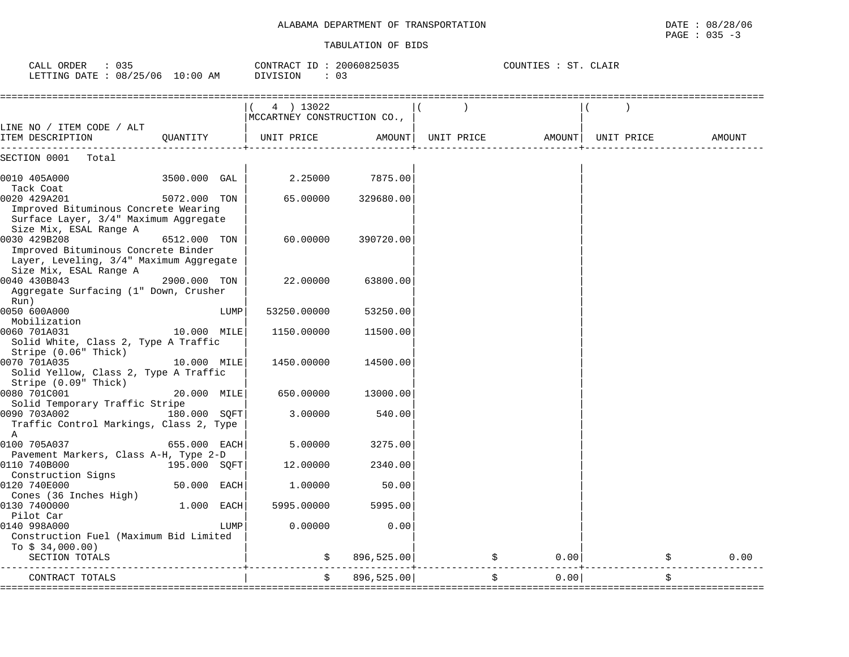| CALL ORDER : 035<br>LETTING DATE : 08/25/06 10:00 AM                                                                     |              |      | CONTRACT ID: 20060825035<br>DIVISION<br>: 0.3 |                     |               | COUNTIES : ST. CLAIR        |    |        |
|--------------------------------------------------------------------------------------------------------------------------|--------------|------|-----------------------------------------------|---------------------|---------------|-----------------------------|----|--------|
|                                                                                                                          |              |      | 4 ) 13022<br>MCCARTNEY CONSTRUCTION CO.,      |                     | $\rightarrow$ |                             |    |        |
| LINE NO / ITEM CODE / ALT<br>ITEM DESCRIPTION                                                                            | OUANTITY     |      | UNIT PRICE                                    | AMOUNT   UNIT PRICE |               | AMOUNT   UNIT PRICE         |    | AMOUNT |
| SECTION 0001<br>Total                                                                                                    |              |      |                                               |                     |               |                             |    |        |
| 0010 405A000<br>Tack Coat                                                                                                | 3500.000 GAL |      | 2.25000                                       | 7875.00             |               |                             |    |        |
| 0020 429A201<br>Improved Bituminous Concrete Wearing<br>Surface Layer, 3/4" Maximum Aggregate<br>Size Mix, ESAL Range A  | 5072.000 TON |      | 65.00000                                      | 329680.00           |               |                             |    |        |
| 0030 429B208<br>Improved Bituminous Concrete Binder<br>Layer, Leveling, 3/4" Maximum Aggregate<br>Size Mix, ESAL Range A | 6512.000 TON |      | 60.00000                                      | 390720.00           |               |                             |    |        |
| 0040 430B043<br>Aggregate Surfacing (1" Down, Crusher<br>Run)                                                            | 2900.000 TON |      | 22.00000                                      | 63800.00            |               |                             |    |        |
| 0050 600A000<br>Mobilization                                                                                             |              | LUMP | 53250.00000                                   | 53250.00            |               |                             |    |        |
| 0060 701A031<br>Solid White, Class 2, Type A Traffic<br>Stripe (0.06" Thick)                                             | 10.000 MILE  |      | 1150.00000                                    | 11500.00            |               |                             |    |        |
| 0070 701A035<br>Solid Yellow, Class 2, Type A Traffic<br>Stripe (0.09" Thick)                                            | 10.000 MILE  |      | 1450.00000                                    | 14500.00            |               |                             |    |        |
| 0080 701C001                                                                                                             | 20.000 MILE  |      | 650.00000                                     | 13000.00            |               |                             |    |        |
| Solid Temporary Traffic Stripe<br>0090 703A002 180.000 SQFT<br>Traffic Control Markings, Class 2, Type<br>A              |              |      | 3.00000                                       | 540.00              |               |                             |    |        |
| 0100 705A037<br>Pavement Markers, Class A-H, Type 2-D                                                                    | 655.000 EACH |      | 5.00000                                       | 3275.00             |               |                             |    |        |
| 0110 740B000<br>Construction Signs                                                                                       | 195.000 SQFT |      | 12.00000                                      | 2340.00             |               |                             |    |        |
| 0120 740E000<br>Cones (36 Inches High)                                                                                   | 50.000 EACH  |      | 1.00000                                       | 50.00               |               |                             |    |        |
| 0130 7400000<br>Pilot Car<br>0140 998A000                                                                                | $1.000$ EACH | LUMP | 5995.00000<br>0.00000                         | 5995.00<br>0.00     |               |                             |    |        |
| Construction Fuel (Maximum Bid Limited<br>To $$34,000.00)$                                                               |              |      |                                               |                     |               |                             |    |        |
| SECTION TOTALS                                                                                                           |              |      |                                               | 896, 525.00         |               | 0.00<br>$- - - - - - + - -$ |    | 0.00   |
| CONTRACT TOTALS                                                                                                          |              |      | \$                                            | 896, 525.00         | \$            | 0.00                        | \$ |        |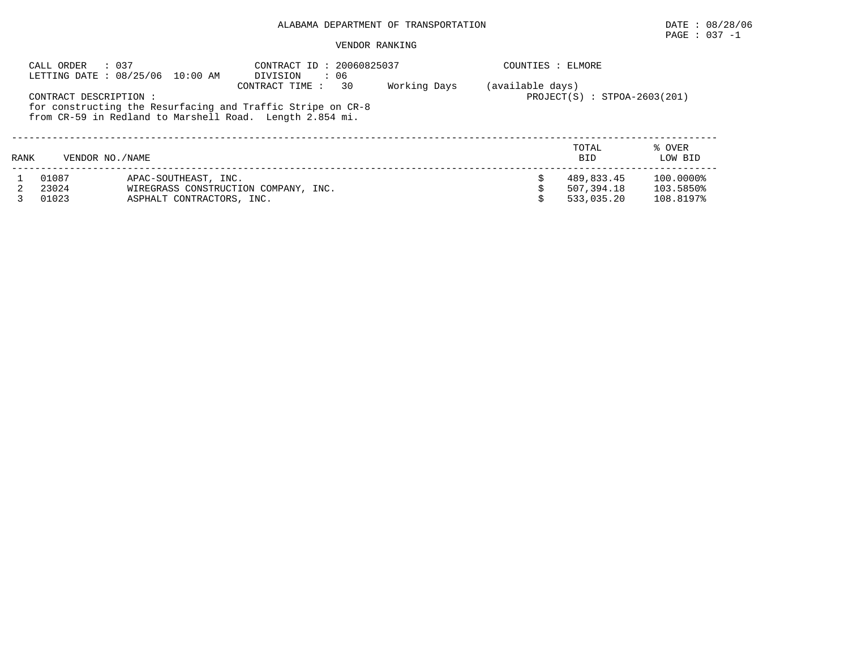## PAGE : 037 -1

#### VENDOR RANKING

|                                                                                                                                                                                                                                                 | : 037<br>CALL ORDER | LETTING DATE : 08/25/06 10:00 AM | CONTRACT ID: 20060825037<br>$\cdot$ 06<br>DIVISION |  | COUNTIES : ELMORE |                     |                   |  |
|-------------------------------------------------------------------------------------------------------------------------------------------------------------------------------------------------------------------------------------------------|---------------------|----------------------------------|----------------------------------------------------|--|-------------------|---------------------|-------------------|--|
| Working Days<br>(available days)<br>30<br>CONTRACT TIME:<br>CONTRACT DESCRIPTION :<br>$PROJECT(S) : STPOA-2603(201)$<br>for constructing the Resurfacing and Traffic Stripe on CR-8<br>from CR-59 in Redland to Marshell Road. Length 2.854 mi. |                     |                                  |                                                    |  |                   |                     |                   |  |
| RANK                                                                                                                                                                                                                                            | VENDOR NO. / NAME   |                                  |                                                    |  |                   | TOTAL<br><b>BID</b> | % OVER<br>LOW BID |  |
|                                                                                                                                                                                                                                                 | 01087               | APAC-SOUTHEAST, INC.             |                                                    |  |                   | 489,833.45          | 100.0000%         |  |
|                                                                                                                                                                                                                                                 | 23024               |                                  | WIREGRASS CONSTRUCTION COMPANY, INC.               |  |                   | 507,394.18          | 103.5850%         |  |
|                                                                                                                                                                                                                                                 | 01023               | ASPHALT CONTRACTORS, INC.        |                                                    |  |                   | 533,035.20          | 108.8197%         |  |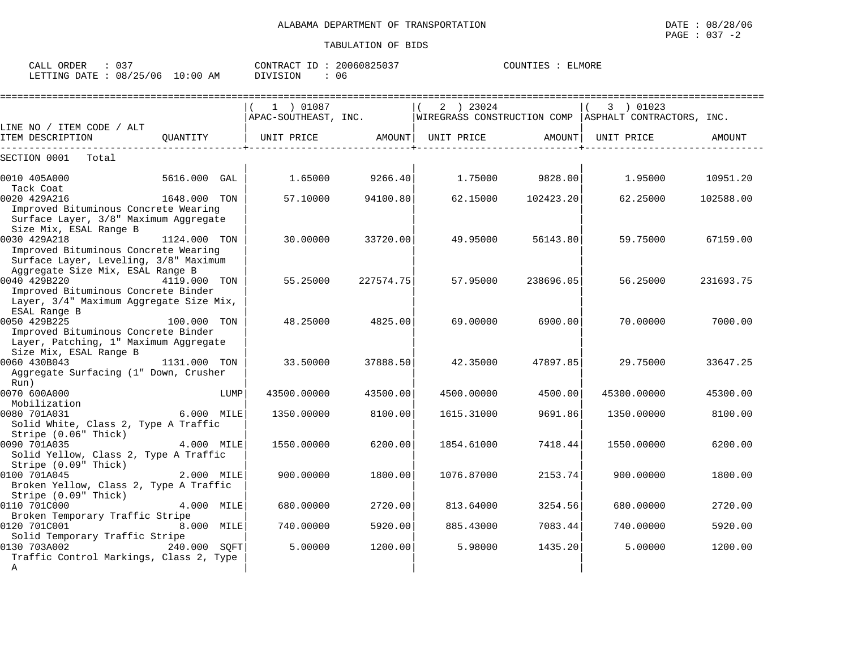| CALL ORDER                      | $\therefore$ 0.37 |          | CONTRACT ID: 20060825037 | COUNTIES : ELMORE |
|---------------------------------|-------------------|----------|--------------------------|-------------------|
| LETTING DATE: 08/25/06 10:00 AM |                   | DIVISION | : 06                     |                   |

| :====================                                                                                                             |              |      |             |           |            |           |                                                                                |           |
|-----------------------------------------------------------------------------------------------------------------------------------|--------------|------|-------------|-----------|------------|-----------|--------------------------------------------------------------------------------|-----------|
|                                                                                                                                   |              |      | 1 ) 01087   |           | 2 ) 23024  |           | 3 ) 01023                                                                      |           |
|                                                                                                                                   |              |      |             |           |            |           | APAC-SOUTHEAST, INC.   WIREGRASS CONSTRUCTION COMP   ASPHALT CONTRACTORS, INC. |           |
| LINE NO / ITEM CODE / ALT                                                                                                         |              |      |             |           |            |           |                                                                                |           |
| ITEM DESCRIPTION                                                                                                                  |              |      |             |           |            |           | UNIT PRICE                                                                     | AMOUNT    |
| SECTION 0001<br>Total                                                                                                             |              |      |             |           |            |           |                                                                                |           |
| 0010 405A000<br>Tack Coat                                                                                                         | 5616.000 GAL |      | 1.65000     | 9266.40   | 1.75000    | 9828.00   | 1.95000                                                                        | 10951.20  |
| 0020 429A216                                                                                                                      | 1648.000 TON |      | 57.10000    | 94100.80  | 62.15000   | 102423.20 | 62.25000                                                                       | 102588.00 |
| Improved Bituminous Concrete Wearing<br>Surface Layer, 3/8" Maximum Aggregate<br>Size Mix, ESAL Range B                           |              |      |             |           |            |           |                                                                                |           |
| 0030 429A218<br>Improved Bituminous Concrete Wearing<br>Surface Layer, Leveling, 3/8" Maximum<br>Aggregate Size Mix, ESAL Range B | 1124.000 TON |      | 30.00000    | 33720.00  | 49.95000   | 56143.80  | 59.75000                                                                       | 67159.00  |
| 0040 429B220<br>Improved Bituminous Concrete Binder<br>Layer, 3/4" Maximum Aggregate Size Mix,<br>ESAL Range B                    | 4119.000 TON |      | 55.25000    | 227574.75 | 57.95000   | 238696.05 | 56.25000                                                                       | 231693.75 |
| 0050 429B225<br>Improved Bituminous Concrete Binder<br>Layer, Patching, 1" Maximum Aggregate<br>Size Mix, ESAL Range B            | 100.000 TON  |      | 48.25000    | 4825.00   | 69.00000   | 6900.00   | 70.00000                                                                       | 7000.00   |
| 0060 430B043<br>Aggregate Surfacing (1" Down, Crusher<br>Run)                                                                     | 1131.000 TON |      | 33.50000    | 37888.50  | 42.35000   | 47897.85  | 29.75000                                                                       | 33647.25  |
| 0070 600A000                                                                                                                      |              | LUMP | 43500.00000 | 43500.00  | 4500.00000 | 4500.00   | 45300.00000                                                                    | 45300.00  |
| Mobilization<br>0080 701A031<br>Solid White, Class 2, Type A Traffic<br>Stripe (0.06" Thick)                                      | 6.000 MILE   |      | 1350.00000  | 8100.00   | 1615.31000 | 9691.86   | 1350.00000                                                                     | 8100.00   |
| 0090 701A035<br>Solid Yellow, Class 2, Type A Traffic<br>Stripe (0.09" Thick)                                                     | 4.000 MILE   |      | 1550.00000  | 6200.00   | 1854.61000 | 7418.44   | 1550.00000                                                                     | 6200.00   |
| 0100 701A045<br>Broken Yellow, Class 2, Type A Traffic<br>Stripe (0.09" Thick)                                                    | 2.000 MILE   |      | 900.00000   | 1800.00   | 1076.87000 | 2153.74   | 900,00000                                                                      | 1800.00   |
| 0110 701C000<br>Broken Temporary Traffic Stripe                                                                                   | 4.000 MILE   |      | 680,00000   | 2720.00   | 813.64000  | 3254.56   | 680,00000                                                                      | 2720.00   |
| 0120 701C001<br>Solid Temporary Traffic Stripe                                                                                    | 8.000 MILE   |      | 740.00000   | 5920.00   | 885.43000  | 7083.44   | 740.00000                                                                      | 5920.00   |
| 0130 703A002<br>Traffic Control Markings, Class 2, Type<br>A                                                                      | 240.000 SOFT |      | 5.00000     | 1200.00   | 5.98000    | 1435.20   | 5.00000                                                                        | 1200.00   |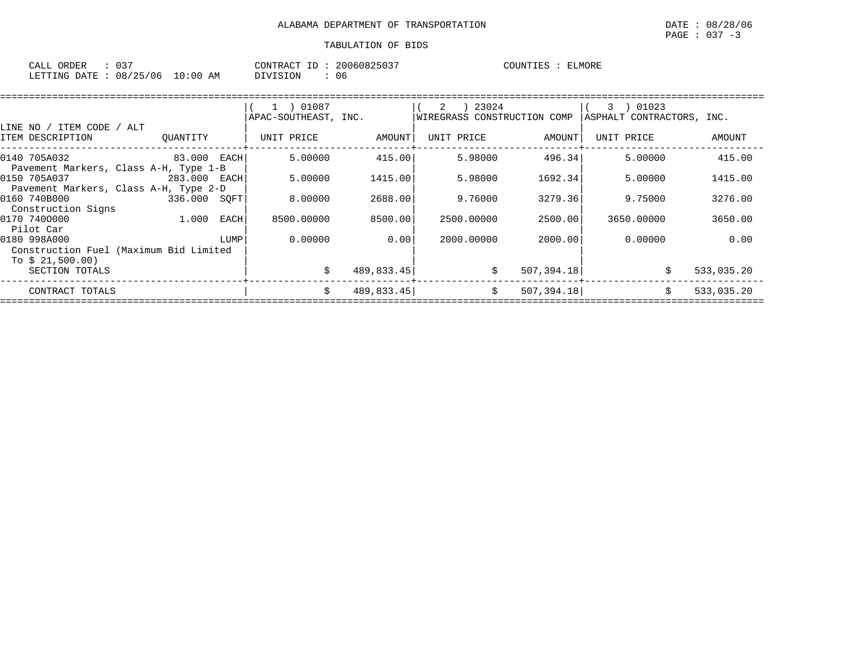| ORDER<br>CALL  |          |            | CONTRACT ID .   | 20060825037 | COUNTIES | ELMORE |
|----------------|----------|------------|-----------------|-------------|----------|--------|
| LETTING DATE : | 08/25/06 | $10:00$ AM | <b>DIVISION</b> | 06          |          |        |

|                                        |             |             | 1 ) 01087            |            | 23024<br>2                  |             | 01023<br>3                |            |
|----------------------------------------|-------------|-------------|----------------------|------------|-----------------------------|-------------|---------------------------|------------|
|                                        |             |             | APAC-SOUTHEAST, INC. |            | WIREGRASS CONSTRUCTION COMP |             | ASPHALT CONTRACTORS, INC. |            |
| LINE NO / ITEM CODE                    | ALT         |             |                      |            |                             |             |                           |            |
| ITEM DESCRIPTION                       | OUANTITY    |             | UNIT PRICE           | AMOUNT     | UNIT PRICE                  | AMOUNT      | UNIT PRICE                | AMOUNT     |
| 0140 705A032                           | 83.000 EACH |             | 5.00000              | 415.00     | 5.98000                     | 496.34      | 5.00000                   | 415.00     |
| Pavement Markers, Class A-H, Type 1-B  |             |             |                      |            |                             |             |                           |            |
| 0150 705A037                           | 283.000     | EACH        | 5.00000              | 1415.00    | 5.98000                     | 1692.34     | 5.00000                   | 1415.00    |
| Pavement Markers, Class A-H, Type 2-D  |             |             |                      |            |                             |             |                           |            |
| 0160 740B000                           | 336.000     | SOFT        | 8,00000              | 2688.00    | 9.76000                     | 3279.36     | 9.75000                   | 3276.00    |
| Construction Signs                     |             |             |                      |            |                             |             |                           |            |
| 0170 7400000                           | 1.000       | <b>EACH</b> | 8500.00000           | 8500.00    | 2500.00000                  | 2500.00     | 3650.00000                | 3650.00    |
| Pilot Car                              |             |             |                      |            |                             |             |                           |            |
| 0180 998A000                           |             | LUMP        | 0.00000              | 0.00       | 2000.00000                  | 2000.00     | 0.00000                   | 0.00       |
| Construction Fuel (Maximum Bid Limited |             |             |                      |            |                             |             |                           |            |
| To $$21,500.00)$                       |             |             |                      |            |                             |             |                           |            |
| SECTION TOTALS                         |             |             | Ŝ.                   | 489,833.45 | \$                          | 507, 394.18 |                           | 533,035.20 |
| CONTRACT TOTALS                        |             |             | \$.                  | 489,833.45 | \$                          | 507, 394.18 |                           | 533,035.20 |
|                                        |             |             |                      |            |                             |             |                           |            |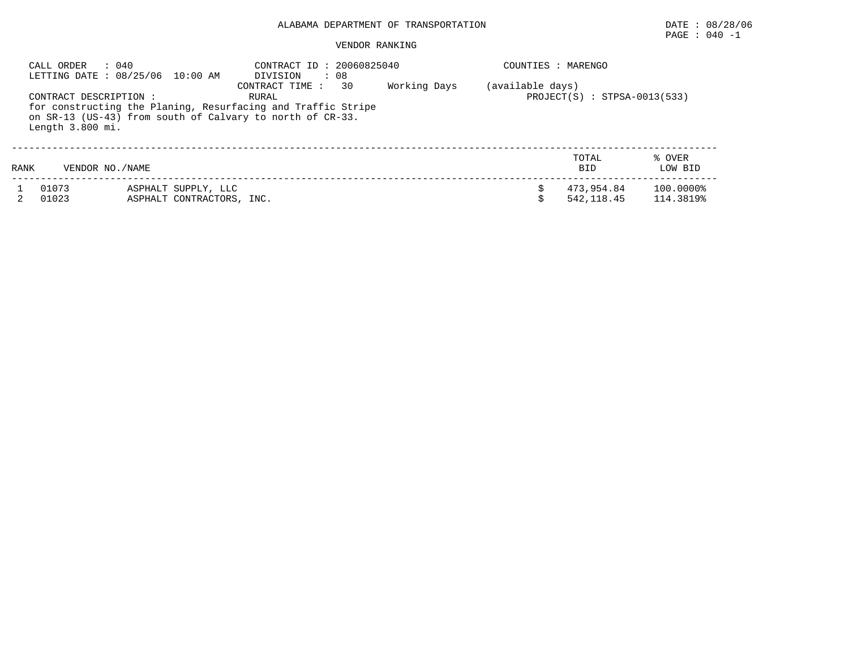# PAGE : 040 -1

### VENDOR RANKING

|      | CALL ORDER<br>: 040                        | LETTING DATE : 08/25/06 10:00 AM                 | CONTRACT ID: 20060825040<br>: 08<br>DIVISION                                                                                                               |              | COUNTIES : MARENGO |                                |                        |
|------|--------------------------------------------|--------------------------------------------------|------------------------------------------------------------------------------------------------------------------------------------------------------------|--------------|--------------------|--------------------------------|------------------------|
|      | CONTRACT DESCRIPTION :<br>Length 3.800 mi. |                                                  | 30<br>CONTRACT TIME:<br>RURAL<br>for constructing the Planing, Resurfacing and Traffic Stripe<br>on SR-13 (US-43) from south of Calvary to north of CR-33. | Working Days | (available days)   | $PROJECT(S) : STPSA-0013(533)$ |                        |
| RANK | VENDOR NO./NAME                            |                                                  |                                                                                                                                                            |              |                    | TOTAL<br><b>BID</b>            | % OVER<br>LOW BID      |
|      | 01073<br>01023                             | ASPHALT SUPPLY, LLC<br>ASPHALT CONTRACTORS, INC. |                                                                                                                                                            |              |                    | 473.954.84<br>542, 118, 45     | 100.0000%<br>114.3819% |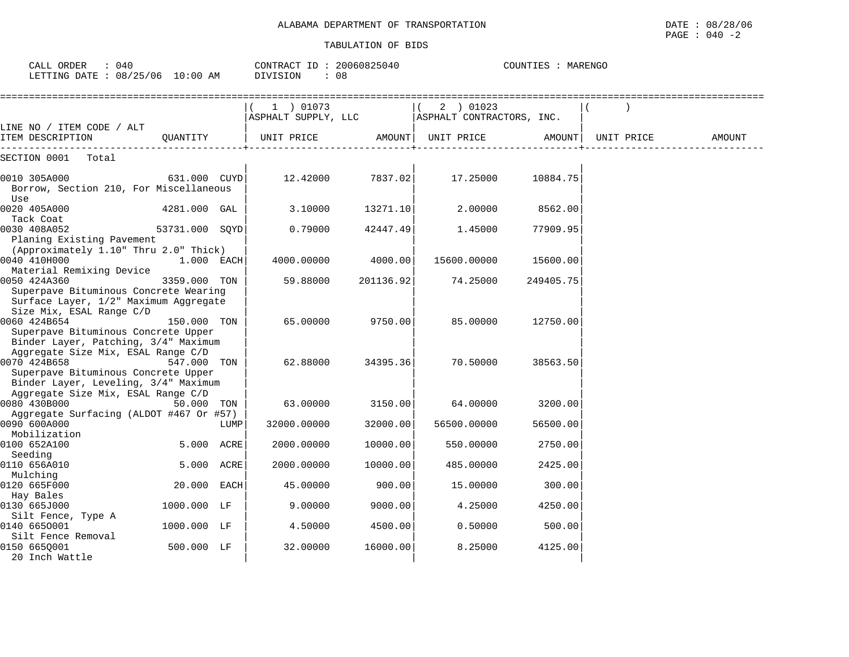| CALL ORDER<br>: 040<br>LETTING DATE : 08/25/06 10:00 AM                                                                               |                |      | CONTRACT ID: 20060825040<br>DIVISION | : 08      |                                        | COUNTIES : MARENGO |            |        |
|---------------------------------------------------------------------------------------------------------------------------------------|----------------|------|--------------------------------------|-----------|----------------------------------------|--------------------|------------|--------|
| LINE NO / ITEM CODE / ALT                                                                                                             |                |      | 1 ) 01073<br>ASPHALT SUPPLY, LLC     |           | 2 ) 01023<br>ASPHALT CONTRACTORS, INC. |                    |            |        |
| ITEM DESCRIPTION                                                                                                                      | OUANTITY       |      | UNIT PRICE                           |           | AMOUNT  UNIT PRICE                     | AMOUNT             | UNIT PRICE | AMOUNT |
| SECTION 0001<br>Total                                                                                                                 |                |      |                                      |           |                                        |                    |            |        |
| 0010 305A000<br>Borrow, Section 210, For Miscellaneous<br>Use                                                                         | 631.000 CUYD   |      | 12.42000                             | 7837.02   | 17.25000                               | 10884.75           |            |        |
| 0020 405A000<br>Tack Coat                                                                                                             | 4281.000 GAL   |      | 3.10000                              | 13271.10  | 2.00000                                | 8562.00            |            |        |
| 0030 408A052<br>Planing Existing Pavement<br>(Approximately 1.10" Thru 2.0" Thick)                                                    | 53731.000 SOYD |      | 0.79000                              | 42447.49  | 1.45000                                | 77909.95           |            |        |
| 0040 410H000                                                                                                                          | 1.000 EACH     |      | 4000.00000                           | 4000.00   | 15600.00000                            | 15600.00           |            |        |
| Material Remixing Device<br>0050 424A360<br>Superpave Bituminous Concrete Wearing<br>Surface Layer, 1/2" Maximum Aggregate            | 3359.000 TON   |      | 59.88000                             | 201136.92 | 74.25000                               | 249405.75          |            |        |
| Size Mix, ESAL Range C/D<br>0060 424B654<br>Superpave Bituminous Concrete Upper<br>Binder Layer, Patching, 3/4" Maximum               | 150.000 TON    |      | 65.00000                             | 9750.00   | 85.00000                               | 12750.00           |            |        |
| Aggregate Size Mix, ESAL Range C/D<br>0070 424B658<br>Superpave Bituminous Concrete Upper                                             | 547.000 TON    |      | 62.88000                             | 34395.36  | 70.50000                               | 38563.50           |            |        |
| Binder Layer, Leveling, 3/4" Maximum<br>Aggregate Size Mix, ESAL Range C/D<br>0080 430B000<br>Aggregate Surfacing (ALDOT #467 Or #57) | 50.000 TON     |      | 63.00000                             | 3150.00   | 64.00000                               | 3200.00            |            |        |
| 0090 600A000<br>Mobilization                                                                                                          |                | LUMP | 32000.00000                          | 32000.00  | 56500.00000                            | 56500.00           |            |        |
| 0100 652A100<br>Seeding                                                                                                               | 5.000 ACRE     |      | 2000.00000                           | 10000.00  | 550.00000                              | 2750.00            |            |        |
| 0110 656A010                                                                                                                          | 5.000 ACRE     |      | 2000.00000                           | 10000.00  | 485.00000                              | 2425.00            |            |        |
| Mulching<br>0120 665F000                                                                                                              | 20.000 EACH    |      | 45.00000                             | 900.00    | 15.00000                               | 300.00             |            |        |
| Hay Bales<br>0130 665J000                                                                                                             | 1000.000 LF    |      | 9.00000                              | 9000.00   | 4.25000                                | 4250.00            |            |        |
| Silt Fence, Type A<br>0140 6650001                                                                                                    | 1000.000 LF    |      | 4.50000                              | 4500.00   | 0.50000                                | 500.00             |            |        |
| Silt Fence Removal<br>0150 6650001<br>20 Inch Wattle                                                                                  | 500.000 LF     |      | 32.00000                             | 16000.00  | 8.25000                                | 4125.00            |            |        |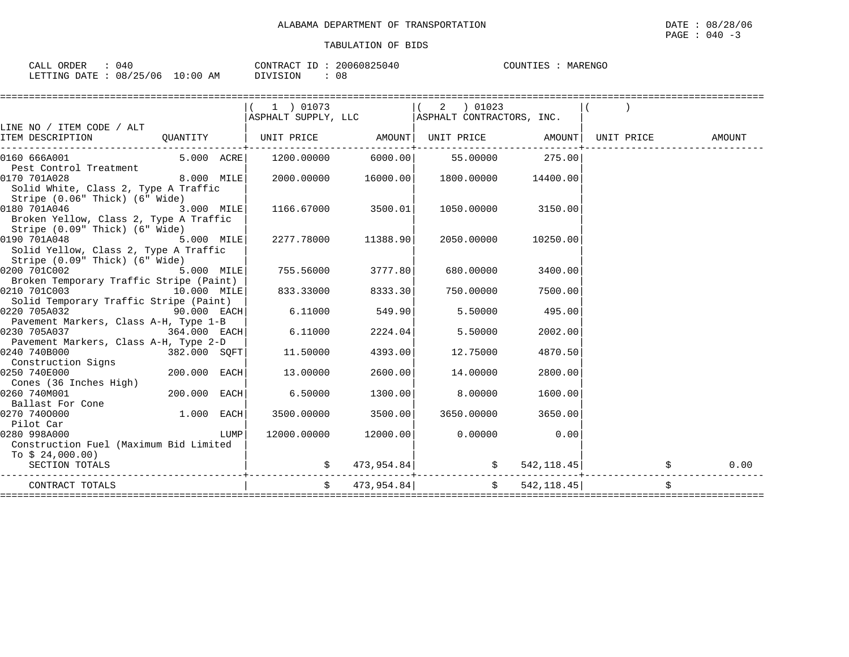| ORDER<br>CALL  | 040      |             | CONTRACT ID | 20060825040 | COUNTIES<br>MARENGC |
|----------------|----------|-------------|-------------|-------------|---------------------|
| LETTING DATE : | 08/25/06 | 10:00<br>AΜ | DIVISION    | 08          |                     |

|                                                                                                                                         |              |      |                                                 |                      | $1$ ) 01073 (2) 01023                           |          |             |                  |
|-----------------------------------------------------------------------------------------------------------------------------------------|--------------|------|-------------------------------------------------|----------------------|-------------------------------------------------|----------|-------------|------------------|
|                                                                                                                                         |              |      | ASPHALT SUPPLY, LLC   ASPHALT CONTRACTORS, INC. |                      |                                                 |          |             |                  |
| LINE NO / ITEM CODE / ALT                                                                                                               |              |      |                                                 |                      |                                                 |          |             |                  |
| ITEM DESCRIPTION $\qquad$ QUANTITY $\qquad$ $\qquad$ UNIT PRICE $\qquad$ AMOUNT $\qquad$ UNIT PRICE $\qquad$ AMOUNT $\qquad$ UNIT PRICE |              |      |                                                 |                      |                                                 |          |             | AMOUNT           |
| 0160 666A001                                                                                                                            |              |      | 5.000 ACRE 1200.00000 6000.00 55.00000 275.00   |                      |                                                 |          |             |                  |
| Pest Control Treatment                                                                                                                  |              |      |                                                 |                      |                                                 |          |             |                  |
| 0170 701A028                                                                                                                            | $8.000$ MILE |      |                                                 |                      | $2000.00000$ $16000.00$ $1800.00000$ $14400.00$ |          |             |                  |
| Solid White, Class 2, Type A Traffic                                                                                                    |              |      |                                                 |                      |                                                 |          |             |                  |
| Stripe (0.06" Thick) (6" Wide)                                                                                                          |              |      |                                                 |                      |                                                 |          |             |                  |
| 0180 701A046                                                                                                                            | $3.000$ MILE |      | 1166.67000 3500.01                              |                      | 1050.00000 3150.00                              |          |             |                  |
| Broken Yellow, Class 2, Type A Traffic                                                                                                  |              |      |                                                 |                      |                                                 |          |             |                  |
| Stripe (0.09" Thick) (6" Wide)                                                                                                          |              |      |                                                 |                      |                                                 |          |             |                  |
| <b>12.000 MILE</b><br>0190 701A048                                                                                                      |              |      | 2277.78000 11388.90                             |                      | 2050.00000                                      | 10250.00 |             |                  |
| Solid Yellow, Class 2, Type A Traffic                                                                                                   |              |      |                                                 |                      |                                                 |          |             |                  |
| Stripe (0.09" Thick) (6" Wide)                                                                                                          |              |      |                                                 |                      |                                                 |          |             |                  |
| 0200 701C002                                                                                                                            | $5.000$ MILE |      | 755.56000 3777.80                               |                      | 680.00000                                       | 3400.00  |             |                  |
| Broken Temporary Traffic Stripe (Paint)                                                                                                 |              |      |                                                 |                      |                                                 |          |             |                  |
| 0210 701C003<br>10.000 MILE                                                                                                             |              |      | 833.33000 8333.30                               |                      | 750.00000                                       | 7500.00  |             |                  |
| Solid Temporary Traffic Stripe (Paint)                                                                                                  |              |      |                                                 |                      |                                                 |          |             |                  |
| 0220 705A032 90.000 EACH                                                                                                                |              |      |                                                 | $6.11000$ 549.90     | 5.50000                                         | 495.00   |             |                  |
| Pavement Markers, Class A-H, Type 1-B                                                                                                   |              |      |                                                 |                      |                                                 |          |             |                  |
| $0230 705A037$ 364.000 EACH                                                                                                             |              |      | 6.11000                                         | 2224.04              | 5.50000                                         | 2002.00  |             |                  |
| Pavement Markers, Class A-H, Type 2-D                                                                                                   |              |      |                                                 |                      |                                                 |          |             |                  |
| $\begin{array}{ l l l } \hline 0240 & 740 \text{B000} & \text{Signs} & & 382.000 & \text{SQFT} \ \hline \end{array}$<br>0240 740B000    |              |      | 11.50000                                        | 4393.00              | 12.75000                                        | 4870.50  |             |                  |
|                                                                                                                                         |              |      |                                                 |                      |                                                 |          |             |                  |
| $200.000$ EACH<br>0250 740E000                                                                                                          |              |      | 13.00000                                        | 2600.00              | 14.00000                                        | 2800.00  |             |                  |
| Cones (36 Inches High)                                                                                                                  |              |      |                                                 |                      |                                                 |          |             |                  |
| 0260 740M001                                                                                                                            | 200.000 EACH |      | 6.50000                                         | 1300.001             | 8.00000                                         | 1600.00  |             |                  |
| Ballast For Cone                                                                                                                        |              |      |                                                 |                      |                                                 |          |             |                  |
| 0270 7400000                                                                                                                            | $1.000$ EACH |      | 3500.00000                                      | 3500.00              | 3650.00000 3650.00                              |          |             |                  |
| Pilot Car                                                                                                                               |              |      |                                                 |                      |                                                 |          |             |                  |
| 0280 998A000                                                                                                                            |              | LUMP |                                                 | 12000.00000 12000.00 | $0.00000$ 0.00                                  |          |             |                  |
| Construction Fuel (Maximum Bid Limited                                                                                                  |              |      |                                                 |                      |                                                 |          |             |                  |
| To $$24,000.00)$                                                                                                                        |              |      |                                                 |                      |                                                 |          |             |                  |
| SECTION TOTALS                                                                                                                          |              |      |                                                 |                      | $\sin 473,954.84$ $\sin 84$                     |          | 542, 118.45 | $\sharp$<br>0.00 |
| CONTRACT TOTALS                                                                                                                         |              |      |                                                 |                      | $\sharp$ 473,954.84 $\sharp$ 542,118.45         |          |             |                  |
|                                                                                                                                         |              |      |                                                 |                      |                                                 |          |             |                  |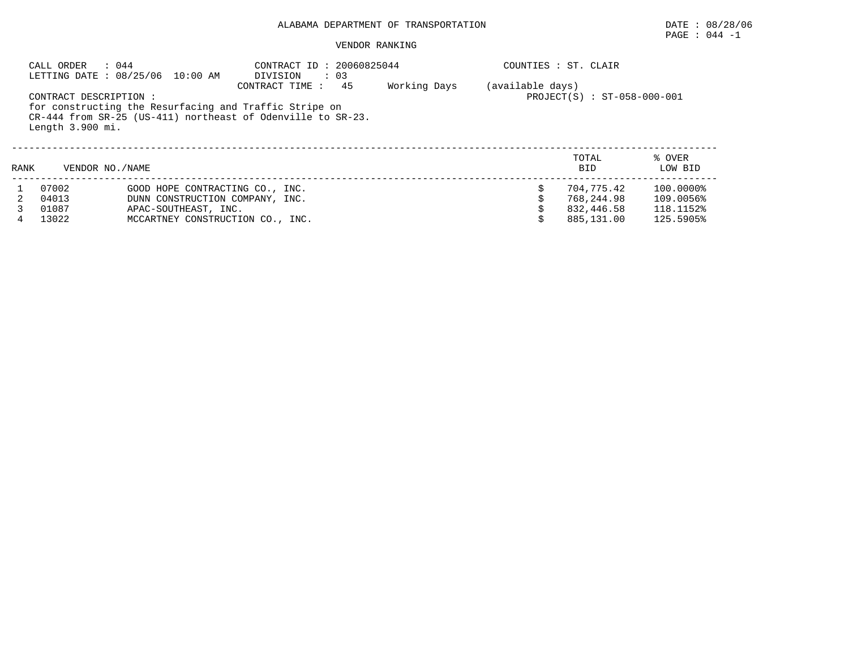## PAGE : 044 -1

#### VENDOR RANKING

|      | CALL ORDER                                 | : 044<br>LETTING DATE : 08/25/06 10:00 AM | CONTRACT ID: 20060825044<br>$\cdot$ 03<br>DIVISION                                                                                                    |              |                  | COUNTIES : ST. CLAIR        |                   |
|------|--------------------------------------------|-------------------------------------------|-------------------------------------------------------------------------------------------------------------------------------------------------------|--------------|------------------|-----------------------------|-------------------|
|      | CONTRACT DESCRIPTION :<br>Length 3.900 mi. |                                           | 45<br>CONTRACT TIME :<br>for constructing the Resurfacing and Traffic Stripe on<br>$CR-444$ from $SR-25$ (US-411) northeast of Odenville to $SR-23$ . | Working Days | (available days) | PROJECT(S) : ST-058-000-001 |                   |
| RANK | VENDOR NO. / NAME                          |                                           |                                                                                                                                                       |              |                  | TOTAL<br><b>BID</b>         | % OVER<br>LOW BID |
|      | 07002                                      | GOOD HOPE CONTRACTING CO., INC.           |                                                                                                                                                       |              |                  | 704,775.42                  | 100.0000%         |
|      | 04013                                      | DUNN CONSTRUCTION COMPANY, INC.           |                                                                                                                                                       |              |                  | 768,244.98                  | 109.0056%         |
|      | 01087                                      | APAC-SOUTHEAST, INC.                      |                                                                                                                                                       |              |                  | 832,446.58                  | 118.1152%         |
| 4    | 13022                                      | MCCARTNEY CONSTRUCTION CO., INC.          |                                                                                                                                                       |              |                  | 885,131.00                  | 125.5905%         |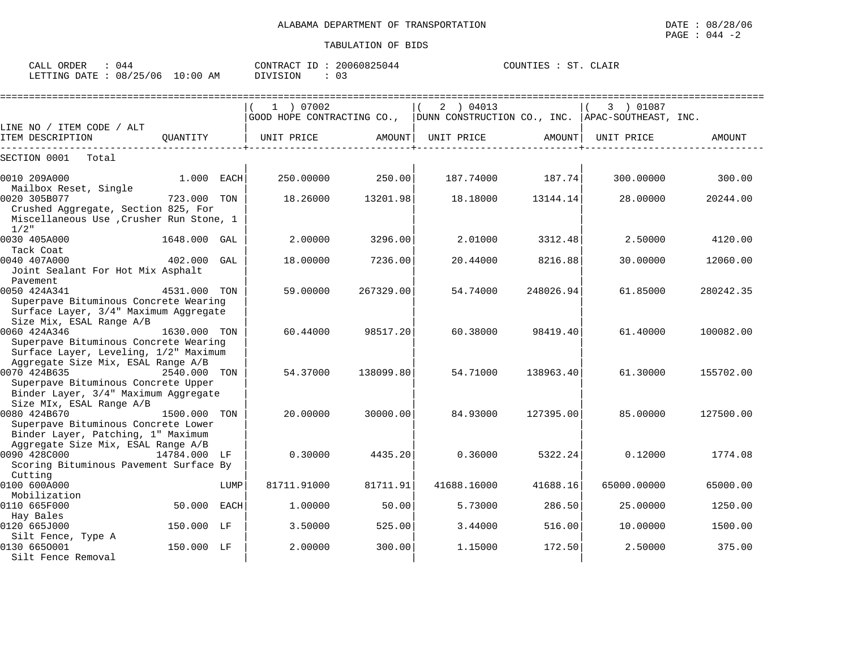| ORDER<br>044<br>CALL Q          | CONTRACT ID: 20060825044 | COUNTIES :<br>ST<br>CLAIR |
|---------------------------------|--------------------------|---------------------------|
| LETTING DATE: 08/25/06 10:00 AM | DIVISION<br>∪≾           |                           |

|                                                                                                                                   |              |      | 1 ) 07002<br>GOOD HOPE CONTRACTING CO., |           | 2 ) 04013<br>DUNN CONSTRUCTION CO., INC. APAC-SOUTHEAST, INC. |           | 3 ) 01087   |           |
|-----------------------------------------------------------------------------------------------------------------------------------|--------------|------|-----------------------------------------|-----------|---------------------------------------------------------------|-----------|-------------|-----------|
| LINE NO / ITEM CODE / ALT                                                                                                         |              |      |                                         |           |                                                               |           |             |           |
| ITEM DESCRIPTION                                                                                                                  | OUANTITY     |      | UNIT PRICE                              | AMOUNT    | UNIT PRICE                                                    | AMOUNT    | UNIT PRICE  | AMOUNT    |
| SECTION 0001<br>Total                                                                                                             |              |      |                                         |           |                                                               |           |             |           |
| 0010 209A000<br>Mailbox Reset, Single                                                                                             | 1.000 EACH   |      | 250.00000                               | 250.00    | 187.74000                                                     | 187.74    | 300.00000   | 300.00    |
| 0020 305B077<br>Crushed Aggregate, Section 825, For<br>Miscellaneous Use , Crusher Run Stone, 1<br>$1/2$ "                        | 723.000      | TON  | 18.26000                                | 13201.98  | 18.18000                                                      | 13144.14  | 28,00000    | 20244.00  |
| 0030 405A000<br>Tack Coat                                                                                                         | 1648.000 GAL |      | 2.00000                                 | 3296.00   | 2.01000                                                       | 3312.48   | 2.50000     | 4120.00   |
| 0040 407A000<br>Joint Sealant For Hot Mix Asphalt<br>Pavement                                                                     | 402.000      | GAL  | 18,00000                                | 7236.00   | 20.44000                                                      | 8216.88   | 30,00000    | 12060.00  |
| 0050 424A341<br>Superpave Bituminous Concrete Wearing<br>Surface Layer, 3/4" Maximum Aggregate                                    | 4531.000     | TON  | 59.00000                                | 267329.00 | 54.74000                                                      | 248026.94 | 61.85000    | 280242.35 |
| Size Mix, ESAL Range A/B<br>0060 424A346<br>Superpave Bituminous Concrete Wearing<br>Surface Layer, Leveling, 1/2" Maximum        | 1630.000 TON |      | 60.44000                                | 98517.20  | 60.38000                                                      | 98419.40  | 61.40000    | 100082.00 |
| Aggregate Size Mix, ESAL Range A/B<br>0070 424B635<br>Superpave Bituminous Concrete Upper<br>Binder Layer, 3/4" Maximum Aggregate | 2540.000     | TON  | 54.37000                                | 138099.80 | 54.71000                                                      | 138963.40 | 61.30000    | 155702.00 |
| Size MIx, ESAL Range A/B<br>0080 424B670<br>Superpave Bituminous Concrete Lower<br>Binder Layer, Patching, 1" Maximum             | 1500.000     | TON  | 20,00000                                | 30000.00  | 84.93000                                                      | 127395.00 | 85.00000    | 127500.00 |
| Aggregate Size Mix, ESAL Range A/B<br>0090 428C000<br>Scoring Bituminous Pavement Surface By<br>Cutting                           | 14784.000 LF |      | 0.30000                                 | 4435.20   | 0.36000                                                       | 5322.24   | 0.12000     | 1774.08   |
| 0100 600A000<br>Mobilization                                                                                                      |              | LUMP | 81711.91000                             | 81711.91  | 41688.16000                                                   | 41688.16  | 65000.00000 | 65000.00  |
| 0110 665F000                                                                                                                      | 50.000       | EACH | 1,00000                                 | 50.00     | 5.73000                                                       | 286.50    | 25,00000    | 1250.00   |
| Hay Bales<br>0120 665J000                                                                                                         | 150.000 LF   |      | 3.50000                                 | 525.00    | 3.44000                                                       | 516.00    | 10.00000    | 1500.00   |
| Silt Fence, Type A<br>0130 6650001<br>Silt Fence Removal                                                                          | 150.000 LF   |      | 2.00000                                 | 300.00    | 1.15000                                                       | 172.50    | 2.50000     | 375.00    |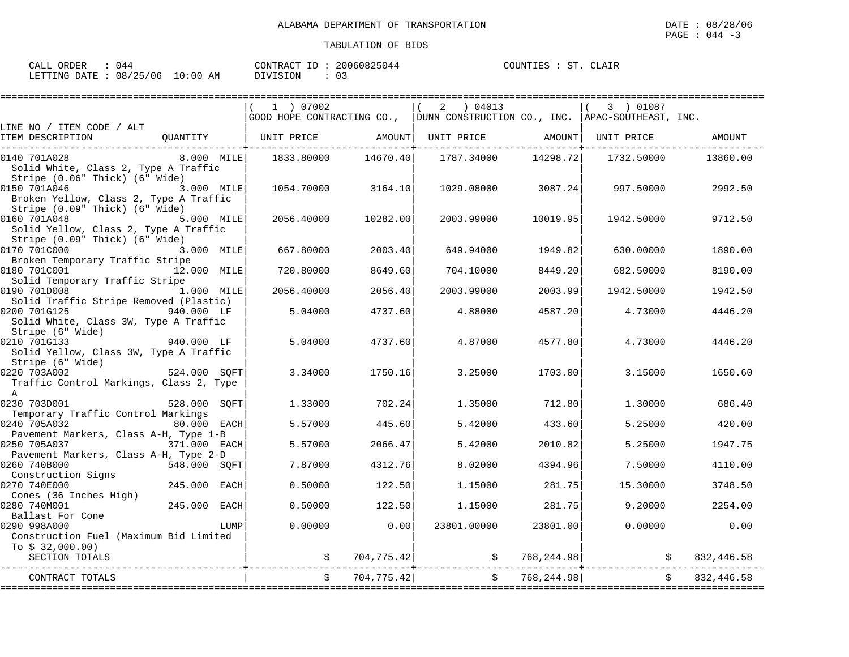| CALL ORDER<br>: 044             | CONTRACT ID: 20060825044 | COUNTIES : ST. CLAIR |
|---------------------------------|--------------------------|----------------------|
| LETTING DATE: 08/25/06 10:00 AM | DIVISION<br>- 03         |                      |

|                                                                                                                           |              | 1 ) 07002  |            | $2 \t04013$                                                                 |                | 3 ) 01087  |               |
|---------------------------------------------------------------------------------------------------------------------------|--------------|------------|------------|-----------------------------------------------------------------------------|----------------|------------|---------------|
| LINE NO / ITEM CODE / ALT                                                                                                 |              |            |            | GOOD HOPE CONTRACTING CO., DUNN CONSTRUCTION CO., INC. APAC-SOUTHEAST, INC. |                |            |               |
| ITEM DESCRIPTION<br>OUANTITY                                                                                              |              | UNIT PRICE | AMOUNT     | UNIT PRICE AMOUNT                                                           |                | UNIT PRICE | <b>AMOUNT</b> |
| 0140 701A028<br>Solid White, Class 2, Type A Traffic<br>Stripe (0.06" Thick) (6" Wide)                                    | $8.000$ MILE | 1833.80000 | 14670.40   | 1787.34000                                                                  | 14298.72       | 1732.50000 | 13860.00      |
| 0150 701A046<br>Broken Yellow, Class 2, Type A Traffic                                                                    | 3.000 MILE   | 1054.70000 | 3164.10    | 1029.08000                                                                  | 3087.24        | 997.50000  | 2992.50       |
| Stripe (0.09" Thick) (6" Wide)<br>0160 701A048<br>Solid Yellow, Class 2, Type A Traffic<br>Stripe (0.09" Thick) (6" Wide) | 5.000 MILE   | 2056.40000 | 10282.00   | 2003.99000                                                                  | 10019.95       | 1942.50000 | 9712.50       |
| 0170 701C000<br>Broken Temporary Traffic Stripe                                                                           | 3.000 MILE   | 667.80000  | 2003.40    | 649.94000                                                                   | 1949.82        | 630,00000  | 1890.00       |
| 0180 701C001<br>Solid Temporary Traffic Stripe                                                                            | 12.000 MILE  | 720.80000  | 8649.60    | 704.10000                                                                   | 8449.20        | 682.50000  | 8190.00       |
| 0190 701D008<br>Solid Traffic Stripe Removed (Plastic)                                                                    | 1.000 MILE   | 2056.40000 | 2056.40    | 2003.99000                                                                  | 2003.99        | 1942.50000 | 1942.50       |
| 0200 701G125<br>940.000 LF<br>Solid White, Class 3W, Type A Traffic<br>Stripe (6" Wide)                                   |              | 5.04000    | 4737.60    | 4.88000                                                                     | 4587.20        | 4.73000    | 4446.20       |
| 0210 701G133<br>Solid Yellow, Class 3W, Type A Traffic<br>Stripe (6" Wide)                                                | 940.000 LF   | 5.04000    | 4737.60    | 4.87000                                                                     | 4577.80        | 4.73000    | 4446.20       |
| 0220 703A002<br>Traffic Control Markings, Class 2, Type<br>A                                                              | 524.000 SOFT | 3.34000    | 1750.16    | 3.25000                                                                     | 1703.00        | 3.15000    | 1650.60       |
| 0230 703D001<br>528.000<br>Temporary Traffic Control Markings                                                             | SOFT         | 1.33000    | 702.24     | 1.35000                                                                     | 712.80         | 1,30000    | 686.40        |
| 0240 705A032<br>Pavement Markers, Class A-H, Type 1-B                                                                     | 80.000 EACH  | 5.57000    | 445.60     | 5.42000                                                                     | 433.60         | 5.25000    | 420.00        |
| 0250 705A037<br>Pavement Markers, Class A-H, Type 2-D                                                                     | 371.000 EACH | 5.57000    | 2066.47    | 5.42000                                                                     | 2010.82        | 5.25000    | 1947.75       |
| 0260 740B000<br>Construction Signs                                                                                        | 548.000 SOFT | 7.87000    | 4312.76    | 8.02000                                                                     | 4394.96        | 7.50000    | 4110.00       |
| 0270 740E000<br>Cones (36 Inches High)                                                                                    | 245.000 EACH | 0.50000    | 122.50     | 1.15000                                                                     | 281.75         | 15.30000   | 3748.50       |
| 0280 740M001<br>Ballast For Cone                                                                                          | 245.000 EACH | 0.50000    | 122.50     | 1.15000                                                                     | 281.75         | 9.20000    | 2254.00       |
| 0290 998A000<br>Construction Fuel (Maximum Bid Limited<br>To \$ 32,000.00)                                                | LUMP         | 0.00000    | 0.00       | 23801.00000                                                                 | 23801.00       | 0.00000    | 0.00          |
| SECTION TOTALS                                                                                                            |              |            | 704,775.42 |                                                                             | \$768, 244.98] |            | 832,446.58    |
| CONTRACT TOTALS                                                                                                           |              |            | 704,775.42 | $\ddot{s}$                                                                  | 768,244.98     |            | 832,446.58    |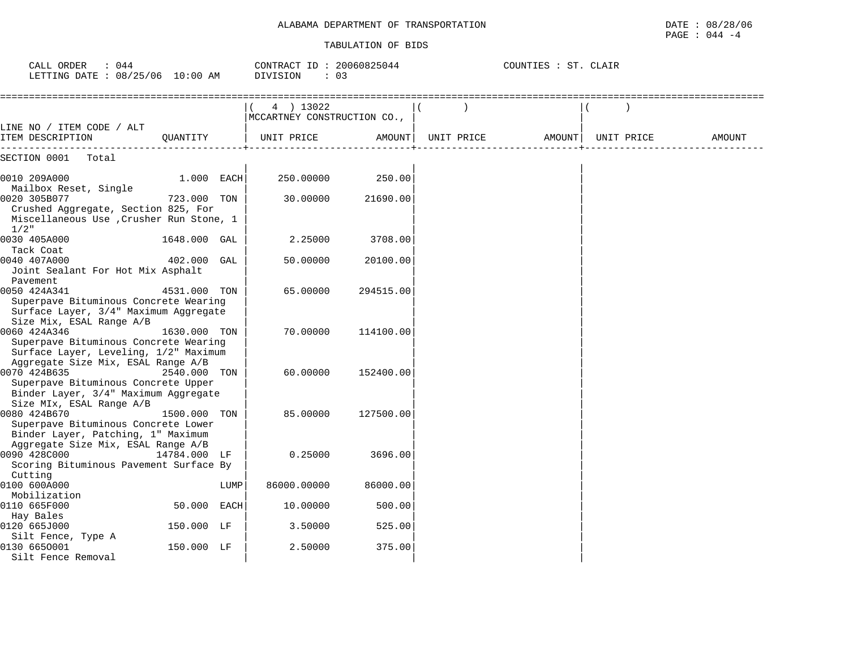| CALL ORDER<br>: 044<br>LETTING DATE : 08/25/06 10:00 AM                                                                              |              |      | CONTRACT ID: 20060825044<br>DIVISION<br>: 03 |           |            | COUNTIES : ST. CLAIR |            |               |
|--------------------------------------------------------------------------------------------------------------------------------------|--------------|------|----------------------------------------------|-----------|------------|----------------------|------------|---------------|
|                                                                                                                                      |              |      | 4 ) 13022<br>MCCARTNEY CONSTRUCTION CO.,     |           |            |                      |            |               |
| LINE NO / ITEM CODE / ALT<br>ITEM DESCRIPTION                                                                                        | QUANTITY     |      | UNIT PRICE                                   | AMOUNT    | UNIT PRICE | AMOUNT               | UNIT PRICE | <b>AMOUNT</b> |
| SECTION 0001<br>Total                                                                                                                |              |      |                                              |           |            |                      |            |               |
| 0010 209A000                                                                                                                         | 1.000 EACH   |      | 250.00000                                    | 250.00    |            |                      |            |               |
| Mailbox Reset, Single<br>0020 305B077<br>Crushed Aggregate, Section 825, For<br>Miscellaneous Use , Crusher Run Stone, 1             | 723.000 TON  |      | 30.00000                                     | 21690.00  |            |                      |            |               |
| $1/2$ "                                                                                                                              |              |      |                                              |           |            |                      |            |               |
| 0030 405A000<br>Tack Coat                                                                                                            | 1648.000 GAL |      | 2.25000                                      | 3708.00   |            |                      |            |               |
| 0040 407A000<br>Joint Sealant For Hot Mix Asphalt<br>Pavement                                                                        | 402.000 GAL  |      | 50.00000                                     | 20100.00  |            |                      |            |               |
| 0050 424A341<br>Superpave Bituminous Concrete Wearing<br>Surface Layer, 3/4" Maximum Aggregate<br>Size Mix, ESAL Range A/B           | 4531.000 TON |      | 65.00000                                     | 294515.00 |            |                      |            |               |
| 0060 424A346<br>Superpave Bituminous Concrete Wearing<br>Surface Layer, Leveling, 1/2" Maximum<br>Aggregate Size Mix, ESAL Range A/B | 1630.000 TON |      | 70.00000                                     | 114100.00 |            |                      |            |               |
| 0070 424B635<br>Superpave Bituminous Concrete Upper<br>Binder Layer, 3/4" Maximum Aggregate<br>Size MIx, ESAL Range A/B              | 2540.000 TON |      | 60,00000                                     | 152400.00 |            |                      |            |               |
| 0080 424B670<br>Superpave Bituminous Concrete Lower<br>Binder Layer, Patching, 1" Maximum<br>Aggregate Size Mix, ESAL Range A/B      | 1500.000 TON |      | 85,00000                                     | 127500.00 |            |                      |            |               |
| 0090 428C000<br>Scoring Bituminous Pavement Surface By<br>Cutting                                                                    | 14784.000 LF |      | 0.25000                                      | 3696.00   |            |                      |            |               |
| 0100 600A000                                                                                                                         |              | LUMP | 86000.00000                                  | 86000.00  |            |                      |            |               |
| Mobilization<br>0110 665F000                                                                                                         | 50.000 EACH  |      | 10.00000                                     | 500.00    |            |                      |            |               |
| Hay Bales<br>0120 665J000                                                                                                            | 150.000 LF   |      | 3.50000                                      | 525.00    |            |                      |            |               |
| Silt Fence, Type A<br>0130 6650001<br>Silt Fence Removal                                                                             | 150.000 LF   |      | 2.50000                                      | 375.00    |            |                      |            |               |